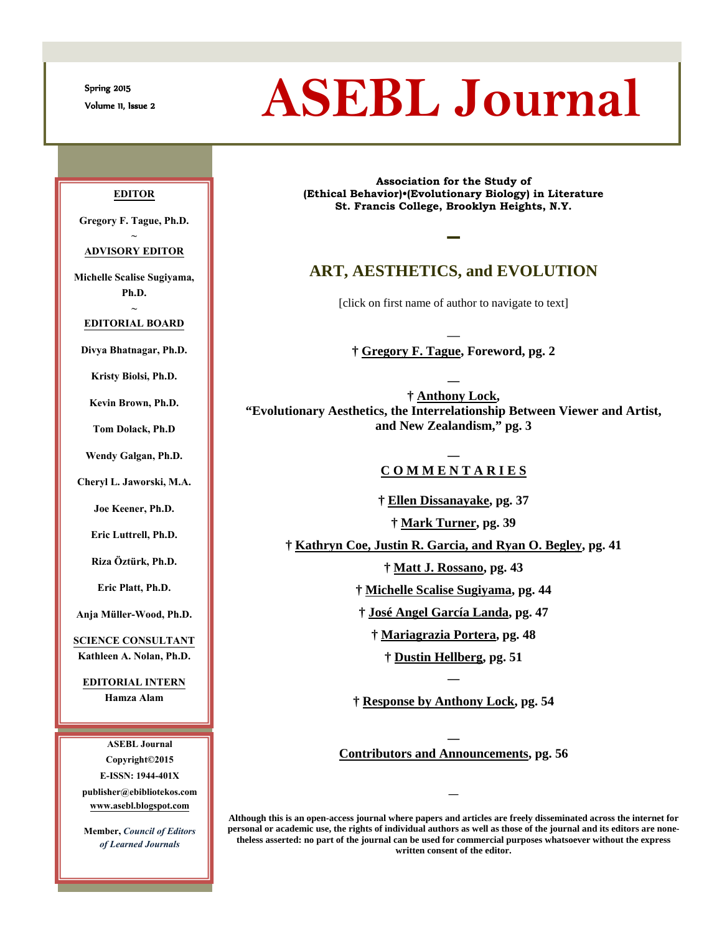Spring 2015

# Spring 2015<br>Volume 11, Issue 2 **ASEBL Journal**

#### **EDITOR**

**Gregory F. Tague, Ph.D. ~**

**ADVISORY EDITOR**

**Michelle Scalise Sugiyama, Ph.D.**

**~ EDITORIAL BOARD**

**Divya Bhatnagar, Ph.D.**

**Kristy Biolsi, Ph.D.**

**Kevin Brown, Ph.D.**

**Tom Dolack, Ph.D**

**Wendy Galgan, Ph.D.**

**Cheryl L. Jaworski, M.A.**

**Joe Keener, Ph.D.**

**Eric Luttrell, Ph.D.**

**Riza Öztürk, Ph.D.**

**Eric Platt, Ph.D.**

**Anja Müller-Wood, Ph.D.**

**SCIENCE CONSULTANT Kathleen A. Nolan, Ph.D.**

**EDITORIAL INTERN Hamza Alam**

**ASEBL Journal Copyright©2015 E-ISSN: 1944-401X publisher@ebibliotekos.com [www.asebl.blogspot.com](http://www.asebl.blogspot.com/)**

**Member,** *Council of Editors of Learned Journals*

**Association for the Study of (Ethical Behavior)•(Evolutionary Biology) in Literature St. Francis College, Brooklyn Heights, N.Y.**

## **ART, AESTHETICS, and EVOLUTION**

**▬**

[click on first name of author to navigate to text]

― **† [Gregory](#page-1-0) F. Tague, Foreword, pg. 2**

**― † [Anthony](#page-2-0) Lock, "Evolutionary Aesthetics, the Interrelationship Between Viewer and Artist, and New Zealandism," pg. 3**

#### **― C O M M E N T A R I E S**

**† [Ellen](#page-36-0) Dissanayake, pg. 37 † [Mark](#page-38-0) Turner, pg. 39 † [Kathryn](#page-40-0) Coe, Justin R. Garcia, and Ryan O. Begley, pg. 41**

**† [Matt](#page-42-0) J. Rossano, pg. 43**

**† [Michelle](#page-43-0) Scalise Sugiyama, pg. 44**

**† [José](#page-46-0) Angel García Landa, pg. 47**

**† [Mariagrazia](#page-47-0) Portera, pg. 48**

**† [Dustin](#page-50-0) Hellberg, pg. 51**

**― † [Response](#page-53-0) by Anthony Lock, pg. 54**

― **[Contributors](#page-55-0) and Announcements, pg. 56**

**―**

**Although this is an open-access journal where papers and articles are freely disseminated across the internet for personal or academic use, the rights of individual authors as well as those of the journal and its editors are nonetheless asserted: no part of the journal can be used for commercial purposes whatsoever without the express written consent of the editor.**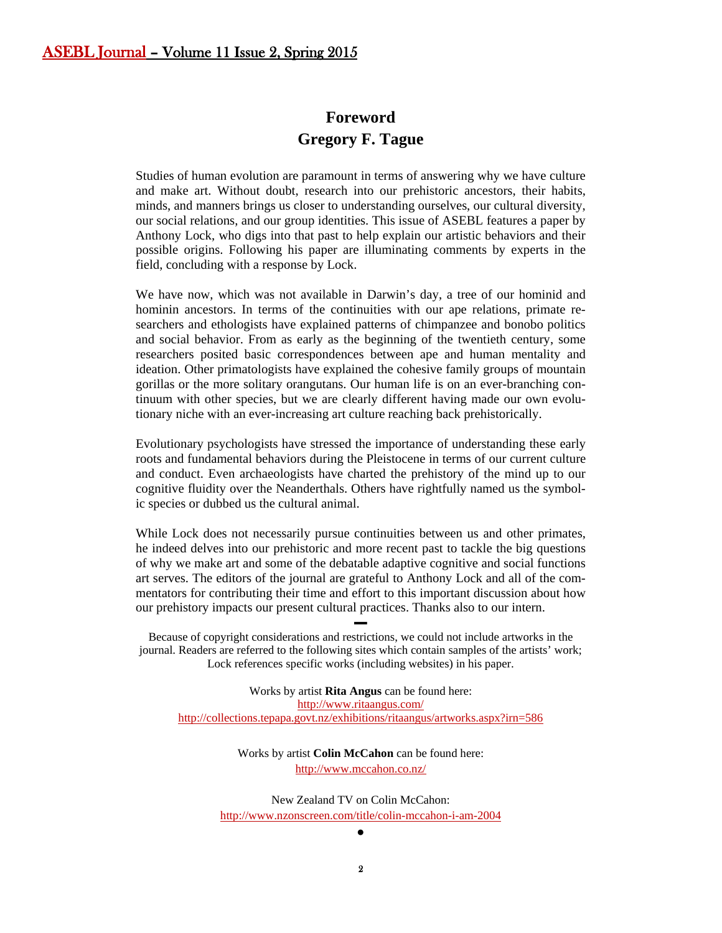# **Foreword Gregory F. Tague**

<span id="page-1-0"></span>Studies of human evolution are paramount in terms of answering why we have culture and make art. Without doubt, research into our prehistoric ancestors, their habits, minds, and manners brings us closer to understanding ourselves, our cultural diversity, our social relations, and our group identities. This issue of ASEBL features a paper by Anthony Lock, who digs into that past to help explain our artistic behaviors and their possible origins. Following his paper are illuminating comments by experts in the field, concluding with a response by Lock.

We have now, which was not available in Darwin's day, a tree of our hominid and hominin ancestors. In terms of the continuities with our ape relations, primate researchers and ethologists have explained patterns of chimpanzee and bonobo politics and social behavior. From as early as the beginning of the twentieth century, some researchers posited basic correspondences between ape and human mentality and ideation. Other primatologists have explained the cohesive family groups of mountain gorillas or the more solitary orangutans. Our human life is on an ever-branching continuum with other species, but we are clearly different having made our own evolutionary niche with an ever-increasing art culture reaching back prehistorically.

Evolutionary psychologists have stressed the importance of understanding these early roots and fundamental behaviors during the Pleistocene in terms of our current culture and conduct. Even archaeologists have charted the prehistory of the mind up to our cognitive fluidity over the Neanderthals. Others have rightfully named us the symbolic species or dubbed us the cultural animal.

While Lock does not necessarily pursue continuities between us and other primates, he indeed delves into our prehistoric and more recent past to tackle the big questions of why we make art and some of the debatable adaptive cognitive and social functions art serves. The editors of the journal are grateful to Anthony Lock and all of the commentators for contributing their time and effort to this important discussion about how our prehistory impacts our present cultural practices. Thanks also to our intern.

Because of copyright considerations and restrictions, we could not include artworks in the journal. Readers are referred to the following sites which contain samples of the artists' work; Lock references specific works (including websites) in his paper.

▬

Works by artist **Rita Angus** can be found here: <http://www.ritaangus.com/> <http://collections.tepapa.govt.nz/exhibitions/ritaangus/artworks.aspx?irn=586>

> Works by artist **Colin McCahon** can be found here: <http://www.mccahon.co.nz/>

New Zealand TV on Colin McCahon: <http://www.nzonscreen.com/title/colin-mccahon-i-am-2004>

●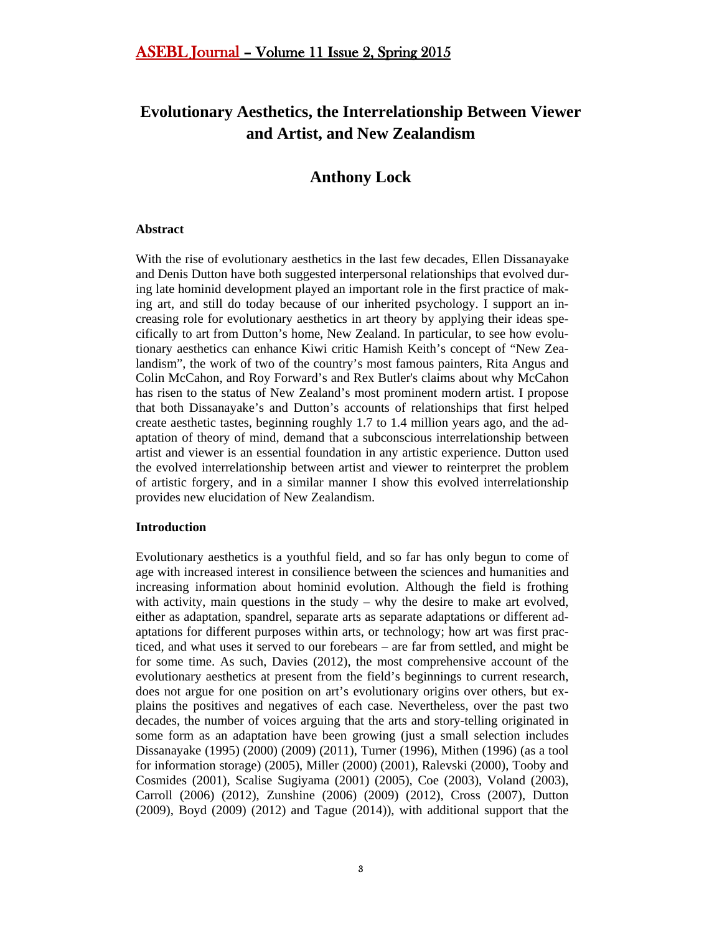# **Evolutionary Aesthetics, the Interrelationship Between Viewer and Artist, and New Zealandism**

# **Anthony Lock**

#### <span id="page-2-0"></span>**Abstract**

With the rise of evolutionary aesthetics in the last few decades, Ellen Dissanayake and Denis Dutton have both suggested interpersonal relationships that evolved during late hominid development played an important role in the first practice of making art, and still do today because of our inherited psychology. I support an increasing role for evolutionary aesthetics in art theory by applying their ideas specifically to art from Dutton's home, New Zealand. In particular, to see how evolutionary aesthetics can enhance Kiwi critic Hamish Keith's concept of "New Zealandism", the work of two of the country's most famous painters, Rita Angus and Colin McCahon, and Roy Forward's and Rex Butler's claims about why McCahon has risen to the status of New Zealand's most prominent modern artist. I propose that both Dissanayake's and Dutton's accounts of relationships that first helped create aesthetic tastes, beginning roughly 1.7 to 1.4 million years ago, and the adaptation of theory of mind, demand that a subconscious interrelationship between artist and viewer is an essential foundation in any artistic experience. Dutton used the evolved interrelationship between artist and viewer to reinterpret the problem of artistic forgery, and in a similar manner I show this evolved interrelationship provides new elucidation of New Zealandism.

#### **Introduction**

Evolutionary aesthetics is a youthful field, and so far has only begun to come of age with increased interest in consilience between the sciences and humanities and increasing information about hominid evolution. Although the field is frothing with activity, main questions in the study – why the desire to make art evolved, either as adaptation, spandrel, separate arts as separate adaptations or different adaptations for different purposes within arts, or technology; how art was first practiced, and what uses it served to our forebears – are far from settled, and might be for some time. As such, Davies (2012), the most comprehensive account of the evolutionary aesthetics at present from the field's beginnings to current research, does not argue for one position on art's evolutionary origins over others, but explains the positives and negatives of each case. Nevertheless, over the past two decades, the number of voices arguing that the arts and story-telling originated in some form as an adaptation have been growing (just a small selection includes Dissanayake (1995) (2000) (2009) (2011), Turner (1996), Mithen (1996) (as a tool for information storage) (2005), Miller (2000) (2001), Ralevski (2000), Tooby and Cosmides (2001), Scalise Sugiyama (2001) (2005), Coe (2003), Voland (2003), Carroll (2006) (2012), Zunshine (2006) (2009) (2012), Cross (2007), Dutton (2009), Boyd (2009) (2012) and Tague (2014)), with additional support that the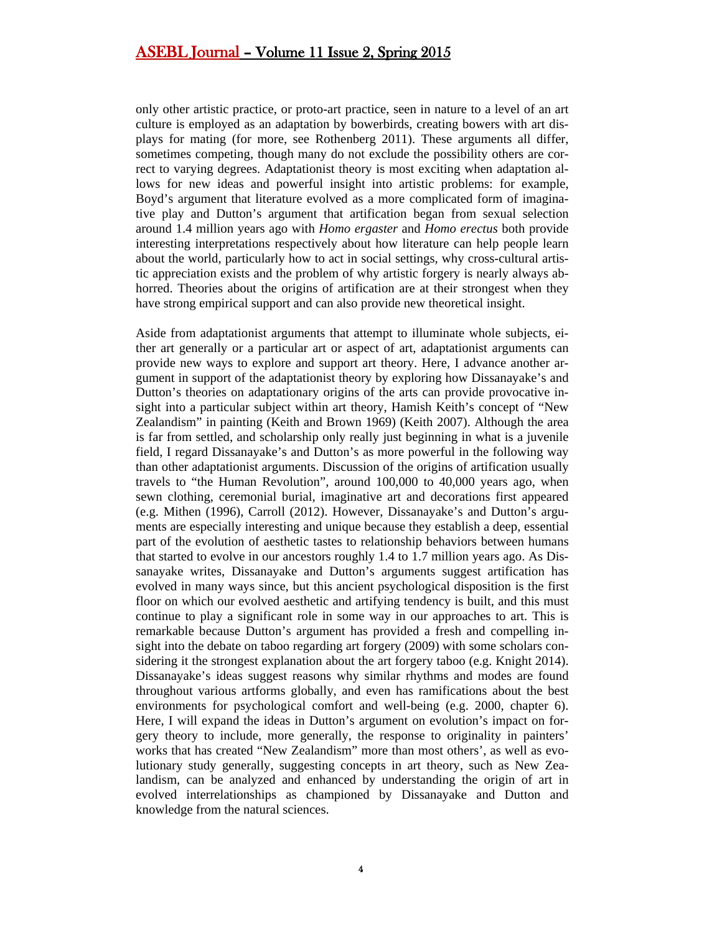only other artistic practice, or proto-art practice, seen in nature to a level of an art culture is employed as an adaptation by bowerbirds, creating bowers with art displays for mating (for more, see Rothenberg 2011). These arguments all differ, sometimes competing, though many do not exclude the possibility others are correct to varying degrees. Adaptationist theory is most exciting when adaptation allows for new ideas and powerful insight into artistic problems: for example, Boyd's argument that literature evolved as a more complicated form of imaginative play and Dutton's argument that artification began from sexual selection around 1.4 million years ago with *Homo ergaster* and *Homo erectus* both provide interesting interpretations respectively about how literature can help people learn about the world, particularly how to act in social settings, why cross-cultural artistic appreciation exists and the problem of why artistic forgery is nearly always abhorred. Theories about the origins of artification are at their strongest when they have strong empirical support and can also provide new theoretical insight.

Aside from adaptationist arguments that attempt to illuminate whole subjects, either art generally or a particular art or aspect of art, adaptationist arguments can provide new ways to explore and support art theory. Here, I advance another argument in support of the adaptationist theory by exploring how Dissanayake's and Dutton's theories on adaptationary origins of the arts can provide provocative insight into a particular subject within art theory, Hamish Keith's concept of "New Zealandism" in painting (Keith and Brown 1969) (Keith 2007). Although the area is far from settled, and scholarship only really just beginning in what is a juvenile field, I regard Dissanayake's and Dutton's as more powerful in the following way than other adaptationist arguments. Discussion of the origins of artification usually travels to "the Human Revolution", around 100,000 to 40,000 years ago, when sewn clothing, ceremonial burial, imaginative art and decorations first appeared (e.g. Mithen (1996), Carroll (2012). However, Dissanayake's and Dutton's arguments are especially interesting and unique because they establish a deep, essential part of the evolution of aesthetic tastes to relationship behaviors between humans that started to evolve in our ancestors roughly 1.4 to 1.7 million years ago. As Dissanayake writes, Dissanayake and Dutton's arguments suggest artification has evolved in many ways since, but this ancient psychological disposition is the first floor on which our evolved aesthetic and artifying tendency is built, and this must continue to play a significant role in some way in our approaches to art. This is remarkable because Dutton's argument has provided a fresh and compelling insight into the debate on taboo regarding art forgery (2009) with some scholars considering it the strongest explanation about the art forgery taboo (e.g. Knight 2014). Dissanayake's ideas suggest reasons why similar rhythms and modes are found throughout various artforms globally, and even has ramifications about the best environments for psychological comfort and well-being (e.g. 2000, chapter 6). Here, I will expand the ideas in Dutton's argument on evolution's impact on forgery theory to include, more generally, the response to originality in painters' works that has created "New Zealandism" more than most others', as well as evolutionary study generally, suggesting concepts in art theory, such as New Zealandism, can be analyzed and enhanced by understanding the origin of art in evolved interrelationships as championed by Dissanayake and Dutton and knowledge from the natural sciences.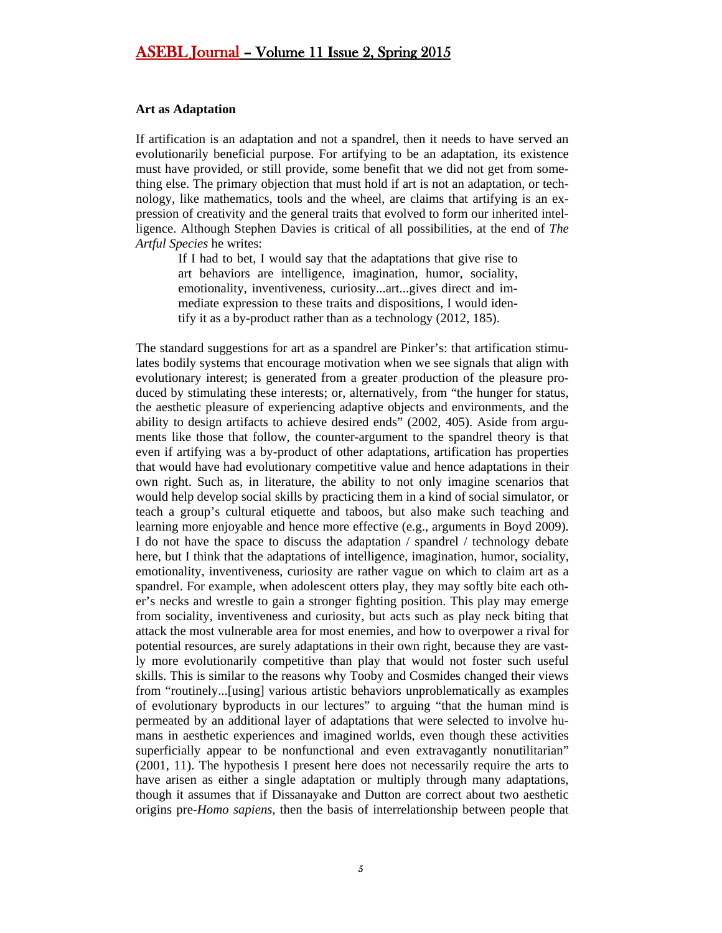#### **Art as Adaptation**

If artification is an adaptation and not a spandrel, then it needs to have served an evolutionarily beneficial purpose. For artifying to be an adaptation, its existence must have provided, or still provide, some benefit that we did not get from something else. The primary objection that must hold if art is not an adaptation, or technology, like mathematics, tools and the wheel, are claims that artifying is an expression of creativity and the general traits that evolved to form our inherited intelligence. Although Stephen Davies is critical of all possibilities, at the end of *The Artful Species* he writes:

If I had to bet, I would say that the adaptations that give rise to art behaviors are intelligence, imagination, humor, sociality, emotionality, inventiveness, curiosity...art...gives direct and immediate expression to these traits and dispositions, I would identify it as a by-product rather than as a technology (2012, 185).

The standard suggestions for art as a spandrel are Pinker's: that artification stimulates bodily systems that encourage motivation when we see signals that align with evolutionary interest; is generated from a greater production of the pleasure produced by stimulating these interests; or, alternatively, from "the hunger for status, the aesthetic pleasure of experiencing adaptive objects and environments, and the ability to design artifacts to achieve desired ends" (2002, 405). Aside from arguments like those that follow, the counter-argument to the spandrel theory is that even if artifying was a by-product of other adaptations, artification has properties that would have had evolutionary competitive value and hence adaptations in their own right. Such as, in literature, the ability to not only imagine scenarios that would help develop social skills by practicing them in a kind of social simulator, or teach a group's cultural etiquette and taboos, but also make such teaching and learning more enjoyable and hence more effective (e.g., arguments in Boyd 2009). I do not have the space to discuss the adaptation / spandrel / technology debate here, but I think that the adaptations of intelligence, imagination, humor, sociality, emotionality, inventiveness, curiosity are rather vague on which to claim art as a spandrel. For example, when adolescent otters play, they may softly bite each other's necks and wrestle to gain a stronger fighting position. This play may emerge from sociality, inventiveness and curiosity, but acts such as play neck biting that attack the most vulnerable area for most enemies, and how to overpower a rival for potential resources, are surely adaptations in their own right, because they are vastly more evolutionarily competitive than play that would not foster such useful skills. This is similar to the reasons why Tooby and Cosmides changed their views from "routinely...[using] various artistic behaviors unproblematically as examples of evolutionary byproducts in our lectures" to arguing "that the human mind is permeated by an additional layer of adaptations that were selected to involve humans in aesthetic experiences and imagined worlds, even though these activities superficially appear to be nonfunctional and even extravagantly nonutilitarian" (2001, 11). The hypothesis I present here does not necessarily require the arts to have arisen as either a single adaptation or multiply through many adaptations, though it assumes that if Dissanayake and Dutton are correct about two aesthetic origins pre-*Homo sapiens*, then the basis of interrelationship between people that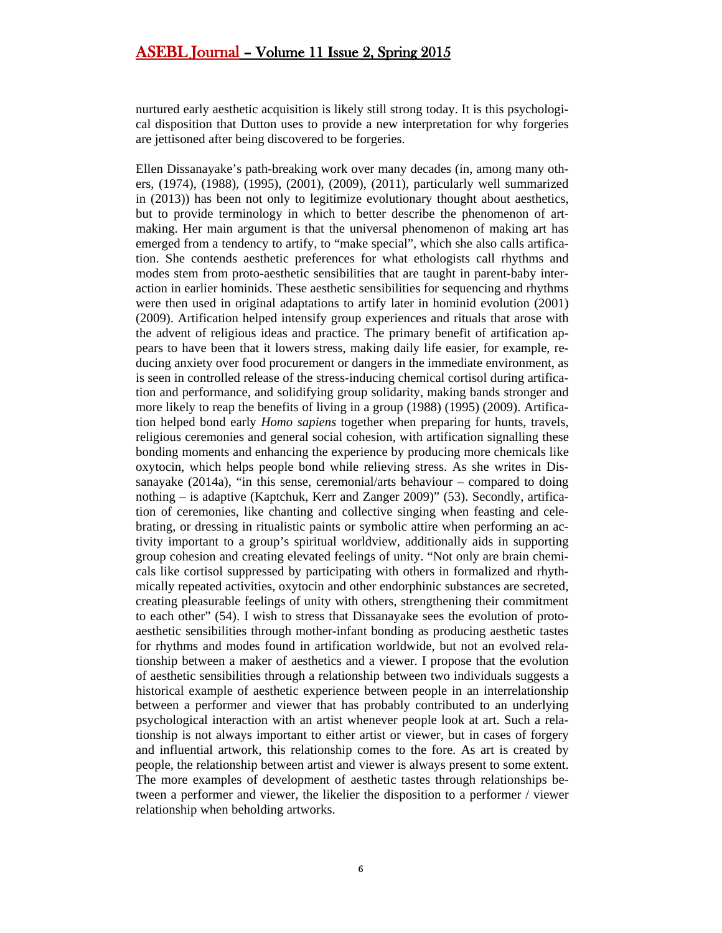nurtured early aesthetic acquisition is likely still strong today. It is this psychological disposition that Dutton uses to provide a new interpretation for why forgeries are jettisoned after being discovered to be forgeries.

Ellen Dissanayake's path-breaking work over many decades (in, among many others, (1974), (1988), (1995), (2001), (2009), (2011), particularly well summarized in (2013)) has been not only to legitimize evolutionary thought about aesthetics, but to provide terminology in which to better describe the phenomenon of artmaking. Her main argument is that the universal phenomenon of making art has emerged from a tendency to artify, to "make special", which she also calls artification. She contends aesthetic preferences for what ethologists call rhythms and modes stem from proto-aesthetic sensibilities that are taught in parent-baby interaction in earlier hominids. These aesthetic sensibilities for sequencing and rhythms were then used in original adaptations to artify later in hominid evolution (2001) (2009). Artification helped intensify group experiences and rituals that arose with the advent of religious ideas and practice. The primary benefit of artification appears to have been that it lowers stress, making daily life easier, for example, reducing anxiety over food procurement or dangers in the immediate environment, as is seen in controlled release of the stress-inducing chemical cortisol during artification and performance, and solidifying group solidarity, making bands stronger and more likely to reap the benefits of living in a group (1988) (1995) (2009). Artification helped bond early *Homo sapiens* together when preparing for hunts, travels, religious ceremonies and general social cohesion, with artification signalling these bonding moments and enhancing the experience by producing more chemicals like oxytocin, which helps people bond while relieving stress. As she writes in Dissanayake  $(2014a)$ , "in this sense, ceremonial/arts behaviour – compared to doing nothing – is adaptive (Kaptchuk, Kerr and Zanger 2009)" (53). Secondly, artification of ceremonies, like chanting and collective singing when feasting and celebrating, or dressing in ritualistic paints or symbolic attire when performing an activity important to a group's spiritual worldview, additionally aids in supporting group cohesion and creating elevated feelings of unity. "Not only are brain chemicals like cortisol suppressed by participating with others in formalized and rhythmically repeated activities, oxytocin and other endorphinic substances are secreted, creating pleasurable feelings of unity with others, strengthening their commitment to each other" (54). I wish to stress that Dissanayake sees the evolution of protoaesthetic sensibilities through mother-infant bonding as producing aesthetic tastes for rhythms and modes found in artification worldwide, but not an evolved relationship between a maker of aesthetics and a viewer. I propose that the evolution of aesthetic sensibilities through a relationship between two individuals suggests a historical example of aesthetic experience between people in an interrelationship between a performer and viewer that has probably contributed to an underlying psychological interaction with an artist whenever people look at art. Such a relationship is not always important to either artist or viewer, but in cases of forgery and influential artwork, this relationship comes to the fore. As art is created by people, the relationship between artist and viewer is always present to some extent. The more examples of development of aesthetic tastes through relationships between a performer and viewer, the likelier the disposition to a performer / viewer relationship when beholding artworks.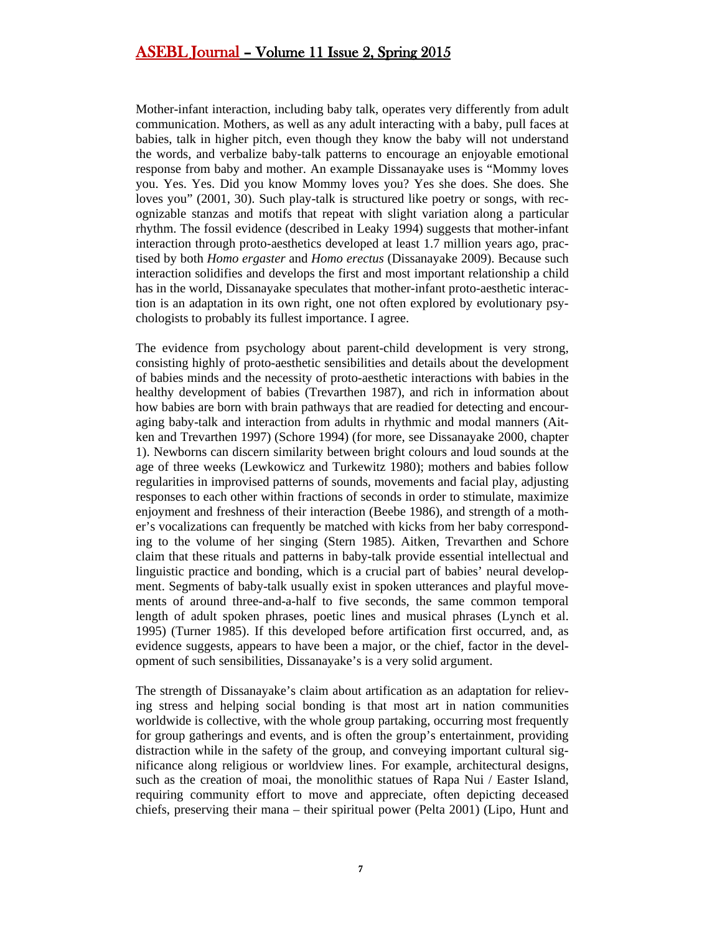Mother-infant interaction, including baby talk, operates very differently from adult communication. Mothers, as well as any adult interacting with a baby, pull faces at babies, talk in higher pitch, even though they know the baby will not understand the words, and verbalize baby-talk patterns to encourage an enjoyable emotional response from baby and mother. An example Dissanayake uses is "Mommy loves you. Yes. Yes. Did you know Mommy loves you? Yes she does. She does. She loves you" (2001, 30). Such play-talk is structured like poetry or songs, with recognizable stanzas and motifs that repeat with slight variation along a particular rhythm. The fossil evidence (described in Leaky 1994) suggests that mother-infant interaction through proto-aesthetics developed at least 1.7 million years ago, practised by both *Homo ergaster* and *Homo erectus* (Dissanayake 2009). Because such interaction solidifies and develops the first and most important relationship a child has in the world, Dissanayake speculates that mother-infant proto-aesthetic interaction is an adaptation in its own right, one not often explored by evolutionary psychologists to probably its fullest importance. I agree.

The evidence from psychology about parent-child development is very strong, consisting highly of proto-aesthetic sensibilities and details about the development of babies minds and the necessity of proto-aesthetic interactions with babies in the healthy development of babies (Trevarthen 1987), and rich in information about how babies are born with brain pathways that are readied for detecting and encouraging baby-talk and interaction from adults in rhythmic and modal manners (Aitken and Trevarthen 1997) (Schore 1994) (for more, see Dissanayake 2000, chapter 1). Newborns can discern similarity between bright colours and loud sounds at the age of three weeks (Lewkowicz and Turkewitz 1980); mothers and babies follow regularities in improvised patterns of sounds, movements and facial play, adjusting responses to each other within fractions of seconds in order to stimulate, maximize enjoyment and freshness of their interaction (Beebe 1986), and strength of a mother's vocalizations can frequently be matched with kicks from her baby corresponding to the volume of her singing (Stern 1985). Aitken, Trevarthen and Schore claim that these rituals and patterns in baby-talk provide essential intellectual and linguistic practice and bonding, which is a crucial part of babies' neural development. Segments of baby-talk usually exist in spoken utterances and playful movements of around three-and-a-half to five seconds, the same common temporal length of adult spoken phrases, poetic lines and musical phrases (Lynch et al. 1995) (Turner 1985). If this developed before artification first occurred, and, as evidence suggests, appears to have been a major, or the chief, factor in the development of such sensibilities, Dissanayake's is a very solid argument.

The strength of Dissanayake's claim about artification as an adaptation for relieving stress and helping social bonding is that most art in nation communities worldwide is collective, with the whole group partaking, occurring most frequently for group gatherings and events, and is often the group's entertainment, providing distraction while in the safety of the group, and conveying important cultural significance along religious or worldview lines. For example, architectural designs, such as the creation of moai, the monolithic statues of Rapa Nui / Easter Island, requiring community effort to move and appreciate, often depicting deceased chiefs, preserving their mana – their spiritual power (Pelta 2001) (Lipo, Hunt and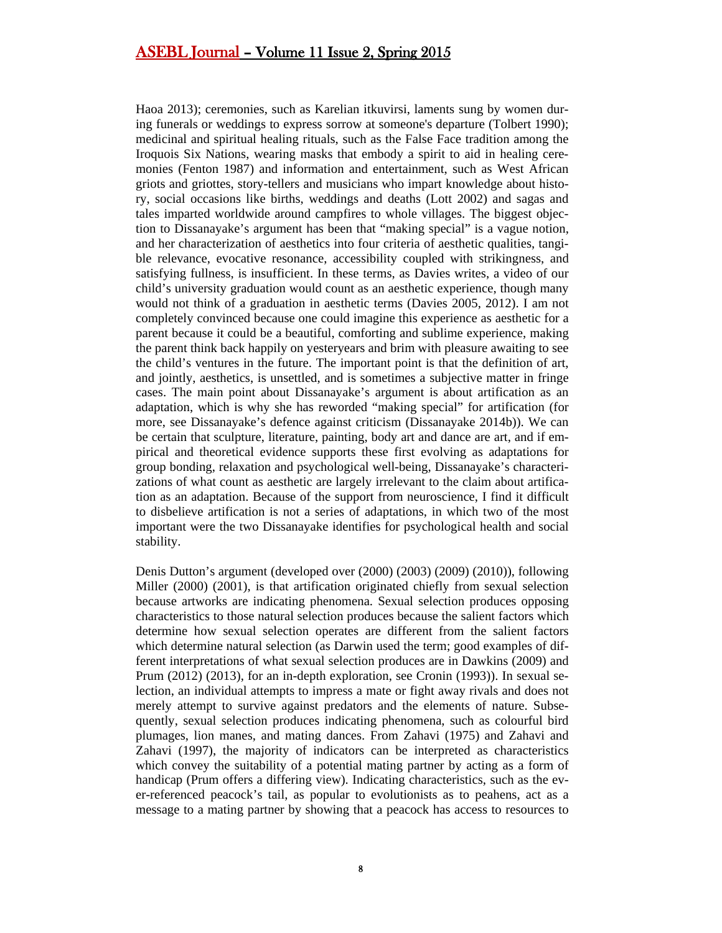Haoa 2013); ceremonies, such as Karelian itkuvirsi, laments sung by women during funerals or weddings to express sorrow at someone's departure (Tolbert 1990); medicinal and spiritual healing rituals, such as the False Face tradition among the Iroquois Six Nations, wearing masks that embody a spirit to aid in healing ceremonies (Fenton 1987) and information and entertainment, such as West African griots and griottes, story-tellers and musicians who impart knowledge about history, social occasions like births, weddings and deaths (Lott 2002) and sagas and tales imparted worldwide around campfires to whole villages. The biggest objection to Dissanayake's argument has been that "making special" is a vague notion, and her characterization of aesthetics into four criteria of aesthetic qualities, tangible relevance, evocative resonance, accessibility coupled with strikingness, and satisfying fullness, is insufficient. In these terms, as Davies writes, a video of our child's university graduation would count as an aesthetic experience, though many would not think of a graduation in aesthetic terms (Davies 2005, 2012). I am not completely convinced because one could imagine this experience as aesthetic for a parent because it could be a beautiful, comforting and sublime experience, making the parent think back happily on yesteryears and brim with pleasure awaiting to see the child's ventures in the future. The important point is that the definition of art, and jointly, aesthetics, is unsettled, and is sometimes a subjective matter in fringe cases. The main point about Dissanayake's argument is about artification as an adaptation, which is why she has reworded "making special" for artification (for more, see Dissanayake's defence against criticism (Dissanayake 2014b)). We can be certain that sculpture, literature, painting, body art and dance are art, and if empirical and theoretical evidence supports these first evolving as adaptations for group bonding, relaxation and psychological well-being, Dissanayake's characterizations of what count as aesthetic are largely irrelevant to the claim about artification as an adaptation. Because of the support from neuroscience, I find it difficult to disbelieve artification is not a series of adaptations, in which two of the most important were the two Dissanayake identifies for psychological health and social stability.

Denis Dutton's argument (developed over (2000) (2003) (2009) (2010)), following Miller (2000) (2001), is that artification originated chiefly from sexual selection because artworks are indicating phenomena. Sexual selection produces opposing characteristics to those natural selection produces because the salient factors which determine how sexual selection operates are different from the salient factors which determine natural selection (as Darwin used the term; good examples of different interpretations of what sexual selection produces are in Dawkins (2009) and Prum (2012) (2013), for an in-depth exploration, see Cronin (1993)). In sexual selection, an individual attempts to impress a mate or fight away rivals and does not merely attempt to survive against predators and the elements of nature. Subsequently, sexual selection produces indicating phenomena, such as colourful bird plumages, lion manes, and mating dances. From Zahavi (1975) and Zahavi and Zahavi (1997), the majority of indicators can be interpreted as characteristics which convey the suitability of a potential mating partner by acting as a form of handicap (Prum offers a differing view). Indicating characteristics, such as the ever-referenced peacock's tail, as popular to evolutionists as to peahens, act as a message to a mating partner by showing that a peacock has access to resources to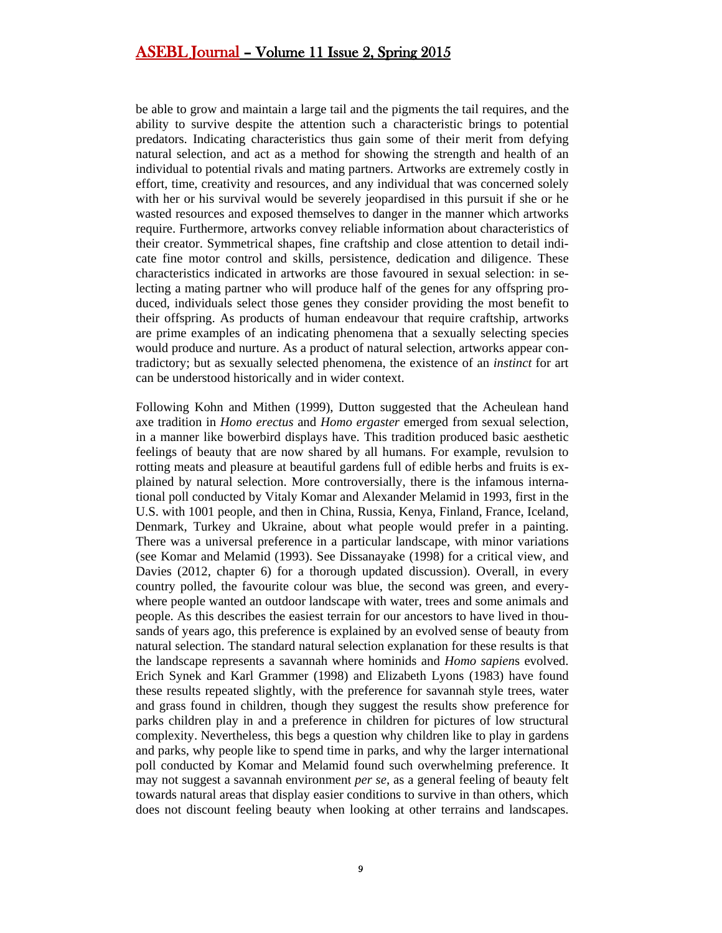be able to grow and maintain a large tail and the pigments the tail requires, and the ability to survive despite the attention such a characteristic brings to potential predators. Indicating characteristics thus gain some of their merit from defying natural selection, and act as a method for showing the strength and health of an individual to potential rivals and mating partners. Artworks are extremely costly in effort, time, creativity and resources, and any individual that was concerned solely with her or his survival would be severely jeopardised in this pursuit if she or he wasted resources and exposed themselves to danger in the manner which artworks require. Furthermore, artworks convey reliable information about characteristics of their creator. Symmetrical shapes, fine craftship and close attention to detail indicate fine motor control and skills, persistence, dedication and diligence. These characteristics indicated in artworks are those favoured in sexual selection: in selecting a mating partner who will produce half of the genes for any offspring produced, individuals select those genes they consider providing the most benefit to their offspring. As products of human endeavour that require craftship, artworks are prime examples of an indicating phenomena that a sexually selecting species would produce and nurture. As a product of natural selection, artworks appear contradictory; but as sexually selected phenomena, the existence of an *instinct* for art can be understood historically and in wider context.

Following Kohn and Mithen (1999), Dutton suggested that the Acheulean hand axe tradition in *Homo erectus* and *Homo ergaster* emerged from sexual selection, in a manner like bowerbird displays have. This tradition produced basic aesthetic feelings of beauty that are now shared by all humans. For example, revulsion to rotting meats and pleasure at beautiful gardens full of edible herbs and fruits is explained by natural selection. More controversially, there is the infamous international poll conducted by Vitaly Komar and Alexander Melamid in 1993, first in the U.S. with 1001 people, and then in China, Russia, Kenya, Finland, France, Iceland, Denmark, Turkey and Ukraine, about what people would prefer in a painting. There was a universal preference in a particular landscape, with minor variations (see Komar and Melamid (1993). See Dissanayake (1998) for a critical view, and Davies (2012, chapter 6) for a thorough updated discussion). Overall, in every country polled, the favourite colour was blue, the second was green, and everywhere people wanted an outdoor landscape with water, trees and some animals and people. As this describes the easiest terrain for our ancestors to have lived in thousands of years ago, this preference is explained by an evolved sense of beauty from natural selection. The standard natural selection explanation for these results is that the landscape represents a savannah where hominids and *Homo sapien*s evolved. Erich Synek and Karl Grammer (1998) and Elizabeth Lyons (1983) have found these results repeated slightly, with the preference for savannah style trees, water and grass found in children, though they suggest the results show preference for parks children play in and a preference in children for pictures of low structural complexity. Nevertheless, this begs a question why children like to play in gardens and parks, why people like to spend time in parks, and why the larger international poll conducted by Komar and Melamid found such overwhelming preference. It may not suggest a savannah environment *per se*, as a general feeling of beauty felt towards natural areas that display easier conditions to survive in than others, which does not discount feeling beauty when looking at other terrains and landscapes.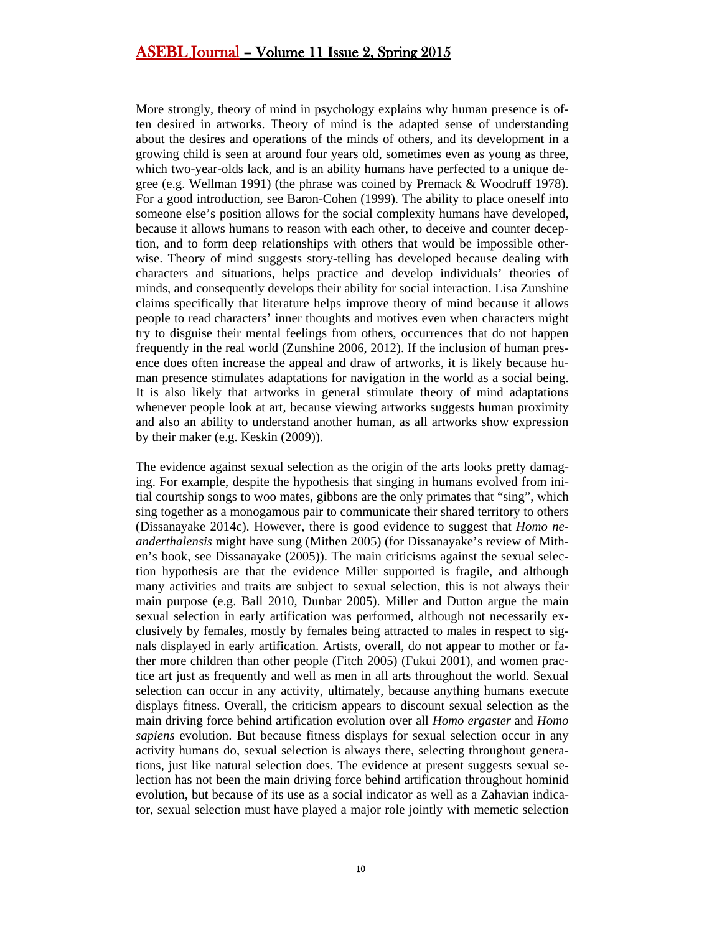More strongly, theory of mind in psychology explains why human presence is often desired in artworks. Theory of mind is the adapted sense of understanding about the desires and operations of the minds of others, and its development in a growing child is seen at around four years old, sometimes even as young as three, which two-year-olds lack, and is an ability humans have perfected to a unique degree (e.g. Wellman 1991) (the phrase was coined by Premack & Woodruff 1978). For a good introduction, see Baron-Cohen (1999). The ability to place oneself into someone else's position allows for the social complexity humans have developed, because it allows humans to reason with each other, to deceive and counter deception, and to form deep relationships with others that would be impossible otherwise. Theory of mind suggests story-telling has developed because dealing with characters and situations, helps practice and develop individuals' theories of minds, and consequently develops their ability for social interaction. Lisa Zunshine claims specifically that literature helps improve theory of mind because it allows people to read characters' inner thoughts and motives even when characters might try to disguise their mental feelings from others, occurrences that do not happen frequently in the real world (Zunshine 2006, 2012). If the inclusion of human presence does often increase the appeal and draw of artworks, it is likely because human presence stimulates adaptations for navigation in the world as a social being. It is also likely that artworks in general stimulate theory of mind adaptations whenever people look at art, because viewing artworks suggests human proximity and also an ability to understand another human, as all artworks show expression by their maker (e.g. Keskin (2009)).

The evidence against sexual selection as the origin of the arts looks pretty damaging. For example, despite the hypothesis that singing in humans evolved from initial courtship songs to woo mates, gibbons are the only primates that "sing", which sing together as a monogamous pair to communicate their shared territory to others (Dissanayake 2014c). However, there is good evidence to suggest that *Homo neanderthalensis* might have sung (Mithen 2005) (for Dissanayake's review of Mithen's book, see Dissanayake (2005)). The main criticisms against the sexual selection hypothesis are that the evidence Miller supported is fragile, and although many activities and traits are subject to sexual selection, this is not always their main purpose (e.g. Ball 2010, Dunbar 2005). Miller and Dutton argue the main sexual selection in early artification was performed, although not necessarily exclusively by females, mostly by females being attracted to males in respect to signals displayed in early artification. Artists, overall, do not appear to mother or father more children than other people (Fitch 2005) (Fukui 2001), and women practice art just as frequently and well as men in all arts throughout the world. Sexual selection can occur in any activity, ultimately, because anything humans execute displays fitness. Overall, the criticism appears to discount sexual selection as the main driving force behind artification evolution over all *Homo ergaster* and *Homo sapiens* evolution. But because fitness displays for sexual selection occur in any activity humans do, sexual selection is always there, selecting throughout generations, just like natural selection does. The evidence at present suggests sexual selection has not been the main driving force behind artification throughout hominid evolution, but because of its use as a social indicator as well as a Zahavian indicator, sexual selection must have played a major role jointly with memetic selection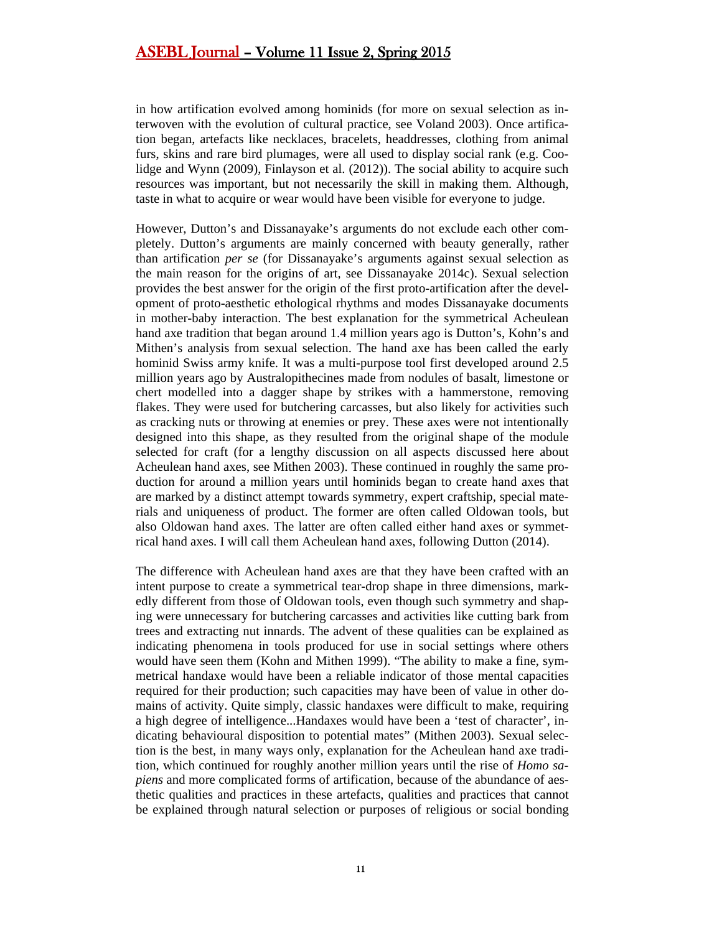in how artification evolved among hominids (for more on sexual selection as interwoven with the evolution of cultural practice, see Voland 2003). Once artification began, artefacts like necklaces, bracelets, headdresses, clothing from animal furs, skins and rare bird plumages, were all used to display social rank (e.g. Coolidge and Wynn (2009), Finlayson et al. (2012)). The social ability to acquire such resources was important, but not necessarily the skill in making them. Although, taste in what to acquire or wear would have been visible for everyone to judge.

However, Dutton's and Dissanayake's arguments do not exclude each other completely. Dutton's arguments are mainly concerned with beauty generally, rather than artification *per se* (for Dissanayake's arguments against sexual selection as the main reason for the origins of art, see Dissanayake 2014c). Sexual selection provides the best answer for the origin of the first proto-artification after the development of proto-aesthetic ethological rhythms and modes Dissanayake documents in mother-baby interaction. The best explanation for the symmetrical Acheulean hand axe tradition that began around 1.4 million years ago is Dutton's, Kohn's and Mithen's analysis from sexual selection. The hand axe has been called the early hominid Swiss army knife. It was a multi-purpose tool first developed around 2.5 million years ago by Australopithecines made from nodules of basalt, limestone or chert modelled into a dagger shape by strikes with a hammerstone, removing flakes. They were used for butchering carcasses, but also likely for activities such as cracking nuts or throwing at enemies or prey. These axes were not intentionally designed into this shape, as they resulted from the original shape of the module selected for craft (for a lengthy discussion on all aspects discussed here about Acheulean hand axes, see Mithen 2003). These continued in roughly the same production for around a million years until hominids began to create hand axes that are marked by a distinct attempt towards symmetry, expert craftship, special materials and uniqueness of product. The former are often called Oldowan tools, but also Oldowan hand axes. The latter are often called either hand axes or symmetrical hand axes. I will call them Acheulean hand axes, following Dutton (2014).

The difference with Acheulean hand axes are that they have been crafted with an intent purpose to create a symmetrical tear-drop shape in three dimensions, markedly different from those of Oldowan tools, even though such symmetry and shaping were unnecessary for butchering carcasses and activities like cutting bark from trees and extracting nut innards. The advent of these qualities can be explained as indicating phenomena in tools produced for use in social settings where others would have seen them (Kohn and Mithen 1999). "The ability to make a fine, symmetrical handaxe would have been a reliable indicator of those mental capacities required for their production; such capacities may have been of value in other domains of activity. Quite simply, classic handaxes were difficult to make, requiring a high degree of intelligence...Handaxes would have been a 'test of character', indicating behavioural disposition to potential mates" (Mithen 2003). Sexual selection is the best, in many ways only, explanation for the Acheulean hand axe tradition, which continued for roughly another million years until the rise of *Homo sapiens* and more complicated forms of artification, because of the abundance of aesthetic qualities and practices in these artefacts, qualities and practices that cannot be explained through natural selection or purposes of religious or social bonding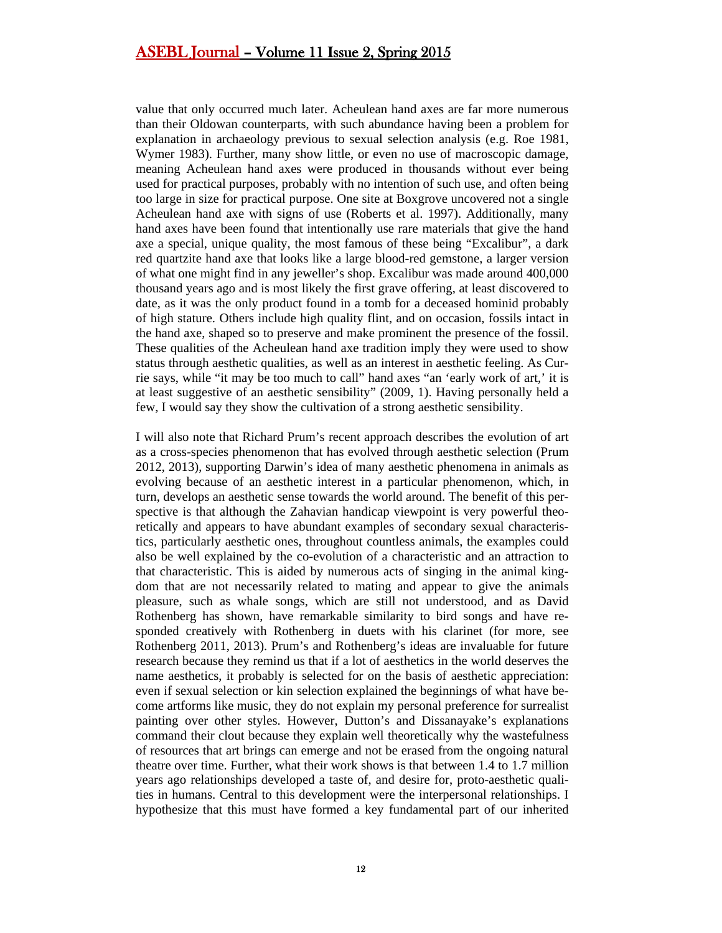value that only occurred much later. Acheulean hand axes are far more numerous than their Oldowan counterparts, with such abundance having been a problem for explanation in archaeology previous to sexual selection analysis (e.g. Roe 1981, Wymer 1983). Further, many show little, or even no use of macroscopic damage, meaning Acheulean hand axes were produced in thousands without ever being used for practical purposes, probably with no intention of such use, and often being too large in size for practical purpose. One site at Boxgrove uncovered not a single Acheulean hand axe with signs of use (Roberts et al. 1997). Additionally, many hand axes have been found that intentionally use rare materials that give the hand axe a special, unique quality, the most famous of these being "Excalibur", a dark red quartzite hand axe that looks like a large blood-red gemstone, a larger version of what one might find in any jeweller's shop. Excalibur was made around 400,000 thousand years ago and is most likely the first grave offering, at least discovered to date, as it was the only product found in a tomb for a deceased hominid probably of high stature. Others include high quality flint, and on occasion, fossils intact in the hand axe, shaped so to preserve and make prominent the presence of the fossil. These qualities of the Acheulean hand axe tradition imply they were used to show status through aesthetic qualities, as well as an interest in aesthetic feeling. As Currie says, while "it may be too much to call" hand axes "an 'early work of art,' it is at least suggestive of an aesthetic sensibility" (2009, 1). Having personally held a few, I would say they show the cultivation of a strong aesthetic sensibility.

I will also note that Richard Prum's recent approach describes the evolution of art as a cross-species phenomenon that has evolved through aesthetic selection (Prum 2012, 2013), supporting Darwin's idea of many aesthetic phenomena in animals as evolving because of an aesthetic interest in a particular phenomenon, which, in turn, develops an aesthetic sense towards the world around. The benefit of this perspective is that although the Zahavian handicap viewpoint is very powerful theoretically and appears to have abundant examples of secondary sexual characteristics, particularly aesthetic ones, throughout countless animals, the examples could also be well explained by the co-evolution of a characteristic and an attraction to that characteristic. This is aided by numerous acts of singing in the animal kingdom that are not necessarily related to mating and appear to give the animals pleasure, such as whale songs, which are still not understood, and as David Rothenberg has shown, have remarkable similarity to bird songs and have responded creatively with Rothenberg in duets with his clarinet (for more, see Rothenberg 2011, 2013). Prum's and Rothenberg's ideas are invaluable for future research because they remind us that if a lot of aesthetics in the world deserves the name aesthetics, it probably is selected for on the basis of aesthetic appreciation: even if sexual selection or kin selection explained the beginnings of what have become artforms like music, they do not explain my personal preference for surrealist painting over other styles. However, Dutton's and Dissanayake's explanations command their clout because they explain well theoretically why the wastefulness of resources that art brings can emerge and not be erased from the ongoing natural theatre over time. Further, what their work shows is that between 1.4 to 1.7 million years ago relationships developed a taste of, and desire for, proto-aesthetic qualities in humans. Central to this development were the interpersonal relationships. I hypothesize that this must have formed a key fundamental part of our inherited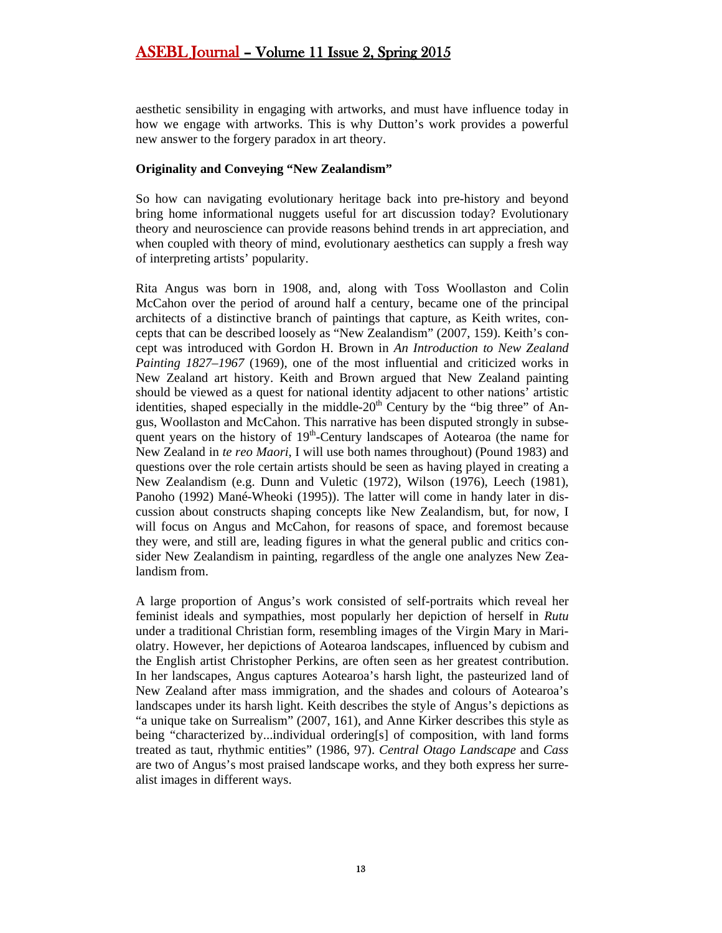aesthetic sensibility in engaging with artworks, and must have influence today in how we engage with artworks. This is why Dutton's work provides a powerful new answer to the forgery paradox in art theory.

#### **Originality and Conveying "New Zealandism"**

So how can navigating evolutionary heritage back into pre-history and beyond bring home informational nuggets useful for art discussion today? Evolutionary theory and neuroscience can provide reasons behind trends in art appreciation, and when coupled with theory of mind, evolutionary aesthetics can supply a fresh way of interpreting artists' popularity.

Rita Angus was born in 1908, and, along with Toss Woollaston and Colin McCahon over the period of around half a century, became one of the principal architects of a distinctive branch of paintings that capture, as Keith writes, concepts that can be described loosely as "New Zealandism" (2007, 159). Keith's concept was introduced with Gordon H. Brown in *An Introduction to New Zealand Painting 1827–1967* (1969), one of the most influential and criticized works in New Zealand art history. Keith and Brown argued that New Zealand painting should be viewed as a quest for national identity adjacent to other nations' artistic identities, shaped especially in the middle- $20<sup>th</sup>$  Century by the "big three" of Angus, Woollaston and McCahon. This narrative has been disputed strongly in subsequent years on the history of  $19<sup>th</sup>$ -Century landscapes of Aotearoa (the name for New Zealand in *te reo Maori*, I will use both names throughout) (Pound 1983) and questions over the role certain artists should be seen as having played in creating a New Zealandism (e.g. Dunn and Vuletic (1972), Wilson (1976), Leech (1981), Panoho (1992) Mané-Wheoki (1995)). The latter will come in handy later in discussion about constructs shaping concepts like New Zealandism, but, for now, I will focus on Angus and McCahon, for reasons of space, and foremost because they were, and still are, leading figures in what the general public and critics consider New Zealandism in painting, regardless of the angle one analyzes New Zealandism from.

A large proportion of Angus's work consisted of self-portraits which reveal her feminist ideals and sympathies, most popularly her depiction of herself in *Rutu* under a traditional Christian form, resembling images of the Virgin Mary in Mariolatry. However, her depictions of Aotearoa landscapes, influenced by cubism and the English artist Christopher Perkins, are often seen as her greatest contribution. In her landscapes, Angus captures Aotearoa's harsh light, the pasteurized land of New Zealand after mass immigration, and the shades and colours of Aotearoa's landscapes under its harsh light. Keith describes the style of Angus's depictions as "a unique take on Surrealism" (2007, 161), and Anne Kirker describes this style as being "characterized by...individual ordering[s] of composition, with land forms treated as taut, rhythmic entities" (1986, 97). *Central Otago Landscape* and *Cass* are two of Angus's most praised landscape works, and they both express her surrealist images in different ways.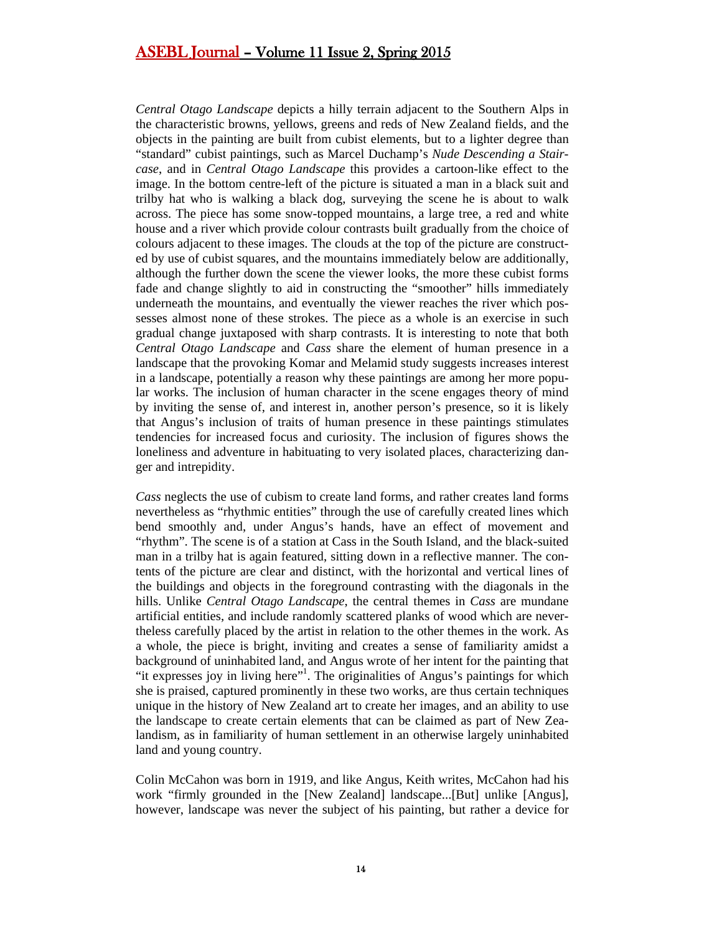*Central Otago Landscape* depicts a hilly terrain adjacent to the Southern Alps in the characteristic browns, yellows, greens and reds of New Zealand fields, and the objects in the painting are built from cubist elements, but to a lighter degree than "standard" cubist paintings, such as Marcel Duchamp's *Nude Descending a Staircase*, and in *Central Otago Landscape* this provides a cartoon-like effect to the image. In the bottom centre-left of the picture is situated a man in a black suit and trilby hat who is walking a black dog, surveying the scene he is about to walk across. The piece has some snow-topped mountains, a large tree, a red and white house and a river which provide colour contrasts built gradually from the choice of colours adjacent to these images. The clouds at the top of the picture are constructed by use of cubist squares, and the mountains immediately below are additionally, although the further down the scene the viewer looks, the more these cubist forms fade and change slightly to aid in constructing the "smoother" hills immediately underneath the mountains, and eventually the viewer reaches the river which possesses almost none of these strokes. The piece as a whole is an exercise in such gradual change juxtaposed with sharp contrasts. It is interesting to note that both *Central Otago Landscape* and *Cass* share the element of human presence in a landscape that the provoking Komar and Melamid study suggests increases interest in a landscape, potentially a reason why these paintings are among her more popular works. The inclusion of human character in the scene engages theory of mind by inviting the sense of, and interest in, another person's presence, so it is likely that Angus's inclusion of traits of human presence in these paintings stimulates tendencies for increased focus and curiosity. The inclusion of figures shows the loneliness and adventure in habituating to very isolated places, characterizing danger and intrepidity.

*Cass* neglects the use of cubism to create land forms, and rather creates land forms nevertheless as "rhythmic entities" through the use of carefully created lines which bend smoothly and, under Angus's hands, have an effect of movement and "rhythm". The scene is of a station at Cass in the South Island, and the black-suited man in a trilby hat is again featured, sitting down in a reflective manner. The contents of the picture are clear and distinct, with the horizontal and vertical lines of the buildings and objects in the foreground contrasting with the diagonals in the hills. Unlike *Central Otago Landscape*, the central themes in *Cass* are mundane artificial entities, and include randomly scattered planks of wood which are nevertheless carefully placed by the artist in relation to the other themes in the work. As a whole, the piece is bright, inviting and creates a sense of familiarity amidst a background of uninhabited land, and Angus wrote of her intent for the painting that "it expresses joy in living here"<sup>1</sup>. The originalities of Angus's paintings for which she is praised, captured prominently in these two works, are thus certain techniques unique in the history of New Zealand art to create her images, and an ability to use the landscape to create certain elements that can be claimed as part of New Zealandism, as in familiarity of human settlement in an otherwise largely uninhabited land and young country.

Colin McCahon was born in 1919, and like Angus, Keith writes, McCahon had his work "firmly grounded in the [New Zealand] landscape...[But] unlike [Angus], however, landscape was never the subject of his painting, but rather a device for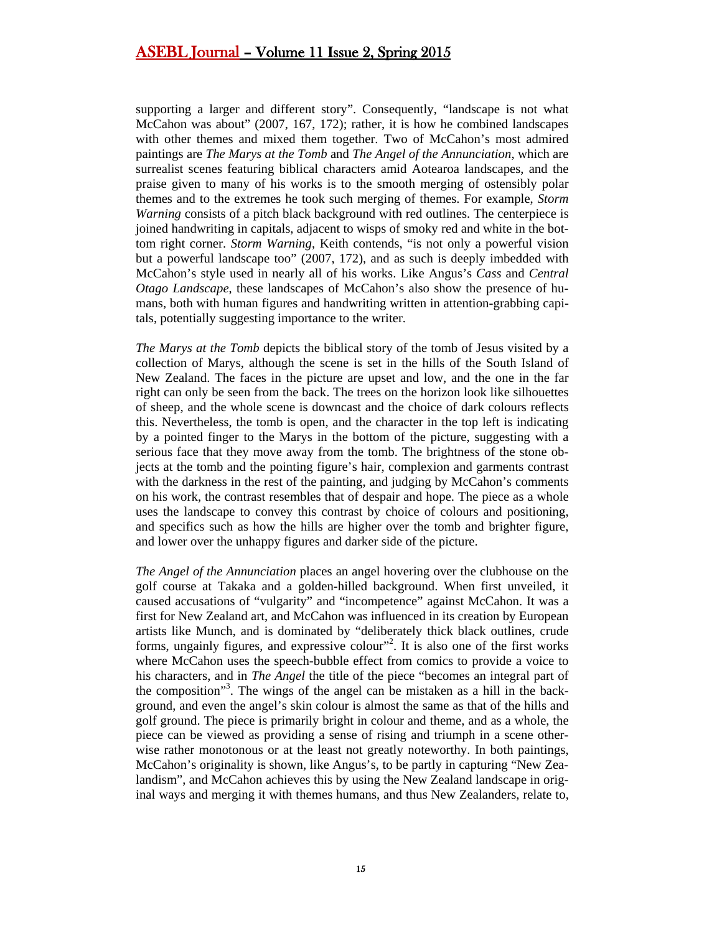supporting a larger and different story". Consequently, "landscape is not what McCahon was about" (2007, 167, 172); rather, it is how he combined landscapes with other themes and mixed them together. Two of McCahon's most admired paintings are *The Marys at the Tomb* and *The Angel of the Annunciation*, which are surrealist scenes featuring biblical characters amid Aotearoa landscapes, and the praise given to many of his works is to the smooth merging of ostensibly polar themes and to the extremes he took such merging of themes. For example, *Storm Warning* consists of a pitch black background with red outlines. The centerpiece is joined handwriting in capitals, adjacent to wisps of smoky red and white in the bottom right corner. *Storm Warning*, Keith contends, "is not only a powerful vision but a powerful landscape too" (2007, 172), and as such is deeply imbedded with McCahon's style used in nearly all of his works. Like Angus's *Cass* and *Central Otago Landscape*, these landscapes of McCahon's also show the presence of humans, both with human figures and handwriting written in attention-grabbing capitals, potentially suggesting importance to the writer.

*The Marys at the Tomb* depicts the biblical story of the tomb of Jesus visited by a collection of Marys, although the scene is set in the hills of the South Island of New Zealand. The faces in the picture are upset and low, and the one in the far right can only be seen from the back. The trees on the horizon look like silhouettes of sheep, and the whole scene is downcast and the choice of dark colours reflects this. Nevertheless, the tomb is open, and the character in the top left is indicating by a pointed finger to the Marys in the bottom of the picture, suggesting with a serious face that they move away from the tomb. The brightness of the stone objects at the tomb and the pointing figure's hair, complexion and garments contrast with the darkness in the rest of the painting, and judging by McCahon's comments on his work, the contrast resembles that of despair and hope. The piece as a whole uses the landscape to convey this contrast by choice of colours and positioning, and specifics such as how the hills are higher over the tomb and brighter figure, and lower over the unhappy figures and darker side of the picture.

*The Angel of the Annunciation* places an angel hovering over the clubhouse on the golf course at Takaka and a golden-hilled background. When first unveiled, it caused accusations of "vulgarity" and "incompetence" against McCahon. It was a first for New Zealand art, and McCahon was influenced in its creation by European artists like Munch, and is dominated by "deliberately thick black outlines, crude forms, ungainly figures, and expressive colour"<sup>2</sup>. It is also one of the first works where McCahon uses the speech-bubble effect from comics to provide a voice to his characters, and in *The Angel* the title of the piece "becomes an integral part of the composition"3 . The wings of the angel can be mistaken as a hill in the background, and even the angel's skin colour is almost the same as that of the hills and golf ground. The piece is primarily bright in colour and theme, and as a whole, the piece can be viewed as providing a sense of rising and triumph in a scene otherwise rather monotonous or at the least not greatly noteworthy. In both paintings, McCahon's originality is shown, like Angus's, to be partly in capturing "New Zealandism", and McCahon achieves this by using the New Zealand landscape in original ways and merging it with themes humans, and thus New Zealanders, relate to,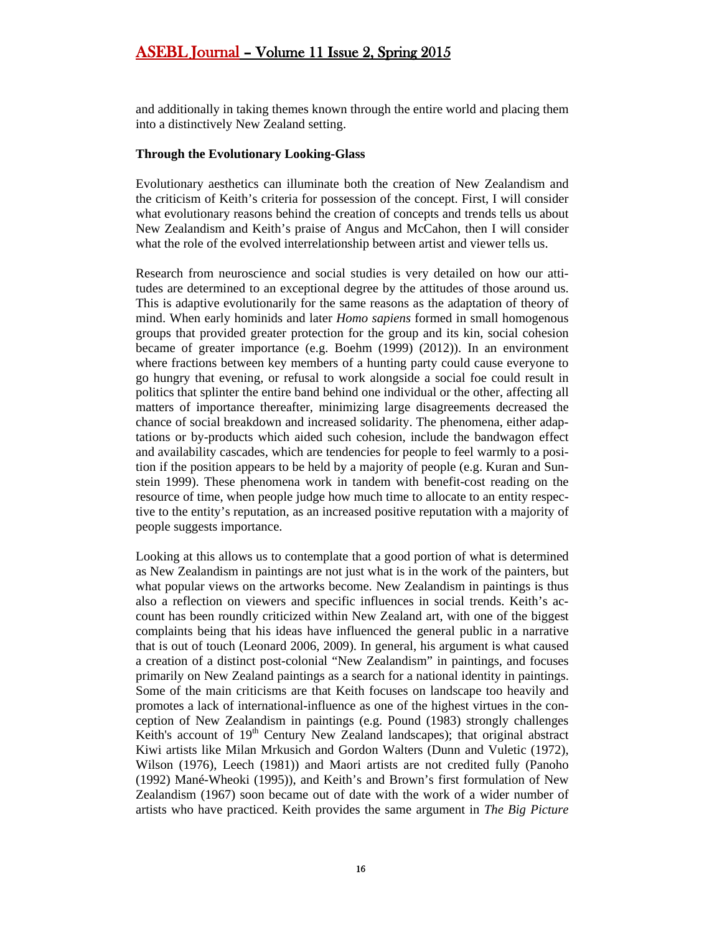and additionally in taking themes known through the entire world and placing them into a distinctively New Zealand setting.

#### **Through the Evolutionary Looking-Glass**

Evolutionary aesthetics can illuminate both the creation of New Zealandism and the criticism of Keith's criteria for possession of the concept. First, I will consider what evolutionary reasons behind the creation of concepts and trends tells us about New Zealandism and Keith's praise of Angus and McCahon, then I will consider what the role of the evolved interrelationship between artist and viewer tells us.

Research from neuroscience and social studies is very detailed on how our attitudes are determined to an exceptional degree by the attitudes of those around us. This is adaptive evolutionarily for the same reasons as the adaptation of theory of mind. When early hominids and later *Homo sapiens* formed in small homogenous groups that provided greater protection for the group and its kin, social cohesion became of greater importance (e.g. Boehm (1999) (2012)). In an environment where fractions between key members of a hunting party could cause everyone to go hungry that evening, or refusal to work alongside a social foe could result in politics that splinter the entire band behind one individual or the other, affecting all matters of importance thereafter, minimizing large disagreements decreased the chance of social breakdown and increased solidarity. The phenomena, either adaptations or by-products which aided such cohesion, include the bandwagon effect and availability cascades, which are tendencies for people to feel warmly to a position if the position appears to be held by a majority of people (e.g. Kuran and Sunstein 1999). These phenomena work in tandem with benefit-cost reading on the resource of time, when people judge how much time to allocate to an entity respective to the entity's reputation, as an increased positive reputation with a majority of people suggests importance.

Looking at this allows us to contemplate that a good portion of what is determined as New Zealandism in paintings are not just what is in the work of the painters, but what popular views on the artworks become. New Zealandism in paintings is thus also a reflection on viewers and specific influences in social trends. Keith's account has been roundly criticized within New Zealand art, with one of the biggest complaints being that his ideas have influenced the general public in a narrative that is out of touch (Leonard 2006, 2009). In general, his argument is what caused a creation of a distinct post-colonial "New Zealandism" in paintings, and focuses primarily on New Zealand paintings as a search for a national identity in paintings. Some of the main criticisms are that Keith focuses on landscape too heavily and promotes a lack of international-influence as one of the highest virtues in the conception of New Zealandism in paintings (e.g. Pound (1983) strongly challenges Keith's account of  $19<sup>th</sup>$  Century New Zealand landscapes); that original abstract Kiwi artists like Milan Mrkusich and Gordon Walters (Dunn and Vuletic (1972), Wilson (1976), Leech (1981)) and Maori artists are not credited fully (Panoho (1992) Mané-Wheoki (1995)), and Keith's and Brown's first formulation of New Zealandism (1967) soon became out of date with the work of a wider number of artists who have practiced. Keith provides the same argument in *The Big Picture*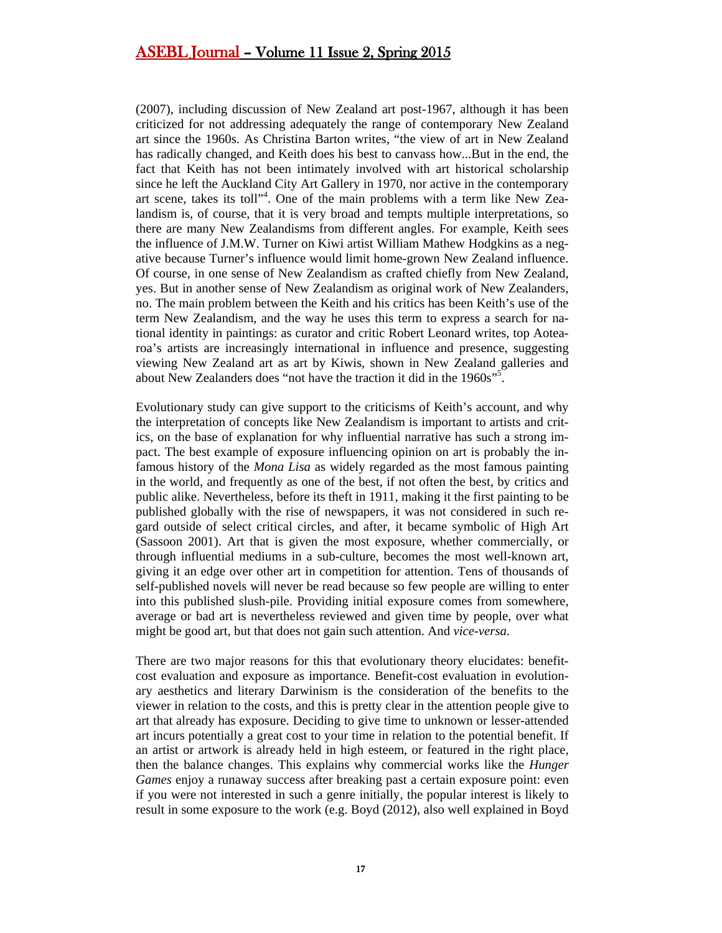(2007), including discussion of New Zealand art post-1967, although it has been criticized for not addressing adequately the range of contemporary New Zealand art since the 1960s. As Christina Barton writes, "the view of art in New Zealand has radically changed, and Keith does his best to canvass how...But in the end, the fact that Keith has not been intimately involved with art historical scholarship since he left the Auckland City Art Gallery in 1970, nor active in the contemporary art scene, takes its toll"<sup>4</sup>. One of the main problems with a term like New Zealandism is, of course, that it is very broad and tempts multiple interpretations, so there are many New Zealandisms from different angles. For example, Keith sees the influence of J.M.W. Turner on Kiwi artist William Mathew Hodgkins as a negative because Turner's influence would limit home-grown New Zealand influence. Of course, in one sense of New Zealandism as crafted chiefly from New Zealand, yes. But in another sense of New Zealandism as original work of New Zealanders, no. The main problem between the Keith and his critics has been Keith's use of the term New Zealandism, and the way he uses this term to express a search for national identity in paintings: as curator and critic Robert Leonard writes, top Aotearoa's artists are increasingly international in influence and presence, suggesting viewing New Zealand art as art by Kiwis, shown in New Zealand galleries and about New Zealanders does "not have the traction it did in the 1960s"<sup>5</sup>.

Evolutionary study can give support to the criticisms of Keith's account, and why the interpretation of concepts like New Zealandism is important to artists and critics, on the base of explanation for why influential narrative has such a strong impact. The best example of exposure influencing opinion on art is probably the infamous history of the *Mona Lisa* as widely regarded as the most famous painting in the world, and frequently as one of the best, if not often the best, by critics and public alike. Nevertheless, before its theft in 1911, making it the first painting to be published globally with the rise of newspapers, it was not considered in such regard outside of select critical circles, and after, it became symbolic of High Art (Sassoon 2001). Art that is given the most exposure, whether commercially, or through influential mediums in a sub-culture, becomes the most well-known art, giving it an edge over other art in competition for attention. Tens of thousands of self-published novels will never be read because so few people are willing to enter into this published slush-pile. Providing initial exposure comes from somewhere, average or bad art is nevertheless reviewed and given time by people, over what might be good art, but that does not gain such attention. And *vice-versa*.

There are two major reasons for this that evolutionary theory elucidates: benefitcost evaluation and exposure as importance. Benefit-cost evaluation in evolutionary aesthetics and literary Darwinism is the consideration of the benefits to the viewer in relation to the costs, and this is pretty clear in the attention people give to art that already has exposure. Deciding to give time to unknown or lesser-attended art incurs potentially a great cost to your time in relation to the potential benefit. If an artist or artwork is already held in high esteem, or featured in the right place, then the balance changes. This explains why commercial works like the *Hunger Games* enjoy a runaway success after breaking past a certain exposure point: even if you were not interested in such a genre initially, the popular interest is likely to result in some exposure to the work (e.g. Boyd (2012), also well explained in Boyd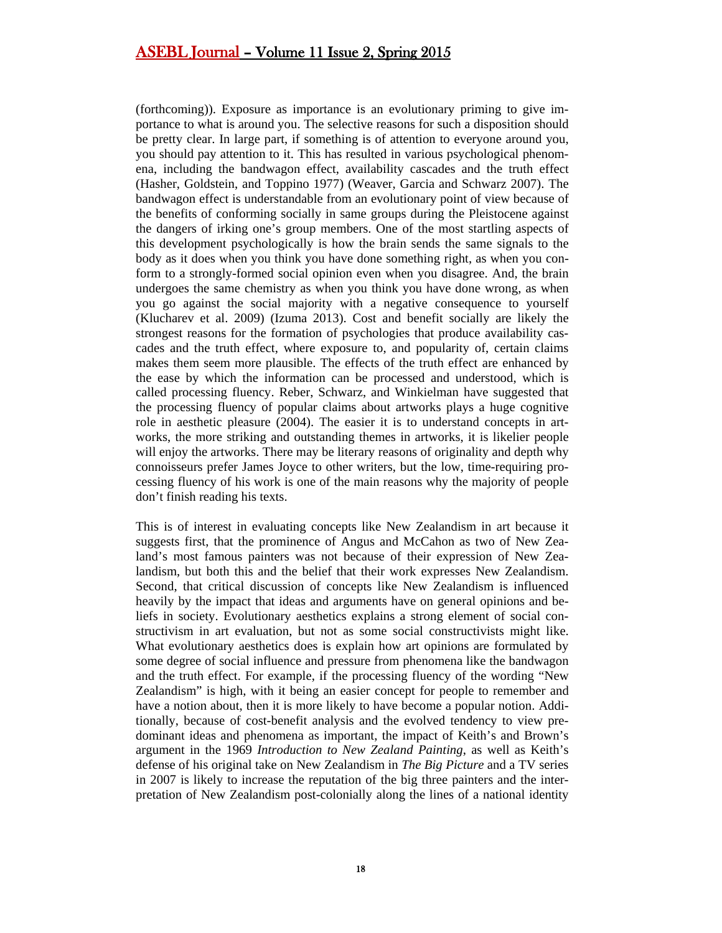(forthcoming)). Exposure as importance is an evolutionary priming to give importance to what is around you. The selective reasons for such a disposition should be pretty clear. In large part, if something is of attention to everyone around you, you should pay attention to it. This has resulted in various psychological phenomena, including the bandwagon effect, availability cascades and the truth effect (Hasher, Goldstein, and Toppino 1977) (Weaver, Garcia and Schwarz 2007). The bandwagon effect is understandable from an evolutionary point of view because of the benefits of conforming socially in same groups during the Pleistocene against the dangers of irking one's group members. One of the most startling aspects of this development psychologically is how the brain sends the same signals to the body as it does when you think you have done something right, as when you conform to a strongly-formed social opinion even when you disagree. And, the brain undergoes the same chemistry as when you think you have done wrong, as when you go against the social majority with a negative consequence to yourself (Klucharev et al. 2009) (Izuma 2013). Cost and benefit socially are likely the strongest reasons for the formation of psychologies that produce availability cascades and the truth effect, where exposure to, and popularity of, certain claims makes them seem more plausible. The effects of the truth effect are enhanced by the ease by which the information can be processed and understood, which is called processing fluency. Reber, Schwarz, and Winkielman have suggested that the processing fluency of popular claims about artworks plays a huge cognitive role in aesthetic pleasure (2004). The easier it is to understand concepts in artworks, the more striking and outstanding themes in artworks, it is likelier people will enjoy the artworks. There may be literary reasons of originality and depth why connoisseurs prefer James Joyce to other writers, but the low, time-requiring processing fluency of his work is one of the main reasons why the majority of people don't finish reading his texts.

This is of interest in evaluating concepts like New Zealandism in art because it suggests first, that the prominence of Angus and McCahon as two of New Zealand's most famous painters was not because of their expression of New Zealandism, but both this and the belief that their work expresses New Zealandism. Second, that critical discussion of concepts like New Zealandism is influenced heavily by the impact that ideas and arguments have on general opinions and beliefs in society. Evolutionary aesthetics explains a strong element of social constructivism in art evaluation, but not as some social constructivists might like. What evolutionary aesthetics does is explain how art opinions are formulated by some degree of social influence and pressure from phenomena like the bandwagon and the truth effect. For example, if the processing fluency of the wording "New Zealandism" is high, with it being an easier concept for people to remember and have a notion about, then it is more likely to have become a popular notion. Additionally, because of cost-benefit analysis and the evolved tendency to view predominant ideas and phenomena as important, the impact of Keith's and Brown's argument in the 1969 *Introduction to New Zealand Painting*, as well as Keith's defense of his original take on New Zealandism in *The Big Picture* and a TV series in 2007 is likely to increase the reputation of the big three painters and the interpretation of New Zealandism post-colonially along the lines of a national identity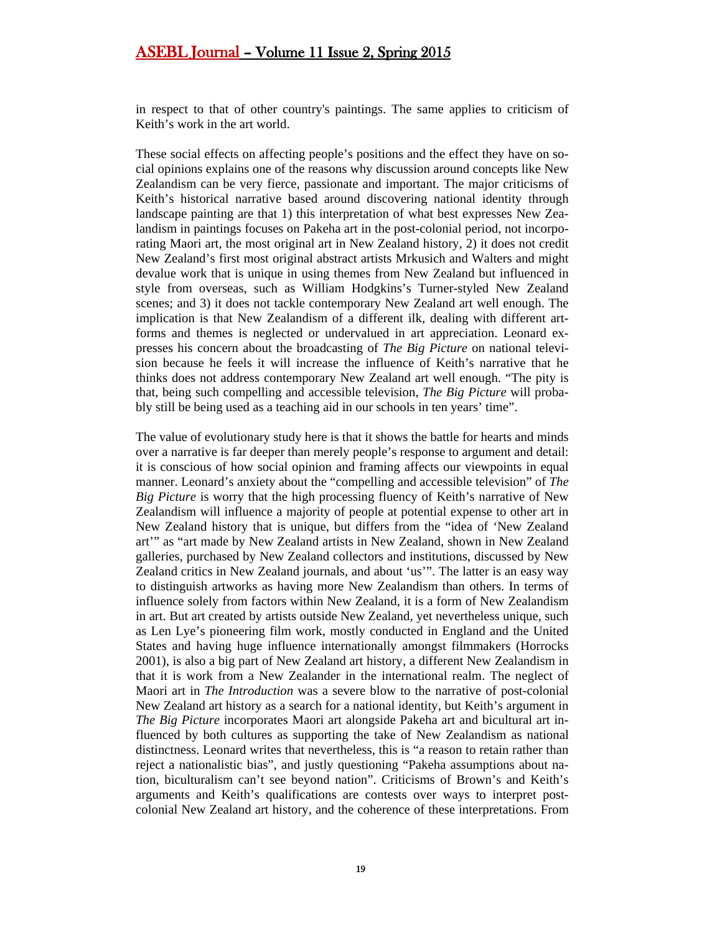in respect to that of other country's paintings. The same applies to criticism of Keith's work in the art world.

These social effects on affecting people's positions and the effect they have on social opinions explains one of the reasons why discussion around concepts like New Zealandism can be very fierce, passionate and important. The major criticisms of Keith's historical narrative based around discovering national identity through landscape painting are that 1) this interpretation of what best expresses New Zealandism in paintings focuses on Pakeha art in the post-colonial period, not incorporating Maori art, the most original art in New Zealand history, 2) it does not credit New Zealand's first most original abstract artists Mrkusich and Walters and might devalue work that is unique in using themes from New Zealand but influenced in style from overseas, such as William Hodgkins's Turner-styled New Zealand scenes; and 3) it does not tackle contemporary New Zealand art well enough. The implication is that New Zealandism of a different ilk, dealing with different artforms and themes is neglected or undervalued in art appreciation. Leonard expresses his concern about the broadcasting of *The Big Picture* on national television because he feels it will increase the influence of Keith's narrative that he thinks does not address contemporary New Zealand art well enough. "The pity is that, being such compelling and accessible television, *The Big Picture* will probably still be being used as a teaching aid in our schools in ten years' time".

The value of evolutionary study here is that it shows the battle for hearts and minds over a narrative is far deeper than merely people's response to argument and detail: it is conscious of how social opinion and framing affects our viewpoints in equal manner. Leonard's anxiety about the "compelling and accessible television" of *The Big Picture* is worry that the high processing fluency of Keith's narrative of New Zealandism will influence a majority of people at potential expense to other art in New Zealand history that is unique, but differs from the "idea of 'New Zealand art'" as "art made by New Zealand artists in New Zealand, shown in New Zealand galleries, purchased by New Zealand collectors and institutions, discussed by New Zealand critics in New Zealand journals, and about 'us'". The latter is an easy way to distinguish artworks as having more New Zealandism than others. In terms of influence solely from factors within New Zealand, it is a form of New Zealandism in art. But art created by artists outside New Zealand, yet nevertheless unique, such as Len Lye's pioneering film work, mostly conducted in England and the United States and having huge influence internationally amongst filmmakers (Horrocks 2001), is also a big part of New Zealand art history, a different New Zealandism in that it is work from a New Zealander in the international realm. The neglect of Maori art in *The Introduction* was a severe blow to the narrative of post-colonial New Zealand art history as a search for a national identity, but Keith's argument in *The Big Picture* incorporates Maori art alongside Pakeha art and bicultural art influenced by both cultures as supporting the take of New Zealandism as national distinctness. Leonard writes that nevertheless, this is "a reason to retain rather than reject a nationalistic bias", and justly questioning "Pakeha assumptions about nation, biculturalism can't see beyond nation". Criticisms of Brown's and Keith's arguments and Keith's qualifications are contests over ways to interpret postcolonial New Zealand art history, and the coherence of these interpretations. From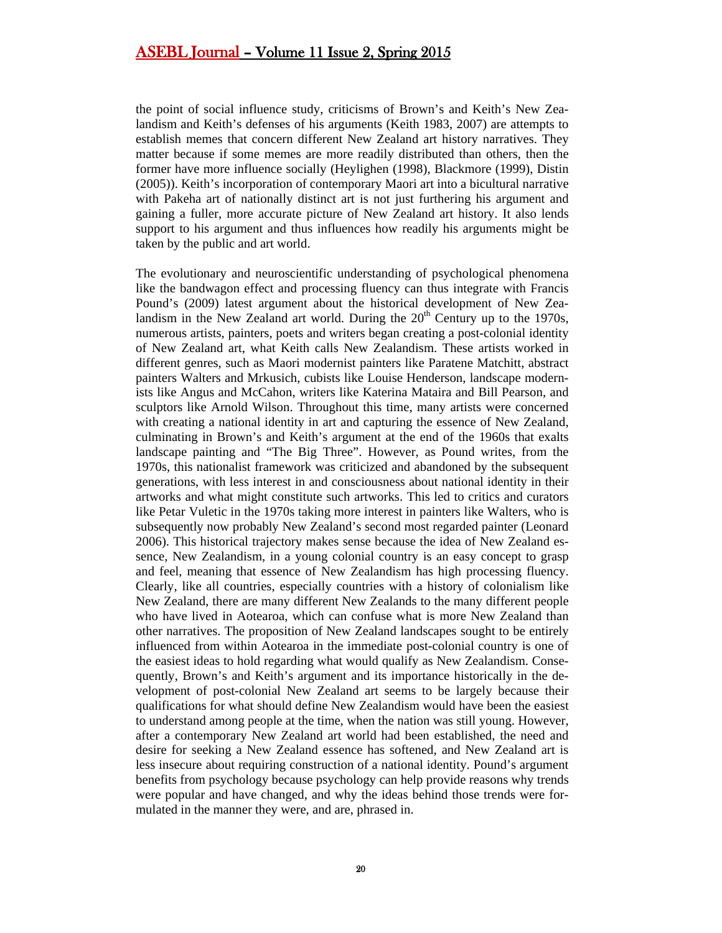the point of social influence study, criticisms of Brown's and Keith's New Zealandism and Keith's defenses of his arguments (Keith 1983, 2007) are attempts to establish memes that concern different New Zealand art history narratives. They matter because if some memes are more readily distributed than others, then the former have more influence socially (Heylighen (1998), Blackmore (1999), Distin (2005)). Keith's incorporation of contemporary Maori art into a bicultural narrative with Pakeha art of nationally distinct art is not just furthering his argument and gaining a fuller, more accurate picture of New Zealand art history. It also lends support to his argument and thus influences how readily his arguments might be taken by the public and art world.

The evolutionary and neuroscientific understanding of psychological phenomena like the bandwagon effect and processing fluency can thus integrate with Francis Pound's (2009) latest argument about the historical development of New Zealandism in the New Zealand art world. During the  $20<sup>th</sup>$  Century up to the 1970s, numerous artists, painters, poets and writers began creating a post-colonial identity of New Zealand art, what Keith calls New Zealandism. These artists worked in different genres, such as Maori modernist painters like Paratene Matchitt, abstract painters Walters and Mrkusich, cubists like Louise Henderson, landscape modernists like Angus and McCahon, writers like Katerina Mataira and Bill Pearson, and sculptors like Arnold Wilson. Throughout this time, many artists were concerned with creating a national identity in art and capturing the essence of New Zealand, culminating in Brown's and Keith's argument at the end of the 1960s that exalts landscape painting and "The Big Three". However, as Pound writes, from the 1970s, this nationalist framework was criticized and abandoned by the subsequent generations, with less interest in and consciousness about national identity in their artworks and what might constitute such artworks. This led to critics and curators like Petar Vuletic in the 1970s taking more interest in painters like Walters, who is subsequently now probably New Zealand's second most regarded painter (Leonard 2006). This historical trajectory makes sense because the idea of New Zealand essence, New Zealandism, in a young colonial country is an easy concept to grasp and feel, meaning that essence of New Zealandism has high processing fluency. Clearly, like all countries, especially countries with a history of colonialism like New Zealand, there are many different New Zealands to the many different people who have lived in Aotearoa, which can confuse what is more New Zealand than other narratives. The proposition of New Zealand landscapes sought to be entirely influenced from within Aotearoa in the immediate post-colonial country is one of the easiest ideas to hold regarding what would qualify as New Zealandism. Consequently, Brown's and Keith's argument and its importance historically in the development of post-colonial New Zealand art seems to be largely because their qualifications for what should define New Zealandism would have been the easiest to understand among people at the time, when the nation was still young. However, after a contemporary New Zealand art world had been established, the need and desire for seeking a New Zealand essence has softened, and New Zealand art is less insecure about requiring construction of a national identity. Pound's argument benefits from psychology because psychology can help provide reasons why trends were popular and have changed, and why the ideas behind those trends were formulated in the manner they were, and are, phrased in.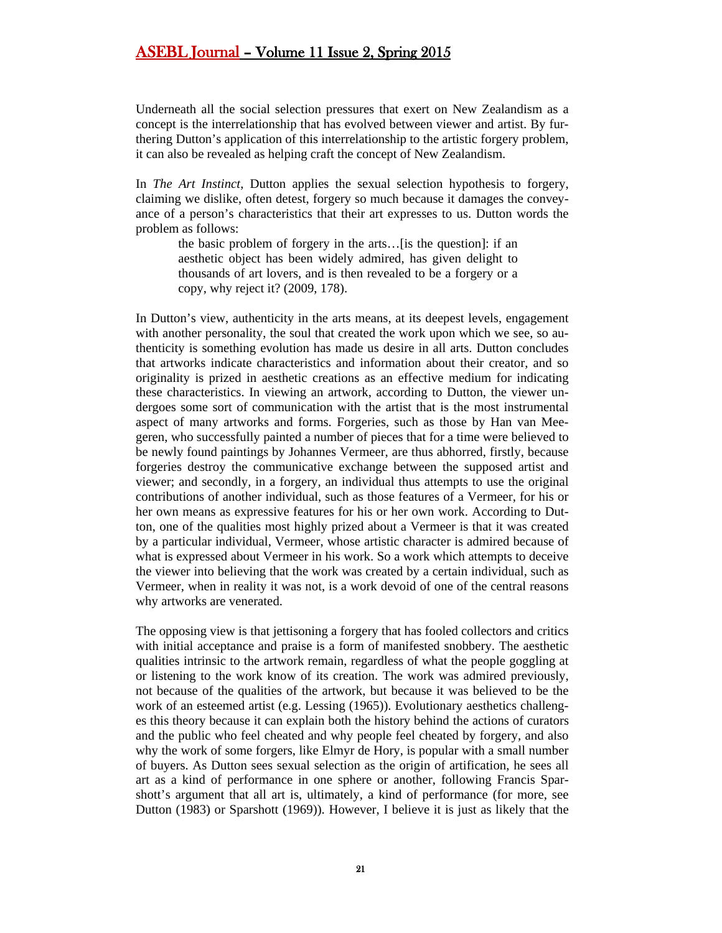Underneath all the social selection pressures that exert on New Zealandism as a concept is the interrelationship that has evolved between viewer and artist. By furthering Dutton's application of this interrelationship to the artistic forgery problem, it can also be revealed as helping craft the concept of New Zealandism.

In *The Art Instinct*, Dutton applies the sexual selection hypothesis to forgery, claiming we dislike, often detest, forgery so much because it damages the conveyance of a person's characteristics that their art expresses to us. Dutton words the problem as follows:

the basic problem of forgery in the arts…[is the question]: if an aesthetic object has been widely admired, has given delight to thousands of art lovers, and is then revealed to be a forgery or a copy, why reject it? (2009, 178).

In Dutton's view, authenticity in the arts means, at its deepest levels, engagement with another personality, the soul that created the work upon which we see, so authenticity is something evolution has made us desire in all arts. Dutton concludes that artworks indicate characteristics and information about their creator, and so originality is prized in aesthetic creations as an effective medium for indicating these characteristics. In viewing an artwork, according to Dutton, the viewer undergoes some sort of communication with the artist that is the most instrumental aspect of many artworks and forms. Forgeries, such as those by Han van Meegeren, who successfully painted a number of pieces that for a time were believed to be newly found paintings by Johannes Vermeer, are thus abhorred, firstly, because forgeries destroy the communicative exchange between the supposed artist and viewer; and secondly, in a forgery, an individual thus attempts to use the original contributions of another individual, such as those features of a Vermeer, for his or her own means as expressive features for his or her own work. According to Dutton, one of the qualities most highly prized about a Vermeer is that it was created by a particular individual, Vermeer, whose artistic character is admired because of what is expressed about Vermeer in his work. So a work which attempts to deceive the viewer into believing that the work was created by a certain individual, such as Vermeer, when in reality it was not, is a work devoid of one of the central reasons why artworks are venerated.

The opposing view is that jettisoning a forgery that has fooled collectors and critics with initial acceptance and praise is a form of manifested snobbery. The aesthetic qualities intrinsic to the artwork remain, regardless of what the people goggling at or listening to the work know of its creation. The work was admired previously, not because of the qualities of the artwork, but because it was believed to be the work of an esteemed artist (e.g. Lessing (1965)). Evolutionary aesthetics challenges this theory because it can explain both the history behind the actions of curators and the public who feel cheated and why people feel cheated by forgery, and also why the work of some forgers, like Elmyr de Hory, is popular with a small number of buyers. As Dutton sees sexual selection as the origin of artification, he sees all art as a kind of performance in one sphere or another, following Francis Sparshott's argument that all art is, ultimately, a kind of performance (for more, see Dutton (1983) or Sparshott (1969)). However, I believe it is just as likely that the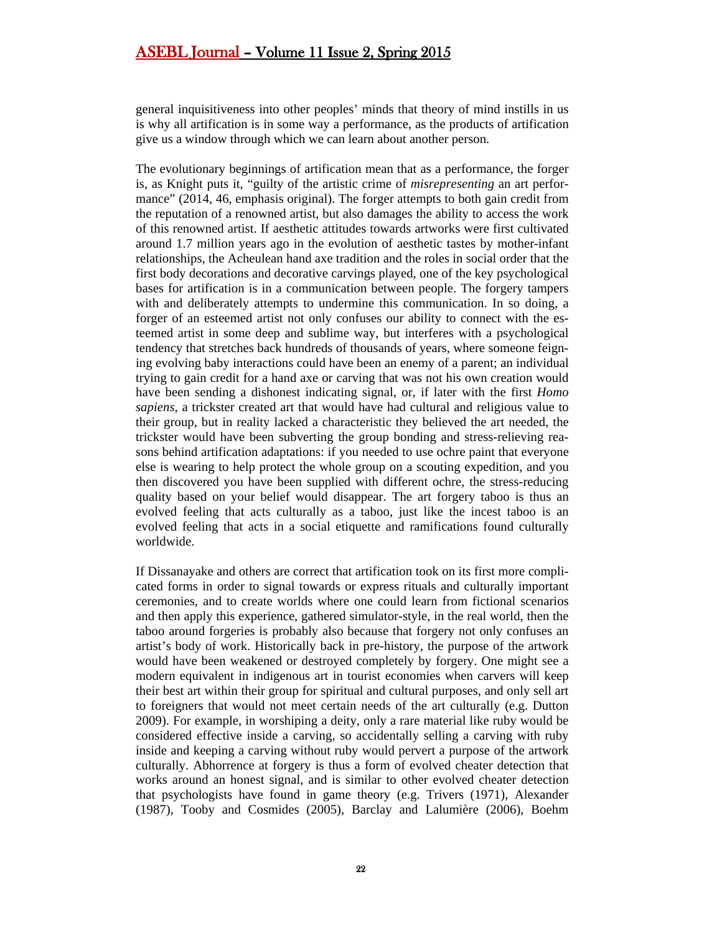general inquisitiveness into other peoples' minds that theory of mind instills in us is why all artification is in some way a performance, as the products of artification give us a window through which we can learn about another person.

The evolutionary beginnings of artification mean that as a performance, the forger is, as Knight puts it, "guilty of the artistic crime of *misrepresenting* an art performance" (2014, 46, emphasis original). The forger attempts to both gain credit from the reputation of a renowned artist, but also damages the ability to access the work of this renowned artist. If aesthetic attitudes towards artworks were first cultivated around 1.7 million years ago in the evolution of aesthetic tastes by mother-infant relationships, the Acheulean hand axe tradition and the roles in social order that the first body decorations and decorative carvings played, one of the key psychological bases for artification is in a communication between people. The forgery tampers with and deliberately attempts to undermine this communication. In so doing, a forger of an esteemed artist not only confuses our ability to connect with the esteemed artist in some deep and sublime way, but interferes with a psychological tendency that stretches back hundreds of thousands of years, where someone feigning evolving baby interactions could have been an enemy of a parent; an individual trying to gain credit for a hand axe or carving that was not his own creation would have been sending a dishonest indicating signal, or, if later with the first *Homo sapiens*, a trickster created art that would have had cultural and religious value to their group, but in reality lacked a characteristic they believed the art needed, the trickster would have been subverting the group bonding and stress-relieving reasons behind artification adaptations: if you needed to use ochre paint that everyone else is wearing to help protect the whole group on a scouting expedition, and you then discovered you have been supplied with different ochre, the stress-reducing quality based on your belief would disappear. The art forgery taboo is thus an evolved feeling that acts culturally as a taboo, just like the incest taboo is an evolved feeling that acts in a social etiquette and ramifications found culturally worldwide.

If Dissanayake and others are correct that artification took on its first more complicated forms in order to signal towards or express rituals and culturally important ceremonies, and to create worlds where one could learn from fictional scenarios and then apply this experience, gathered simulator-style, in the real world, then the taboo around forgeries is probably also because that forgery not only confuses an artist's body of work. Historically back in pre-history, the purpose of the artwork would have been weakened or destroyed completely by forgery. One might see a modern equivalent in indigenous art in tourist economies when carvers will keep their best art within their group for spiritual and cultural purposes, and only sell art to foreigners that would not meet certain needs of the art culturally (e.g. Dutton 2009). For example, in worshiping a deity, only a rare material like ruby would be considered effective inside a carving, so accidentally selling a carving with ruby inside and keeping a carving without ruby would pervert a purpose of the artwork culturally. Abhorrence at forgery is thus a form of evolved cheater detection that works around an honest signal, and is similar to other evolved cheater detection that psychologists have found in game theory (e.g. Trivers (1971), Alexander (1987), Tooby and Cosmides (2005), Barclay and Lalumière (2006), Boehm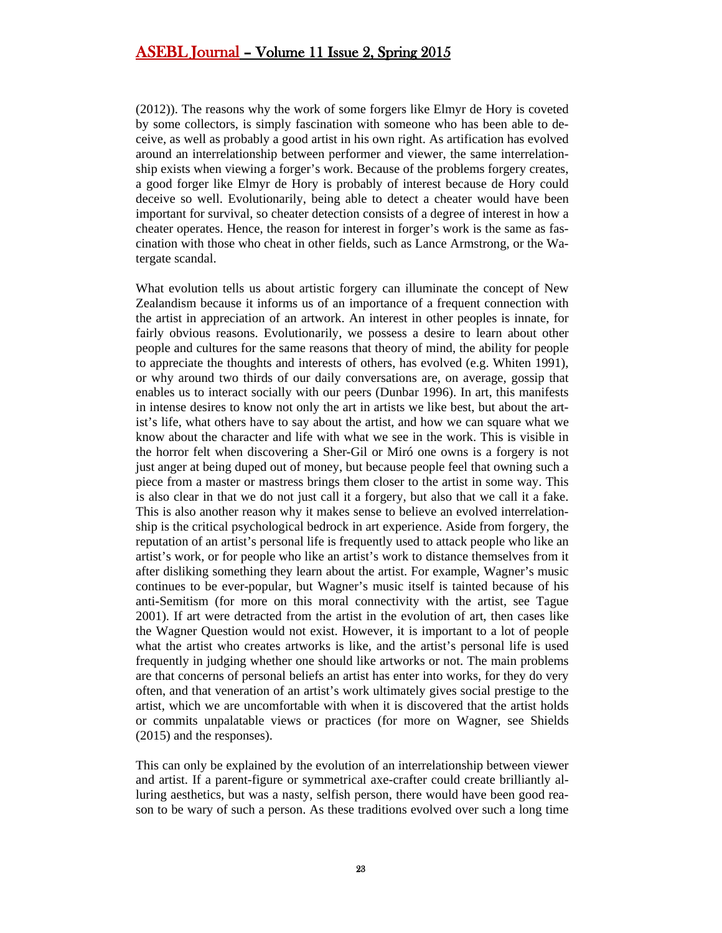(2012)). The reasons why the work of some forgers like Elmyr de Hory is coveted by some collectors, is simply fascination with someone who has been able to deceive, as well as probably a good artist in his own right. As artification has evolved around an interrelationship between performer and viewer, the same interrelationship exists when viewing a forger's work. Because of the problems forgery creates, a good forger like Elmyr de Hory is probably of interest because de Hory could deceive so well. Evolutionarily, being able to detect a cheater would have been important for survival, so cheater detection consists of a degree of interest in how a cheater operates. Hence, the reason for interest in forger's work is the same as fascination with those who cheat in other fields, such as Lance Armstrong, or the Watergate scandal.

What evolution tells us about artistic forgery can illuminate the concept of New Zealandism because it informs us of an importance of a frequent connection with the artist in appreciation of an artwork. An interest in other peoples is innate, for fairly obvious reasons. Evolutionarily, we possess a desire to learn about other people and cultures for the same reasons that theory of mind, the ability for people to appreciate the thoughts and interests of others, has evolved (e.g. Whiten 1991), or why around two thirds of our daily conversations are, on average, gossip that enables us to interact socially with our peers (Dunbar 1996). In art, this manifests in intense desires to know not only the art in artists we like best, but about the artist's life, what others have to say about the artist, and how we can square what we know about the character and life with what we see in the work. This is visible in the horror felt when discovering a Sher-Gil or Miró one owns is a forgery is not just anger at being duped out of money, but because people feel that owning such a piece from a master or mastress brings them closer to the artist in some way. This is also clear in that we do not just call it a forgery, but also that we call it a fake. This is also another reason why it makes sense to believe an evolved interrelationship is the critical psychological bedrock in art experience. Aside from forgery, the reputation of an artist's personal life is frequently used to attack people who like an artist's work, or for people who like an artist's work to distance themselves from it after disliking something they learn about the artist. For example, Wagner's music continues to be ever-popular, but Wagner's music itself is tainted because of his anti-Semitism (for more on this moral connectivity with the artist, see Tague 2001). If art were detracted from the artist in the evolution of art, then cases like the Wagner Question would not exist. However, it is important to a lot of people what the artist who creates artworks is like, and the artist's personal life is used frequently in judging whether one should like artworks or not. The main problems are that concerns of personal beliefs an artist has enter into works, for they do very often, and that veneration of an artist's work ultimately gives social prestige to the artist, which we are uncomfortable with when it is discovered that the artist holds or commits unpalatable views or practices (for more on Wagner, see Shields (2015) and the responses).

This can only be explained by the evolution of an interrelationship between viewer and artist. If a parent-figure or symmetrical axe-crafter could create brilliantly alluring aesthetics, but was a nasty, selfish person, there would have been good reason to be wary of such a person. As these traditions evolved over such a long time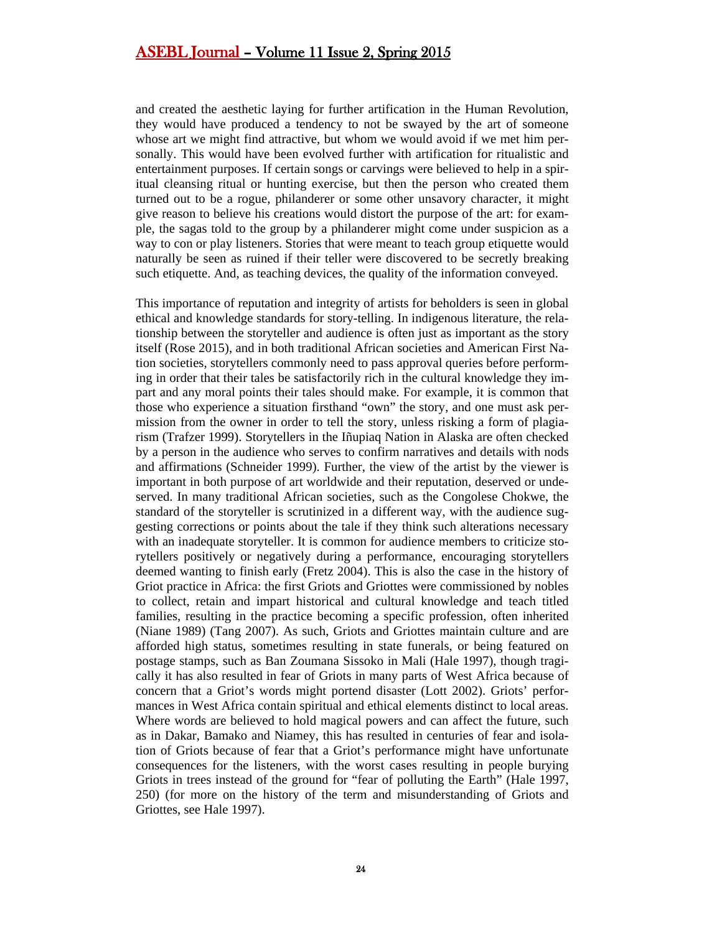and created the aesthetic laying for further artification in the Human Revolution, they would have produced a tendency to not be swayed by the art of someone whose art we might find attractive, but whom we would avoid if we met him personally. This would have been evolved further with artification for ritualistic and entertainment purposes. If certain songs or carvings were believed to help in a spiritual cleansing ritual or hunting exercise, but then the person who created them turned out to be a rogue, philanderer or some other unsavory character, it might give reason to believe his creations would distort the purpose of the art: for example, the sagas told to the group by a philanderer might come under suspicion as a way to con or play listeners. Stories that were meant to teach group etiquette would naturally be seen as ruined if their teller were discovered to be secretly breaking such etiquette. And, as teaching devices, the quality of the information conveyed.

This importance of reputation and integrity of artists for beholders is seen in global ethical and knowledge standards for story-telling. In indigenous literature, the relationship between the storyteller and audience is often just as important as the story itself (Rose 2015), and in both traditional African societies and American First Nation societies, storytellers commonly need to pass approval queries before performing in order that their tales be satisfactorily rich in the cultural knowledge they impart and any moral points their tales should make. For example, it is common that those who experience a situation firsthand "own" the story, and one must ask permission from the owner in order to tell the story, unless risking a form of plagiarism (Trafzer 1999). Storytellers in the Iñupiaq Nation in Alaska are often checked by a person in the audience who serves to confirm narratives and details with nods and affirmations (Schneider 1999). Further, the view of the artist by the viewer is important in both purpose of art worldwide and their reputation, deserved or undeserved. In many traditional African societies, such as the Congolese Chokwe, the standard of the storyteller is scrutinized in a different way, with the audience suggesting corrections or points about the tale if they think such alterations necessary with an inadequate storyteller. It is common for audience members to criticize storytellers positively or negatively during a performance, encouraging storytellers deemed wanting to finish early (Fretz 2004). This is also the case in the history of Griot practice in Africa: the first Griots and Griottes were commissioned by nobles to collect, retain and impart historical and cultural knowledge and teach titled families, resulting in the practice becoming a specific profession, often inherited (Niane 1989) (Tang 2007). As such, Griots and Griottes maintain culture and are afforded high status, sometimes resulting in state funerals, or being featured on postage stamps, such as Ban Zoumana Sissoko in Mali (Hale 1997), though tragically it has also resulted in fear of Griots in many parts of West Africa because of concern that a Griot's words might portend disaster (Lott 2002). Griots' performances in West Africa contain spiritual and ethical elements distinct to local areas. Where words are believed to hold magical powers and can affect the future, such as in Dakar, Bamako and Niamey, this has resulted in centuries of fear and isolation of Griots because of fear that a Griot's performance might have unfortunate consequences for the listeners, with the worst cases resulting in people burying Griots in trees instead of the ground for "fear of polluting the Earth" (Hale 1997, 250) (for more on the history of the term and misunderstanding of Griots and Griottes, see Hale 1997).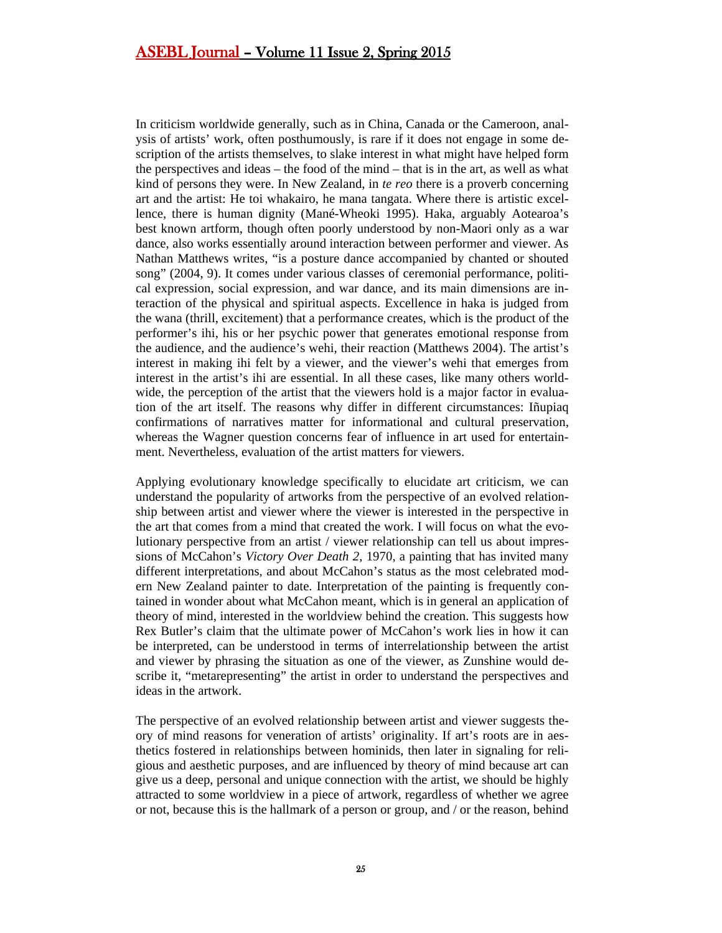In criticism worldwide generally, such as in China, Canada or the Cameroon, analysis of artists' work, often posthumously, is rare if it does not engage in some description of the artists themselves, to slake interest in what might have helped form the perspectives and ideas – the food of the mind – that is in the art, as well as what kind of persons they were. In New Zealand, in *te reo* there is a proverb concerning art and the artist: He toi whakairo, he mana tangata. Where there is artistic excellence, there is human dignity (Mané-Wheoki 1995). Haka, arguably Aotearoa's best known artform, though often poorly understood by non-Maori only as a war dance, also works essentially around interaction between performer and viewer. As Nathan Matthews writes, "is a posture dance accompanied by chanted or shouted song" (2004, 9). It comes under various classes of ceremonial performance, political expression, social expression, and war dance, and its main dimensions are interaction of the physical and spiritual aspects. Excellence in haka is judged from the wana (thrill, excitement) that a performance creates, which is the product of the performer's ihi, his or her psychic power that generates emotional response from the audience, and the audience's wehi, their reaction (Matthews 2004). The artist's interest in making ihi felt by a viewer, and the viewer's wehi that emerges from interest in the artist's ihi are essential. In all these cases, like many others worldwide, the perception of the artist that the viewers hold is a major factor in evaluation of the art itself. The reasons why differ in different circumstances: Iñupiaq confirmations of narratives matter for informational and cultural preservation, whereas the Wagner question concerns fear of influence in art used for entertainment. Nevertheless, evaluation of the artist matters for viewers.

Applying evolutionary knowledge specifically to elucidate art criticism, we can understand the popularity of artworks from the perspective of an evolved relationship between artist and viewer where the viewer is interested in the perspective in the art that comes from a mind that created the work. I will focus on what the evolutionary perspective from an artist / viewer relationship can tell us about impressions of McCahon's *Victory Over Death 2*, 1970, a painting that has invited many different interpretations, and about McCahon's status as the most celebrated modern New Zealand painter to date. Interpretation of the painting is frequently contained in wonder about what McCahon meant, which is in general an application of theory of mind, interested in the worldview behind the creation. This suggests how Rex Butler's claim that the ultimate power of McCahon's work lies in how it can be interpreted, can be understood in terms of interrelationship between the artist and viewer by phrasing the situation as one of the viewer, as Zunshine would describe it, "metarepresenting" the artist in order to understand the perspectives and ideas in the artwork.

The perspective of an evolved relationship between artist and viewer suggests theory of mind reasons for veneration of artists' originality. If art's roots are in aesthetics fostered in relationships between hominids, then later in signaling for religious and aesthetic purposes, and are influenced by theory of mind because art can give us a deep, personal and unique connection with the artist, we should be highly attracted to some worldview in a piece of artwork, regardless of whether we agree or not, because this is the hallmark of a person or group, and / or the reason, behind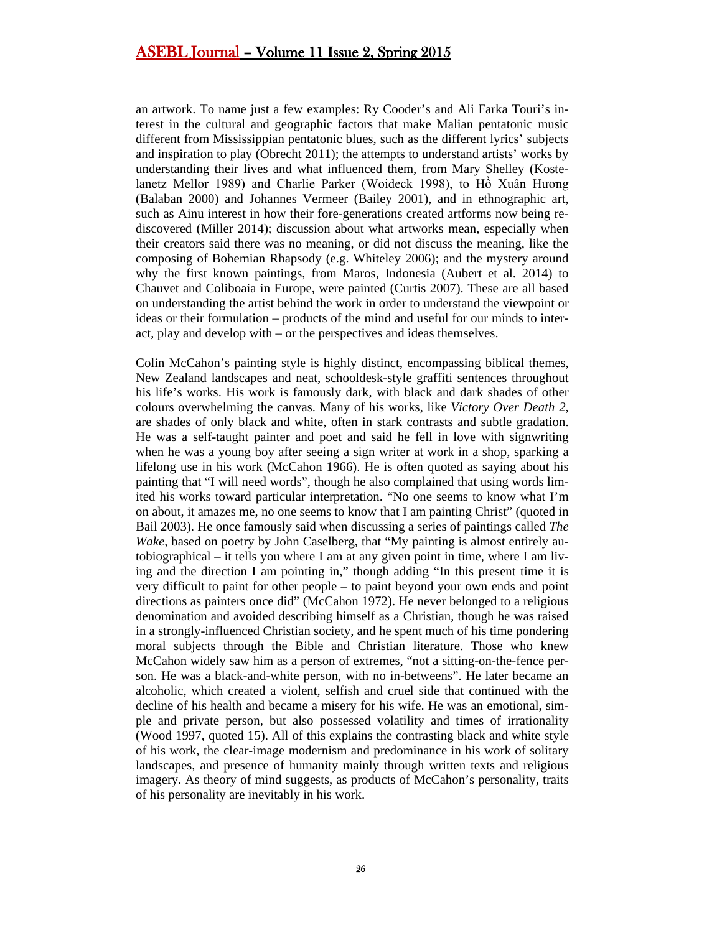an artwork. To name just a few examples: Ry Cooder's and Ali Farka Touri's interest in the cultural and geographic factors that make Malian pentatonic music different from Mississippian pentatonic blues, such as the different lyrics' subjects and inspiration to play (Obrecht 2011); the attempts to understand artists' works by understanding their lives and what influenced them, from Mary Shelley (Kostelanetz Mellor 1989) and Charlie Parker (Woideck 1998), to Hồ Xuân Hương (Balaban 2000) and Johannes Vermeer (Bailey 2001), and in ethnographic art, such as Ainu interest in how their fore-generations created artforms now being rediscovered (Miller 2014); discussion about what artworks mean, especially when their creators said there was no meaning, or did not discuss the meaning, like the composing of Bohemian Rhapsody (e.g. Whiteley 2006); and the mystery around why the first known paintings, from Maros, Indonesia (Aubert et al. 2014) to Chauvet and Coliboaia in Europe, were painted (Curtis 2007). These are all based on understanding the artist behind the work in order to understand the viewpoint or ideas or their formulation – products of the mind and useful for our minds to interact, play and develop with – or the perspectives and ideas themselves.

Colin McCahon's painting style is highly distinct, encompassing biblical themes, New Zealand landscapes and neat, schooldesk-style graffiti sentences throughout his life's works. His work is famously dark, with black and dark shades of other colours overwhelming the canvas. Many of his works, like *Victory Over Death 2*, are shades of only black and white, often in stark contrasts and subtle gradation. He was a self-taught painter and poet and said he fell in love with signwriting when he was a young boy after seeing a sign writer at work in a shop, sparking a lifelong use in his work (McCahon 1966). He is often quoted as saying about his painting that "I will need words", though he also complained that using words limited his works toward particular interpretation. "No one seems to know what I'm on about, it amazes me, no one seems to know that I am painting Christ" (quoted in Bail 2003). He once famously said when discussing a series of paintings called *The Wake*, based on poetry by John Caselberg, that "My painting is almost entirely autobiographical – it tells you where I am at any given point in time, where I am living and the direction I am pointing in," though adding "In this present time it is very difficult to paint for other people – to paint beyond your own ends and point directions as painters once did" (McCahon 1972). He never belonged to a religious denomination and avoided describing himself as a Christian, though he was raised in a strongly-influenced Christian society, and he spent much of his time pondering moral subjects through the Bible and Christian literature. Those who knew McCahon widely saw him as a person of extremes, "not a sitting-on-the-fence person. He was a black-and-white person, with no in-betweens". He later became an alcoholic, which created a violent, selfish and cruel side that continued with the decline of his health and became a misery for his wife. He was an emotional, simple and private person, but also possessed volatility and times of irrationality (Wood 1997, quoted 15). All of this explains the contrasting black and white style of his work, the clear-image modernism and predominance in his work of solitary landscapes, and presence of humanity mainly through written texts and religious imagery. As theory of mind suggests, as products of McCahon's personality, traits of his personality are inevitably in his work.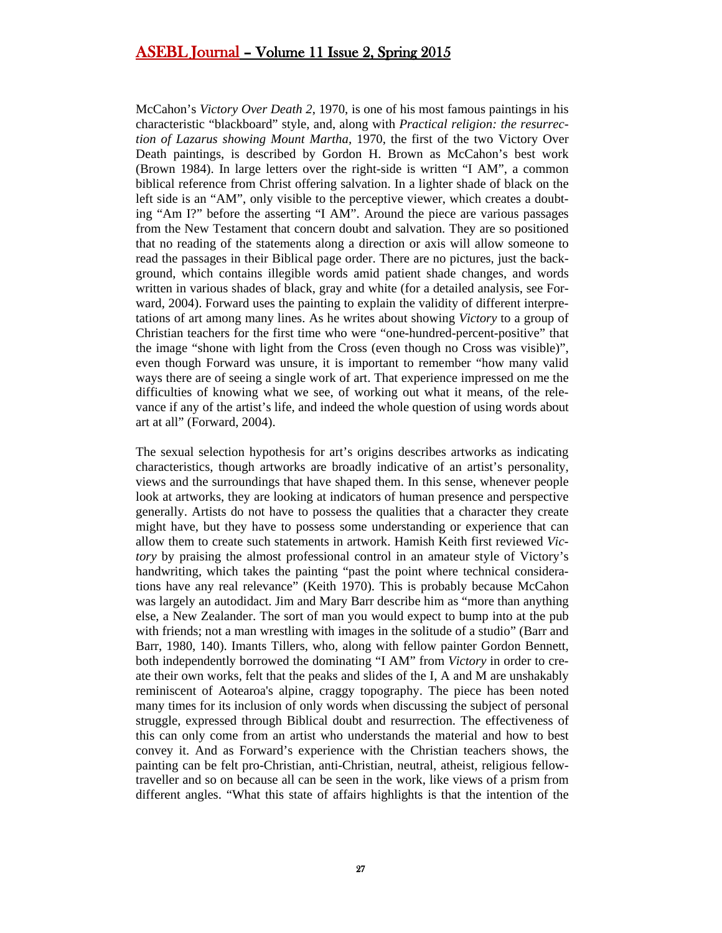McCahon's *Victory Over Death 2*, 1970, is one of his most famous paintings in his characteristic "blackboard" style, and, along with *Practical religion: the resurrection of Lazarus showing Mount Martha*, 1970, the first of the two Victory Over Death paintings, is described by Gordon H. Brown as McCahon's best work (Brown 1984). In large letters over the right-side is written "I AM", a common biblical reference from Christ offering salvation. In a lighter shade of black on the left side is an "AM", only visible to the perceptive viewer, which creates a doubting "Am I?" before the asserting "I AM". Around the piece are various passages from the New Testament that concern doubt and salvation. They are so positioned that no reading of the statements along a direction or axis will allow someone to read the passages in their Biblical page order. There are no pictures, just the background, which contains illegible words amid patient shade changes, and words written in various shades of black, gray and white (for a detailed analysis, see Forward, 2004). Forward uses the painting to explain the validity of different interpretations of art among many lines. As he writes about showing *Victory* to a group of Christian teachers for the first time who were "one-hundred-percent-positive" that the image "shone with light from the Cross (even though no Cross was visible)", even though Forward was unsure, it is important to remember "how many valid ways there are of seeing a single work of art. That experience impressed on me the difficulties of knowing what we see, of working out what it means, of the relevance if any of the artist's life, and indeed the whole question of using words about art at all" (Forward, 2004).

The sexual selection hypothesis for art's origins describes artworks as indicating characteristics, though artworks are broadly indicative of an artist's personality, views and the surroundings that have shaped them. In this sense, whenever people look at artworks, they are looking at indicators of human presence and perspective generally. Artists do not have to possess the qualities that a character they create might have, but they have to possess some understanding or experience that can allow them to create such statements in artwork. Hamish Keith first reviewed *Victory* by praising the almost professional control in an amateur style of Victory's handwriting, which takes the painting "past the point where technical considerations have any real relevance" (Keith 1970). This is probably because McCahon was largely an autodidact. Jim and Mary Barr describe him as "more than anything else, a New Zealander. The sort of man you would expect to bump into at the pub with friends; not a man wrestling with images in the solitude of a studio" (Barr and Barr, 1980, 140). Imants Tillers, who, along with fellow painter Gordon Bennett, both independently borrowed the dominating "I AM" from *Victory* in order to create their own works, felt that the peaks and slides of the I, A and M are unshakably reminiscent of Aotearoa's alpine, craggy topography. The piece has been noted many times for its inclusion of only words when discussing the subject of personal struggle, expressed through Biblical doubt and resurrection. The effectiveness of this can only come from an artist who understands the material and how to best convey it. And as Forward's experience with the Christian teachers shows, the painting can be felt pro-Christian, anti-Christian, neutral, atheist, religious fellowtraveller and so on because all can be seen in the work, like views of a prism from different angles. "What this state of affairs highlights is that the intention of the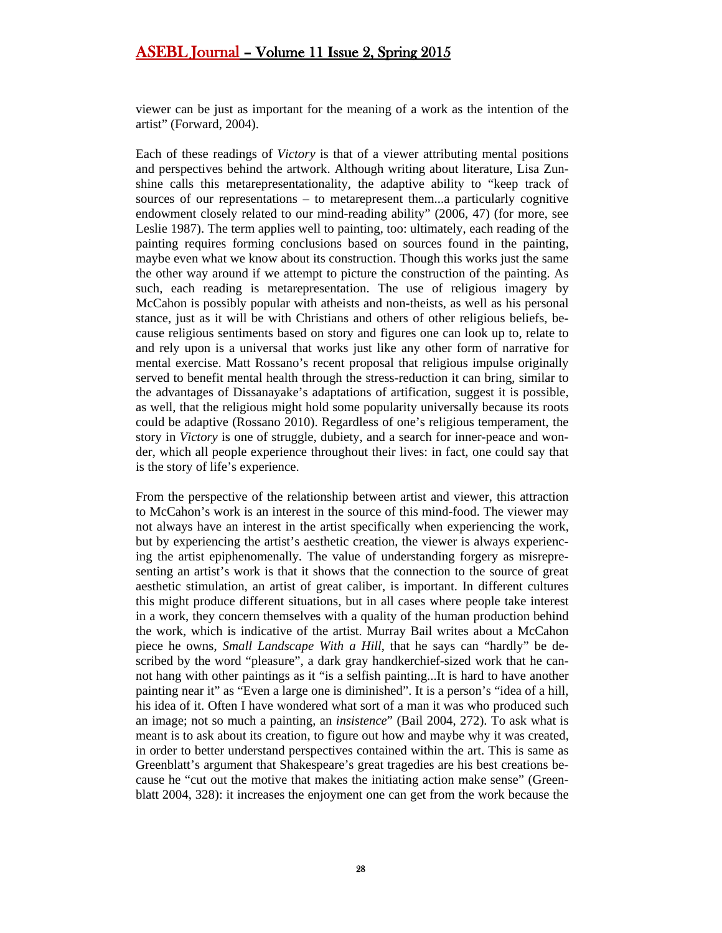viewer can be just as important for the meaning of a work as the intention of the artist" (Forward, 2004).

Each of these readings of *Victory* is that of a viewer attributing mental positions and perspectives behind the artwork. Although writing about literature, Lisa Zunshine calls this metarepresentationality, the adaptive ability to "keep track of sources of our representations – to metarepresent them...a particularly cognitive endowment closely related to our mind-reading ability" (2006, 47) (for more, see Leslie 1987). The term applies well to painting, too: ultimately, each reading of the painting requires forming conclusions based on sources found in the painting, maybe even what we know about its construction. Though this works just the same the other way around if we attempt to picture the construction of the painting. As such, each reading is metarepresentation. The use of religious imagery by McCahon is possibly popular with atheists and non-theists, as well as his personal stance, just as it will be with Christians and others of other religious beliefs, because religious sentiments based on story and figures one can look up to, relate to and rely upon is a universal that works just like any other form of narrative for mental exercise. Matt Rossano's recent proposal that religious impulse originally served to benefit mental health through the stress-reduction it can bring, similar to the advantages of Dissanayake's adaptations of artification, suggest it is possible, as well, that the religious might hold some popularity universally because its roots could be adaptive (Rossano 2010). Regardless of one's religious temperament, the story in *Victory* is one of struggle, dubiety, and a search for inner-peace and wonder, which all people experience throughout their lives: in fact, one could say that is the story of life's experience.

From the perspective of the relationship between artist and viewer, this attraction to McCahon's work is an interest in the source of this mind-food. The viewer may not always have an interest in the artist specifically when experiencing the work, but by experiencing the artist's aesthetic creation, the viewer is always experiencing the artist epiphenomenally. The value of understanding forgery as misrepresenting an artist's work is that it shows that the connection to the source of great aesthetic stimulation, an artist of great caliber, is important. In different cultures this might produce different situations, but in all cases where people take interest in a work, they concern themselves with a quality of the human production behind the work, which is indicative of the artist. Murray Bail writes about a McCahon piece he owns, *Small Landscape With a Hill*, that he says can "hardly" be described by the word "pleasure", a dark gray handkerchief-sized work that he cannot hang with other paintings as it "is a selfish painting...It is hard to have another painting near it" as "Even a large one is diminished". It is a person's "idea of a hill, his idea of it. Often I have wondered what sort of a man it was who produced such an image; not so much a painting, an *insistence*" (Bail 2004, 272). To ask what is meant is to ask about its creation, to figure out how and maybe why it was created, in order to better understand perspectives contained within the art. This is same as Greenblatt's argument that Shakespeare's great tragedies are his best creations because he "cut out the motive that makes the initiating action make sense" (Greenblatt 2004, 328): it increases the enjoyment one can get from the work because the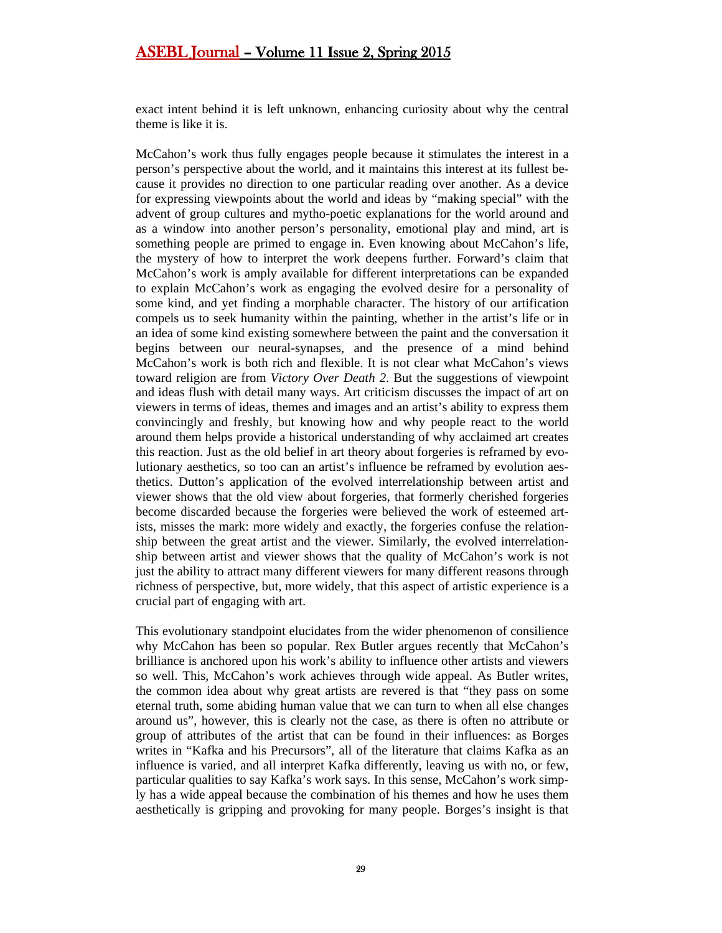exact intent behind it is left unknown, enhancing curiosity about why the central theme is like it is.

McCahon's work thus fully engages people because it stimulates the interest in a person's perspective about the world, and it maintains this interest at its fullest because it provides no direction to one particular reading over another. As a device for expressing viewpoints about the world and ideas by "making special" with the advent of group cultures and mytho-poetic explanations for the world around and as a window into another person's personality, emotional play and mind, art is something people are primed to engage in. Even knowing about McCahon's life, the mystery of how to interpret the work deepens further. Forward's claim that McCahon's work is amply available for different interpretations can be expanded to explain McCahon's work as engaging the evolved desire for a personality of some kind, and yet finding a morphable character. The history of our artification compels us to seek humanity within the painting, whether in the artist's life or in an idea of some kind existing somewhere between the paint and the conversation it begins between our neural-synapses, and the presence of a mind behind McCahon's work is both rich and flexible. It is not clear what McCahon's views toward religion are from *Victory Over Death 2*. But the suggestions of viewpoint and ideas flush with detail many ways. Art criticism discusses the impact of art on viewers in terms of ideas, themes and images and an artist's ability to express them convincingly and freshly, but knowing how and why people react to the world around them helps provide a historical understanding of why acclaimed art creates this reaction. Just as the old belief in art theory about forgeries is reframed by evolutionary aesthetics, so too can an artist's influence be reframed by evolution aesthetics. Dutton's application of the evolved interrelationship between artist and viewer shows that the old view about forgeries, that formerly cherished forgeries become discarded because the forgeries were believed the work of esteemed artists, misses the mark: more widely and exactly, the forgeries confuse the relationship between the great artist and the viewer. Similarly, the evolved interrelationship between artist and viewer shows that the quality of McCahon's work is not just the ability to attract many different viewers for many different reasons through richness of perspective, but, more widely, that this aspect of artistic experience is a crucial part of engaging with art.

This evolutionary standpoint elucidates from the wider phenomenon of consilience why McCahon has been so popular. Rex Butler argues recently that McCahon's brilliance is anchored upon his work's ability to influence other artists and viewers so well. This, McCahon's work achieves through wide appeal. As Butler writes, the common idea about why great artists are revered is that "they pass on some eternal truth, some abiding human value that we can turn to when all else changes around us", however, this is clearly not the case, as there is often no attribute or group of attributes of the artist that can be found in their influences: as Borges writes in "Kafka and his Precursors", all of the literature that claims Kafka as an influence is varied, and all interpret Kafka differently, leaving us with no, or few, particular qualities to say Kafka's work says. In this sense, McCahon's work simply has a wide appeal because the combination of his themes and how he uses them aesthetically is gripping and provoking for many people. Borges's insight is that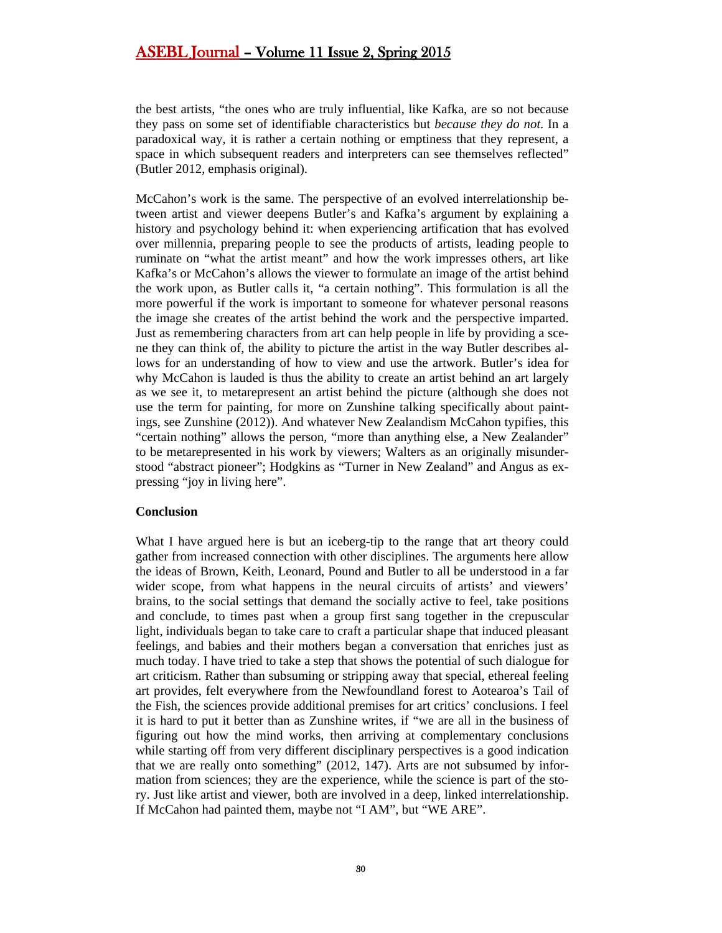the best artists, "the ones who are truly influential, like Kafka, are so not because they pass on some set of identifiable characteristics but *because they do not*. In a paradoxical way, it is rather a certain nothing or emptiness that they represent, a space in which subsequent readers and interpreters can see themselves reflected" (Butler 2012, emphasis original).

McCahon's work is the same. The perspective of an evolved interrelationship between artist and viewer deepens Butler's and Kafka's argument by explaining a history and psychology behind it: when experiencing artification that has evolved over millennia, preparing people to see the products of artists, leading people to ruminate on "what the artist meant" and how the work impresses others, art like Kafka's or McCahon's allows the viewer to formulate an image of the artist behind the work upon, as Butler calls it, "a certain nothing". This formulation is all the more powerful if the work is important to someone for whatever personal reasons the image she creates of the artist behind the work and the perspective imparted. Just as remembering characters from art can help people in life by providing a scene they can think of, the ability to picture the artist in the way Butler describes allows for an understanding of how to view and use the artwork. Butler's idea for why McCahon is lauded is thus the ability to create an artist behind an art largely as we see it, to metarepresent an artist behind the picture (although she does not use the term for painting, for more on Zunshine talking specifically about paintings, see Zunshine (2012)). And whatever New Zealandism McCahon typifies, this "certain nothing" allows the person, "more than anything else, a New Zealander" to be metarepresented in his work by viewers; Walters as an originally misunderstood "abstract pioneer"; Hodgkins as "Turner in New Zealand" and Angus as expressing "joy in living here".

#### **Conclusion**

What I have argued here is but an iceberg-tip to the range that art theory could gather from increased connection with other disciplines. The arguments here allow the ideas of Brown, Keith, Leonard, Pound and Butler to all be understood in a far wider scope, from what happens in the neural circuits of artists' and viewers' brains, to the social settings that demand the socially active to feel, take positions and conclude, to times past when a group first sang together in the crepuscular light, individuals began to take care to craft a particular shape that induced pleasant feelings, and babies and their mothers began a conversation that enriches just as much today. I have tried to take a step that shows the potential of such dialogue for art criticism. Rather than subsuming or stripping away that special, ethereal feeling art provides, felt everywhere from the Newfoundland forest to Aotearoa's Tail of the Fish, the sciences provide additional premises for art critics' conclusions. I feel it is hard to put it better than as Zunshine writes, if "we are all in the business of figuring out how the mind works, then arriving at complementary conclusions while starting off from very different disciplinary perspectives is a good indication that we are really onto something" (2012, 147). Arts are not subsumed by information from sciences; they are the experience, while the science is part of the story. Just like artist and viewer, both are involved in a deep, linked interrelationship. If McCahon had painted them, maybe not "I AM", but "WE ARE".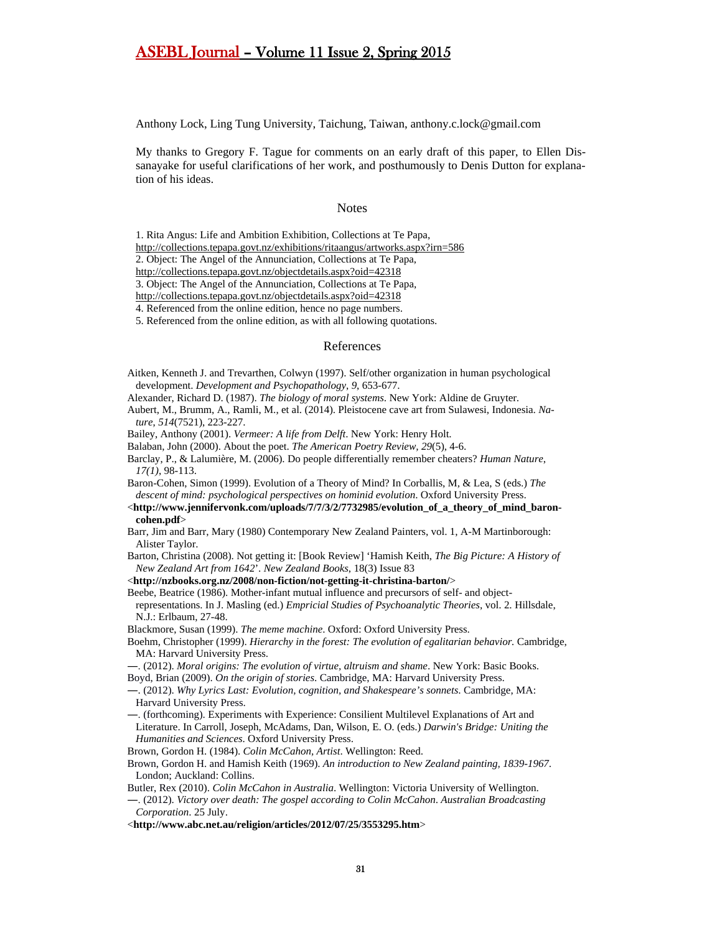Anthony Lock, Ling Tung University, Taichung, Taiwan, anthony.c.lock@gmail.com

My thanks to Gregory F. Tague for comments on an early draft of this paper, to Ellen Dissanayake for useful clarifications of her work, and posthumously to Denis Dutton for explanation of his ideas.

#### **Notes**

1. Rita Angus: Life and Ambition Exhibition, Collections at Te Papa,

<http://collections.tepapa.govt.nz/exhibitions/ritaangus/artworks.aspx?irn=586>

2. Object: The Angel of the Annunciation, Collections at Te Papa,

<http://collections.tepapa.govt.nz/objectdetails.aspx?oid=42318>

3. Object: The Angel of the Annunciation, Collections at Te Papa,

<http://collections.tepapa.govt.nz/objectdetails.aspx?oid=42318>

4. Referenced from the online edition, hence no page numbers.

5. Referenced from the online edition, as with all following quotations.

#### References

Aitken, Kenneth J. and Trevarthen, Colwyn (1997). Self/other organization in human psychological development. *Development and Psychopathology*, *9*, 653-677.

Alexander, Richard D. (1987). *The biology of moral systems*. New York: Aldine de Gruyter.

Aubert, M., Brumm, A., Ramli, M., et al. (2014). Pleistocene cave art from Sulawesi, Indonesia. *Nature*, *514*(7521), 223-227.

Bailey, Anthony (2001). *Vermeer: A life from Delft*. New York: Henry Holt.

Balaban, John (2000). About the poet. *The American Poetry Review, 29*(5), 4-6.

Barclay, P., & Lalumière, M. (2006). Do people differentially remember cheaters? *Human Nature*, *17(1)*, 98-113.

Baron-Cohen, Simon (1999). Evolution of a Theory of Mind? In Corballis, M, & Lea, S (eds.) *The descent of mind: psychological perspectives on hominid evolution*. Oxford University Press.

- <**http://www.jennifervonk.com/uploads/7/7/3/2/7732985/evolution\_of\_a\_theory\_of\_mind\_baroncohen.pdf**>
- Barr, Jim and Barr, Mary (1980) Contemporary New Zealand Painters, vol. 1, A-M Martinborough: Alister Taylor.

Barton, Christina (2008). Not getting it: [Book Review] 'Hamish Keith, *The Big Picture: A History of New Zealand Art from 1642*'. *New Zealand Books*, 18(3) Issue 83

<**http://nzbooks.org.nz/2008/non-fiction/not-getting-it-christina-barton/**>

Beebe, Beatrice (1986). Mother-infant mutual influence and precursors of self- and objectrepresentations. In J. Masling (ed.) *Empricial Studies of Psychoanalytic Theories*, vol. 2. Hillsdale, N.J.: Erlbaum, 27-48.

Blackmore, Susan (1999). *The meme machine*. Oxford: Oxford University Press.

Boehm, Christopher (1999). *Hierarchy in the forest: The evolution of egalitarian behavior.* Cambridge, MA: Harvard University Press.

―. (2012). *Moral origins: The evolution of virtue, altruism and shame*. New York: Basic Books. Boyd, Brian (2009). *On the origin of stories*. Cambridge, MA: Harvard University Press.

―. (2012). *Why Lyrics Last: Evolution, cognition, and Shakespeare's sonnets*. Cambridge, MA: Harvard University Press.

―. (forthcoming). Experiments with Experience: Consilient Multilevel Explanations of Art and Literature. In Carroll, Joseph, McAdams, Dan, Wilson, E. O. (eds.) *Darwin's Bridge: Uniting the Humanities and Sciences*. Oxford University Press.

Brown, Gordon H. (1984). *Colin McCahon, Artist*. Wellington: Reed.

Brown, Gordon H. and Hamish Keith (1969). *An introduction to New Zealand painting, 1839-1967*. London; Auckland: Collins.

Butler, Rex (2010). *Colin McCahon in Australia*. Wellington: Victoria University of Wellington.

―. (2012). *Victory over death: The gospel according to Colin McCahon*. *Australian Broadcasting Corporation*. 25 July.

<**http://www.abc.net.au/religion/articles/2012/07/25/3553295.htm**>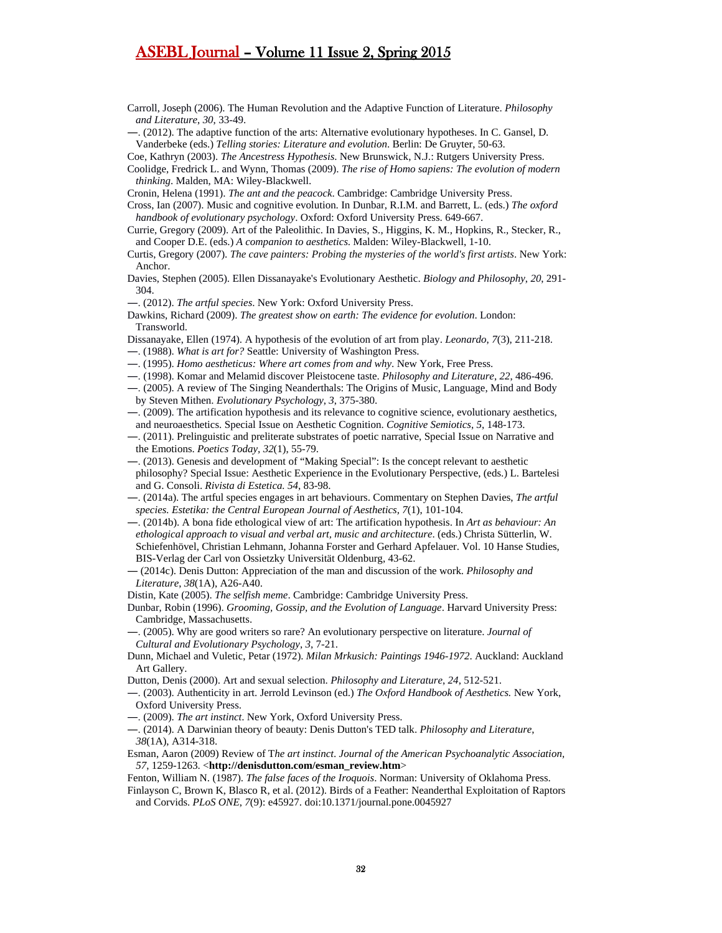Carroll, Joseph (2006). The Human Revolution and the Adaptive Function of Literature. *Philosophy and Literature*, *30*, 33-49.

―. (2012). The adaptive function of the arts: Alternative evolutionary hypotheses. In C. Gansel, D. Vanderbeke (eds.) *Telling stories: Literature and evolution*. Berlin: De Gruyter, 50-63.

Coe, Kathryn (2003). *The Ancestress Hypothesis*. New Brunswick, N.J.: Rutgers University Press.

Cronin, Helena (1991). *The ant and the peacock*. Cambridge: Cambridge University Press.

Cross, Ian (2007). Music and cognitive evolution. In Dunbar, R.I.M. and Barrett, L. (eds.) *The oxford handbook of evolutionary psychology*. Oxford: Oxford University Press. 649-667.

- Currie, Gregory (2009). Art of the Paleolithic. In Davies, S., Higgins, K. M., Hopkins, R., Stecker, R., and Cooper D.E. (eds.) *A companion to aesthetics*. Malden: Wiley-Blackwell, 1-10.
- Curtis, Gregory (2007). *The cave painters: Probing the mysteries of the world's first artists*. New York: Anchor.
- Davies, Stephen (2005). Ellen Dissanayake's Evolutionary Aesthetic. *Biology and Philosophy*, *20*, 291- 304.
- ―. (2012). *The artful species*. New York: Oxford University Press.
- Dawkins, Richard (2009). *The greatest show on earth: The evidence for evolution*. London: Transworld.
- Dissanayake, Ellen (1974). A hypothesis of the evolution of art from play. *Leonardo*, *7*(3), 211-218.
- ―. (1988). *What is art for?* Seattle: University of Washington Press.
- ―. (1995). *Homo aestheticus: Where art comes from and why*. New York, Free Press.
- ―. (1998). Komar and Melamid discover Pleistocene taste. *Philosophy and Literature*, *22*, 486-496.
- ―. (2005). A review of The Singing Neanderthals: The Origins of Music, Language, Mind and Body by Steven Mithen. *Evolutionary Psychology*, *3*, 375-380.
- ―. (2009). The artification hypothesis and its relevance to cognitive science, evolutionary aesthetics, and neuroaesthetics. Special Issue on Aesthetic Cognition. *Cognitive Semiotics*, *5*, 148-173.
- ―. (2011). Prelinguistic and preliterate substrates of poetic narrative, Special Issue on Narrative and the Emotions. *Poetics Today, 32*(1), 55-79.
- ―. (2013). Genesis and development of "Making Special": Is the concept relevant to aesthetic philosophy? Special Issue: Aesthetic Experience in the Evolutionary Perspective, (eds.) L. Bartelesi and G. Consoli. *Rivista di Estetica. 54*, 83-98.
- ―. (2014a). The artful species engages in art behaviours. Commentary on Stephen Davies, *The artful species. Estetika: the Central European Journal of Aesthetics, 7*(1), 101-104.
- ―. (2014b). A bona fide ethological view of art: The artification hypothesis. In *Art as behaviour: An ethological approach to visual and verbal art, music and architecture*. (eds.) Christa Sütterlin, W. Schiefenhövel, Christian Lehmann, Johanna Forster and Gerhard Apfelauer. Vol. 10 Hanse Studies, BIS-Verlag der Carl von Ossietzky Universität Oldenburg, 43-62.
- ― (2014c). Denis Dutton: Appreciation of the man and discussion of the work. *Philosophy and Literature*, *38*(1A), A26-A40.

Distin, Kate (2005). *The selfish meme*. Cambridge: Cambridge University Press.

- Dunbar, Robin (1996). *Grooming, Gossip, and the Evolution of Language*. Harvard University Press: Cambridge, Massachusetts.
- ―. (2005). Why are good writers so rare? An evolutionary perspective on literature. *Journal of Cultural and Evolutionary Psychology*, *3*, 7-21.
- Dunn, Michael and Vuletic, Petar (1972). *Milan Mrkusich: Paintings 1946-1972*. Auckland: Auckland Art Gallery.
- Dutton, Denis (2000). Art and sexual selection. *Philosophy and Literature*, *24*, 512-521.
- ―. (2003). Authenticity in art. Jerrold Levinson (ed.) *The Oxford Handbook of Aesthetics.* New York, Oxford University Press.
- ―. (2009). *The art instinct*. New York, Oxford University Press.
- ―. (2014). A Darwinian theory of beauty: Denis Dutton's TED talk. *Philosophy and Literature*, *38*(1A), A314-318.
- Esman, Aaron (2009) Review of T*he art instinct*. *Journal of the American Psychoanalytic Association, 57*, 1259-1263. <**http://denisdutton.com/esman\_review.htm**>
- Fenton, William N. (1987). *The false faces of the Iroquois*. Norman: University of Oklahoma Press. Finlayson C, Brown K, Blasco R, et al. (2012). Birds of a Feather: Neanderthal Exploitation of Raptors
- and Corvids. *PLoS ONE*, *7*(9): e45927. doi:10.1371/journal.pone.0045927

Coolidge, Fredrick L. and Wynn, Thomas (2009). *The rise of Homo sapiens: The evolution of modern thinking*. Malden, MA: Wiley-Blackwell.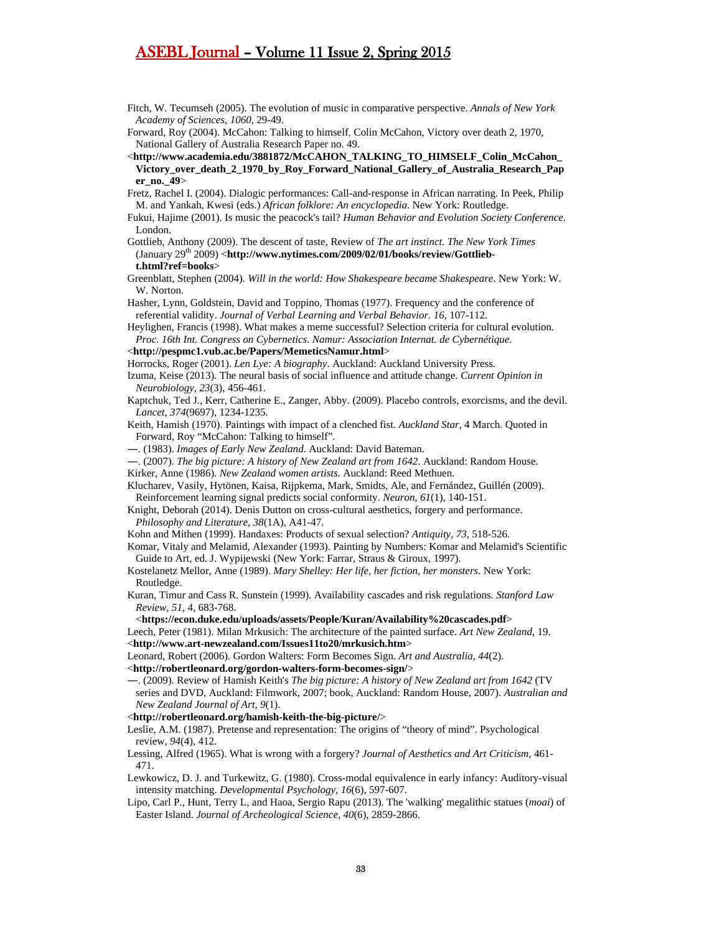- Fitch, W. Tecumseh (2005). The evolution of music in comparative perspective. *Annals of New York Academy of Sciences*, *1060*, 29-49.
- Forward, Roy (2004). McCahon: Talking to himself, Colin McCahon, Victory over death 2, 1970, National Gallery of Australia Research Paper no. 49.
- <**http://www.academia.edu/3881872/McCAHON\_TALKING\_TO\_HIMSELF\_Colin\_McCahon\_ Victory\_over\_death\_2\_1970\_by\_Roy\_Forward\_National\_Gallery\_of\_Australia\_Research\_Pap er\_no.\_49**>
- Fretz, Rachel I. (2004). Dialogic performances: Call-and-response in African narrating. In Peek, Philip M. and Yankah, Kwesi (eds.) *African folklore: An encyclopedia*. New York: Routledge.
- Fukui, Hajime (2001). Is music the peacock's tail? *Human Behavior and Evolution Society Conference*. London.
- Gottlieb, Anthony (2009). The descent of taste, Review of *The art instinct. The New York Times* (January 29<sup>th</sup> 2009) <http://www.nytimes.com/2009/02/01/books/review/Gottlieb**t.html?ref=books**>
- Greenblatt, Stephen (2004). *Will in the world: How Shakespeare became Shakespeare*. New York: W. W. Norton.
- Hasher, Lynn, Goldstein, David and Toppino, Thomas (1977). Frequency and the conference of referential validity. *Journal of Verbal Learning and Verbal Behavior. 16*, 107-112.

Heylighen, Francis (1998). What makes a meme successful? Selection criteria for cultural evolution. *Proc. 16th Int. Congress on Cybernetics. Namur: Association Internat. de Cybernétique*.

- <**http://pespmc1.vub.ac.be/Papers/MemeticsNamur.html**>
- Horrocks, Roger (2001). *Len Lye: A biography*. Auckland: Auckland University Press.
- Izuma, Keise (2013). The neural basis of social influence and attitude change. *Current Opinion in Neurobiology*, *23*(3), 456-461.
- Kaptchuk, Ted J., Kerr, Catherine E., Zanger, Abby. (2009). Placebo controls, exorcisms, and the devil. *Lancet*, *374*(9697), 1234-1235.
- Keith, Hamish (1970). Paintings with impact of a clenched fist. *Auckland Star*, 4 March. Quoted in Forward, Roy "McCahon: Talking to himself".
- ―. (1983). *Images of Early New Zealand*. Auckland: David Bateman.
- ―. (2007). *The big picture: A history of New Zealand art from 1642*. Auckland: Random House.
- Kirker, Anne (1986). *New Zealand women artists*. Auckland: Reed Methuen.
- Klucharev, Vasily, Hytönen, Kaisa, Rijpkema, Mark, Smidts, Ale, and Fernández, Guillén (2009). Reinforcement learning signal predicts social conformity. *Neuron*, *61*(1), 140-151.
- Knight, Deborah (2014). Denis Dutton on cross-cultural aesthetics, forgery and performance. *Philosophy and Literature*, *38*(1A), A41-47.
- Kohn and Mithen (1999). Handaxes: Products of sexual selection? *Antiquity*, *73*, 518-526.
- Komar, Vitaly and Melamid, Alexander (1993). Painting by Numbers: Komar and Melamid's Scientific Guide to Art, ed. J. Wypijewski (New York: Farrar, Straus & Giroux, 1997).
- Kostelanetz Mellor, Anne (1989). *Mary Shelley: Her life, her fiction, her monsters*. New York: Routledge.
- Kuran, Timur and Cass R. Sunstein (1999). Availability cascades and risk regulations. *Stanford Law Review*, *51*, 4, 683-768.
	- <**https://econ.duke.edu/uploads/assets/People/Kuran/Availability%20cascades.pdf**>
- Leech, Peter (1981). Milan Mrkusich: The architecture of the painted surface. *Art New Zealand*, 19. <**http://www.art-newzealand.com/Issues11to20/mrkusich.htm**>
- Leonard, Robert (2006). Gordon Walters: Form Becomes Sign. *Art and Australia, 44*(2).
- <**http://robertleonard.org/gordon-walters-form-becomes-sign/**>
- ―. (2009). Review of Hamish Keith's *The big picture: A history of New Zealand art from 1642* (TV series and DVD, Auckland: Filmwork, 2007; book, Auckland: Random House, 2007). *Australian and New Zealand Journal of Art, 9*(1).
- <**http://robertleonard.org/hamish-keith-the-big-picture/**>
- Leslie, A.M. (1987). Pretense and representation: The origins of "theory of mind". Psychological review, *94*(4), 412.
- Lessing, Alfred (1965). What is wrong with a forgery? *Journal of Aesthetics and Art Criticism*, 461- 471.
- Lewkowicz, D. J. and Turkewitz, G. (1980). Cross-modal equivalence in early infancy: Auditory-visual intensity matching. *Developmental Psychology*, *16*(6), 597-607.
- Lipo, Carl P., Hunt, Terry L, and Haoa, Sergio Rapu (2013). The 'walking' megalithic statues (*moai*) of Easter Island. *Journal of Archeological Science*, *40*(6), 2859-2866.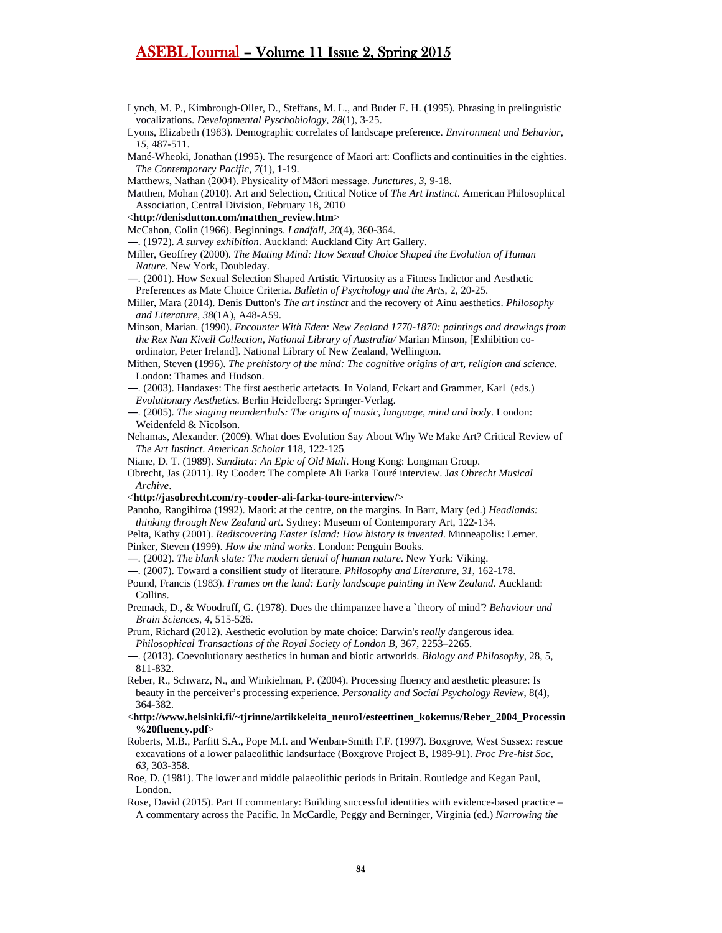- Lynch, M. P., Kimbrough-Oller, D., Steffans, M. L., and Buder E. H. (1995). Phrasing in prelinguistic vocalizations. *Developmental Pyschobiology*, *28*(1), 3-25.
- Lyons, Elizabeth (1983). Demographic correlates of landscape preference. *Environment and Behavior*, *15*, 487-511.
- Mané-Wheoki, Jonathan (1995). The resurgence of Maori art: Conflicts and continuities in the eighties. *The Contemporary Pacific*, *7*(1), 1-19.
- Matthews, Nathan (2004). Physicality of Māori message. *Junctures*, *3*, 9-18.
- Matthen, Mohan (2010). Art and Selection, Critical Notice of *The Art Instinct*. American Philosophical Association, Central Division, February 18, 2010
- <**http://denisdutton.com/matthen\_review.htm**>
- McCahon, Colin (1966). Beginnings. *Landfall*, *20*(4), 360-364.
- ―. (1972). *A survey exhibition*. Auckland: Auckland City Art Gallery.
- Miller, Geoffrey (2000). *The Mating Mind: How Sexual Choice Shaped the Evolution of Human Nature*. New York, Doubleday.
- ―. (2001). How Sexual Selection Shaped Artistic Virtuosity as a Fitness Indictor and Aesthetic Preferences as Mate Choice Criteria. *Bulletin of Psychology and the Arts*, 2, 20-25.
- Miller, Mara (2014). Denis Dutton's *The art instinct* and the recovery of Ainu aesthetics. *Philosophy and Literature*, *38*(1A), A48-A59.
- Minson, Marian. (1990). *Encounter With Eden: New Zealand 1770-1870: paintings and drawings from the Rex Nan Kivell Collection, National Library of Australia/* Marian Minson, [Exhibition coordinator, Peter Ireland]. National Library of New Zealand, Wellington.
- Mithen, Steven (1996). *The prehistory of the mind: The cognitive origins of art, religion and science*. London: Thames and Hudson.
- ―. (2003). Handaxes: The first aesthetic artefacts. In Voland, Eckart and Grammer, Karl (eds.) *Evolutionary Aesthetics*. Berlin Heidelberg: Springer-Verlag.
- ―. (2005). *The singing neanderthals: The origins of music, language, mind and body*. London: Weidenfeld & Nicolson.
- Nehamas, Alexander. (2009). What does Evolution Say About Why We Make Art? Critical Review of *The Art Instinct*. *American Scholar* 118, 122-125
- Niane, D. T. (1989). *Sundiata: An Epic of Old Mali*. Hong Kong: Longman Group.
- Obrecht, Jas (2011). Ry Cooder: The complete Ali Farka Touré interview. J*as Obrecht Musical Archive*.
- <**http://jasobrecht.com/ry-cooder-ali-farka-toure-interview/**>
- Panoho, Rangihiroa (1992). Maori: at the centre, on the margins. In Barr, Mary (ed.) *Headlands: thinking through New Zealand art*. Sydney: Museum of Contemporary Art, 122-134.
- Pelta, Kathy (2001). *Rediscovering Easter Island: How history is invented*. Minneapolis: Lerner. Pinker, Steven (1999). *How the mind works*. London: Penguin Books.
- ―. (2002). *The blank slate: The modern denial of human nature*. New York: Viking.
- ―. (2007). Toward a consilient study of literature. *Philosophy and Literature*, *31*, 162-178.
- Pound, Francis (1983). *Frames on the land: Early landscape painting in New Zealand*. Auckland: Collins.
- Premack, D., & Woodruff, G. (1978). Does the chimpanzee have a `theory of mind'? *Behaviour and Brain Sciences*, *4*, 515-526.
- Prum, Richard (2012). Aesthetic evolution by mate choice: Darwin's r*eally d*angerous idea. *Philosophical Transactions of the Royal Society of London B*, 367, 2253–2265.
- ―. (2013). Coevolutionary aesthetics in human and biotic artworlds. *Biology and Philosophy*, 28, 5, 811-832.
- Reber, R., Schwarz, N., and Winkielman, P. (2004). Processing fluency and aesthetic pleasure: Is beauty in the perceiver's processing experience. *Personality and Social Psychology Review*, 8(4), 364-382.
- <**http://www.helsinki.fi/~tjrinne/artikkeleita\_neuroI/esteettinen\_kokemus/Reber\_2004\_Processin %20fluency.pdf**>
- Roberts, M.B., Parfitt S.A., Pope M.I. and Wenban-Smith F.F. (1997). Boxgrove, West Sussex: rescue excavations of a lower palaeolithic landsurface (Boxgrove Project B, 1989-91). *Proc Pre-hist Soc*, *63*, 303-358.
- Roe, D. (1981). The lower and middle palaeolithic periods in Britain. Routledge and Kegan Paul, London.
- Rose, David (2015). Part II commentary: Building successful identities with evidence-based practice A commentary across the Pacific. In McCardle, Peggy and Berninger, Virginia (ed.) *Narrowing the*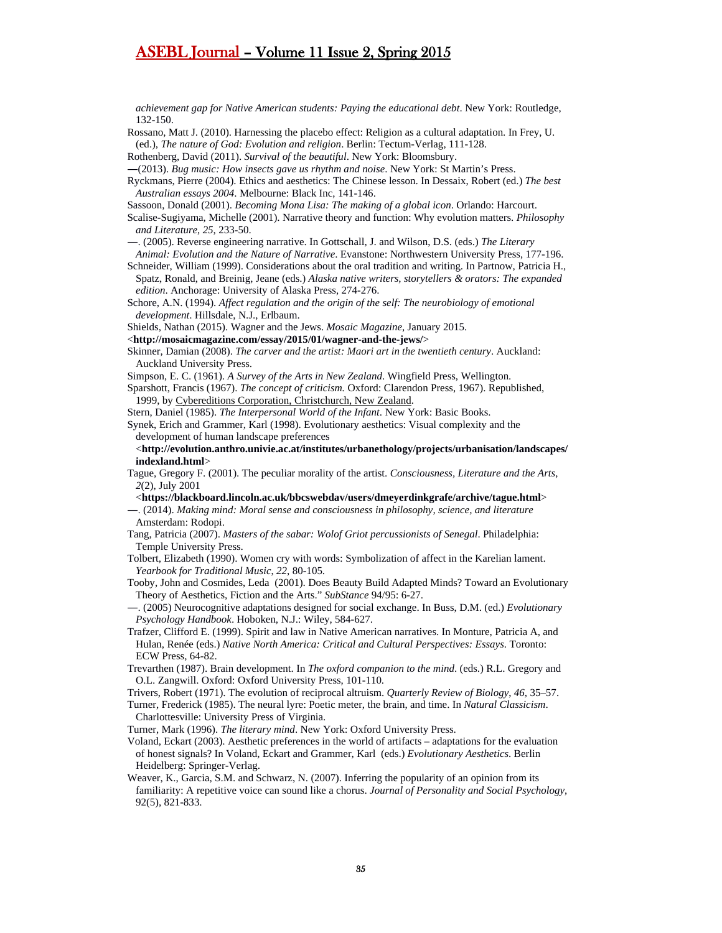*achievement gap for Native American students: Paying the educational debt*. New York: Routledge, 132-150.

Rossano, Matt J. (2010). Harnessing the placebo effect: Religion as a cultural adaptation. In Frey, U. (ed.), *The nature of God: Evolution and religion*. Berlin: Tectum-Verlag, 111-128.

Rothenberg, David (2011). *Survival of the beautiful*. New York: Bloomsbury.

- ―(2013). *Bug music: How insects gave us rhythm and noise*. New York: St Martin's Press.
- Ryckmans, Pierre (2004). Ethics and aesthetics: The Chinese lesson. In Dessaix, Robert (ed.) *The best Australian essays 2004*. Melbourne: Black Inc, 141-146.

Sassoon, Donald (2001). *Becoming Mona Lisa: The making of a global icon*. Orlando: Harcourt.

Scalise-Sugiyama, Michelle (2001). Narrative theory and function: Why evolution matters. *Philosophy and Literature*, *25*, 233-50.

―. (2005). Reverse engineering narrative. In Gottschall, J. and Wilson, D.S. (eds.) *The Literary* 

- *Animal: Evolution and the Nature of Narrative*. Evanstone: Northwestern University Press, 177-196. Schneider, William (1999). Considerations about the oral tradition and writing. In Partnow, Patricia H.,
- Spatz, Ronald, and Breinig, Jeane (eds.) *Alaska native writers, storytellers & orators: The expanded edition*. Anchorage: University of Alaska Press, 274-276.
- Schore, A.N. (1994). *Affect regulation and the origin of the self: The neurobiology of emotional development*. Hillsdale, N.J., Erlbaum.

Shields, Nathan (2015). Wagner and the Jews. *Mosaic Magazine*, January 2015.

- <**http://mosaicmagazine.com/essay/2015/01/wagner-and-the-jews/**>
- Skinner, Damian (2008). *The carver and the artist: Maori art in the twentieth century*. Auckland: Auckland University Press.
- Simpson, E. C. (1961). *A Survey of the Arts in New Zealand*. Wingfield Press, Wellington.
- Sparshott, Francis (1967). *The concept of criticism.* Oxford: Clarendon Press, 1967). Republished, 1999, by Cybereditions Corporation, Christchurch, New Zealand.
- Stern, Daniel (1985). *The Interpersonal World of the Infant*. New York: Basic Books.
- Synek, Erich and Grammer, Karl (1998). Evolutionary aesthetics: Visual complexity and the development of human landscape preferences
- <**http://evolution.anthro.univie.ac.at/institutes/urbanethology/projects/urbanisation/landscapes/ indexland.html**>
- Tague, Gregory F. (2001). The peculiar morality of the artist. *Consciousness, Literature and the Arts*, *2*(2), July 2001
- <**https://blackboard.lincoln.ac.uk/bbcswebdav/users/dmeyerdinkgrafe/archive/tague.html**>
- ―. (2014). *Making mind: Moral sense and consciousness in philosophy, science, and literature* Amsterdam: Rodopi.
- Tang, Patricia (2007). *Masters of the sabar: Wolof Griot percussionists of Senegal*. Philadelphia: Temple University Press.
- Tolbert, Elizabeth (1990). Women cry with words: Symbolization of affect in the Karelian lament. *Yearbook for Traditional Music*, *22*, 80-105.
- Tooby, John and Cosmides, Leda (2001). Does Beauty Build Adapted Minds? Toward an Evolutionary Theory of Aesthetics, Fiction and the Arts." *SubStance* 94/95: 6-27.
- ―. (2005) Neurocognitive adaptations designed for social exchange. In Buss, D.M. (ed.) *Evolutionary Psychology Handbook*. Hoboken, N.J.: Wiley, 584-627.
- Trafzer, Clifford E. (1999). Spirit and law in Native American narratives. In Monture, Patricia A, and Hulan, Renée (eds.) *Native North America: Critical and Cultural Perspectives: Essays*. Toronto: ECW Press, 64-82.
- Trevarthen (1987). Brain development. In *The oxford companion to the mind*. (eds.) R.L. Gregory and O.L. Zangwill. Oxford: Oxford University Press, 101-110.
- Trivers, Robert (1971). The evolution of reciprocal altruism. *Quarterly Review of Biology*, *46*, 35–57. Turner, Frederick (1985). The neural lyre: Poetic meter, the brain, and time. In *Natural Classicism*.

Charlottesville: University Press of Virginia.

Turner, Mark (1996). *The literary mind*. New York: Oxford University Press.

- Voland, Eckart (2003). Aesthetic preferences in the world of artifacts adaptations for the evaluation of honest signals? In Voland, Eckart and Grammer, Karl (eds.) *Evolutionary Aesthetics*. Berlin Heidelberg: Springer-Verlag.
- Weaver, K., Garcia, S.M. and Schwarz, N. (2007). Inferring the popularity of an opinion from its familiarity: A repetitive voice can sound like a chorus. *Journal of Personality and Social Psychology*, 92(5), 821-833.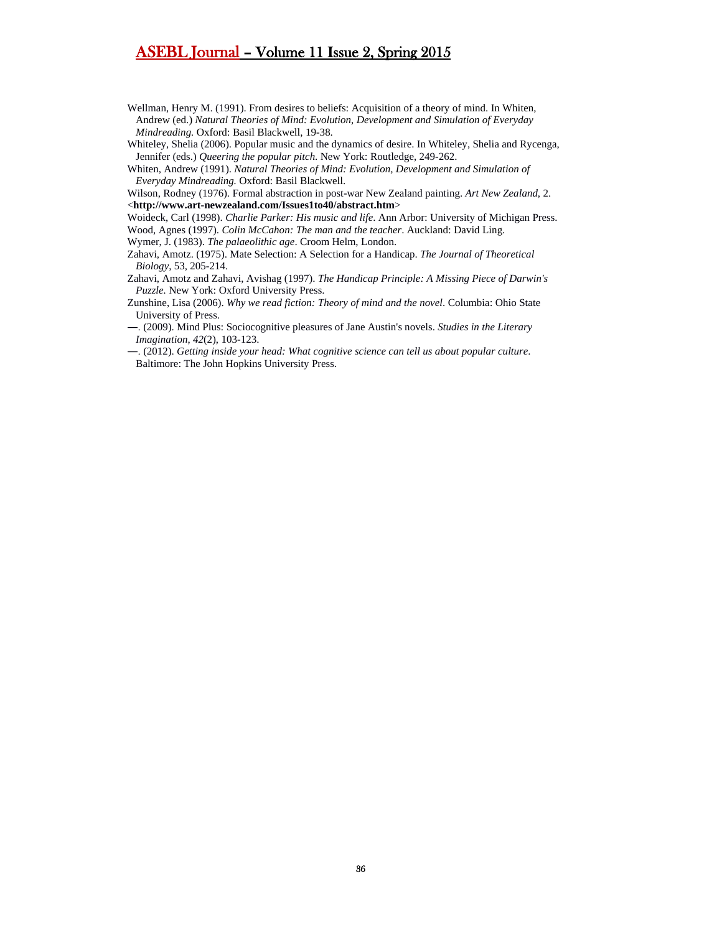- Wellman, Henry M. (1991). From desires to beliefs: Acquisition of a theory of mind. In Whiten, Andrew (ed.) *Natural Theories of Mind: Evolution, Development and Simulation of Everyday Mindreading.* Oxford: Basil Blackwell, 19-38.
- Whiteley, Shelia (2006). Popular music and the dynamics of desire. In Whiteley, Shelia and Rycenga, Jennifer (eds.) *Queering the popular pitch*. New York: Routledge, 249-262.

Whiten, Andrew (1991). *Natural Theories of Mind: Evolution, Development and Simulation of Everyday Mindreading.* Oxford: Basil Blackwell.

- Wilson, Rodney (1976). Formal abstraction in post-war New Zealand painting. *Art New Zealand*, 2. <**http://www.art-newzealand.com/Issues1to40/abstract.htm**>
- Woideck, Carl (1998). *Charlie Parker: His music and life*. Ann Arbor: University of Michigan Press.

Wood, Agnes (1997). *Colin McCahon: The man and the teacher*. Auckland: David Ling.

Wymer, J. (1983). *The palaeolithic age*. Croom Helm, London.

- Zahavi, Amotz. (1975). Mate Selection: A Selection for a Handicap. *The Journal of Theoretical Biology*, 53, 205-214.
- Zahavi, Amotz and Zahavi, Avishag (1997). *The Handicap Principle: A Missing Piece of Darwin's Puzzle.* New York: Oxford University Press.
- Zunshine, Lisa (2006). *Why we read fiction: Theory of mind and the novel*. Columbia: Ohio State University of Press.
- ―. (2009). Mind Plus: Sociocognitive pleasures of Jane Austin's novels. *Studies in the Literary Imagination*, *42*(2), 103-123.
- ―. (2012). *Getting inside your head: What cognitive science can tell us about popular culture*. Baltimore: The John Hopkins University Press.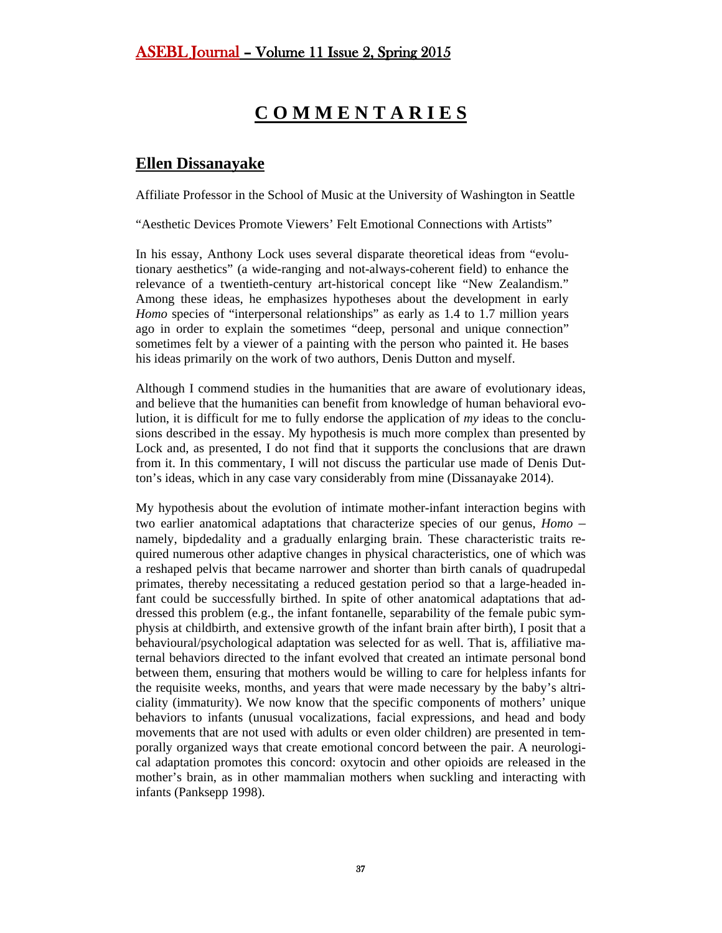# **C O M M E N T A R I E S**

# <span id="page-36-0"></span>**Ellen Dissanayake**

Affiliate Professor in the School of Music at the University of Washington in Seattle

"Aesthetic Devices Promote Viewers' Felt Emotional Connections with Artists"

In his essay, Anthony Lock uses several disparate theoretical ideas from "evolutionary aesthetics" (a wide-ranging and not-always-coherent field) to enhance the relevance of a twentieth-century art-historical concept like "New Zealandism." Among these ideas, he emphasizes hypotheses about the development in early *Homo* species of "interpersonal relationships" as early as 1.4 to 1.7 million years ago in order to explain the sometimes "deep, personal and unique connection" sometimes felt by a viewer of a painting with the person who painted it. He bases his ideas primarily on the work of two authors, Denis Dutton and myself.

Although I commend studies in the humanities that are aware of evolutionary ideas, and believe that the humanities can benefit from knowledge of human behavioral evolution, it is difficult for me to fully endorse the application of *my* ideas to the conclusions described in the essay. My hypothesis is much more complex than presented by Lock and, as presented, I do not find that it supports the conclusions that are drawn from it. In this commentary, I will not discuss the particular use made of Denis Dutton's ideas, which in any case vary considerably from mine (Dissanayake 2014).

My hypothesis about the evolution of intimate mother-infant interaction begins with two earlier anatomical adaptations that characterize species of our genus, *Homo* – namely, bipdedality and a gradually enlarging brain. These characteristic traits required numerous other adaptive changes in physical characteristics, one of which was a reshaped pelvis that became narrower and shorter than birth canals of quadrupedal primates, thereby necessitating a reduced gestation period so that a large-headed infant could be successfully birthed. In spite of other anatomical adaptations that addressed this problem (e.g., the infant fontanelle, separability of the female pubic symphysis at childbirth, and extensive growth of the infant brain after birth), I posit that a behavioural/psychological adaptation was selected for as well. That is, affiliative maternal behaviors directed to the infant evolved that created an intimate personal bond between them, ensuring that mothers would be willing to care for helpless infants for the requisite weeks, months, and years that were made necessary by the baby's altriciality (immaturity). We now know that the specific components of mothers' unique behaviors to infants (unusual vocalizations, facial expressions, and head and body movements that are not used with adults or even older children) are presented in temporally organized ways that create emotional concord between the pair. A neurological adaptation promotes this concord: oxytocin and other opioids are released in the mother's brain, as in other mammalian mothers when suckling and interacting with infants (Panksepp 1998).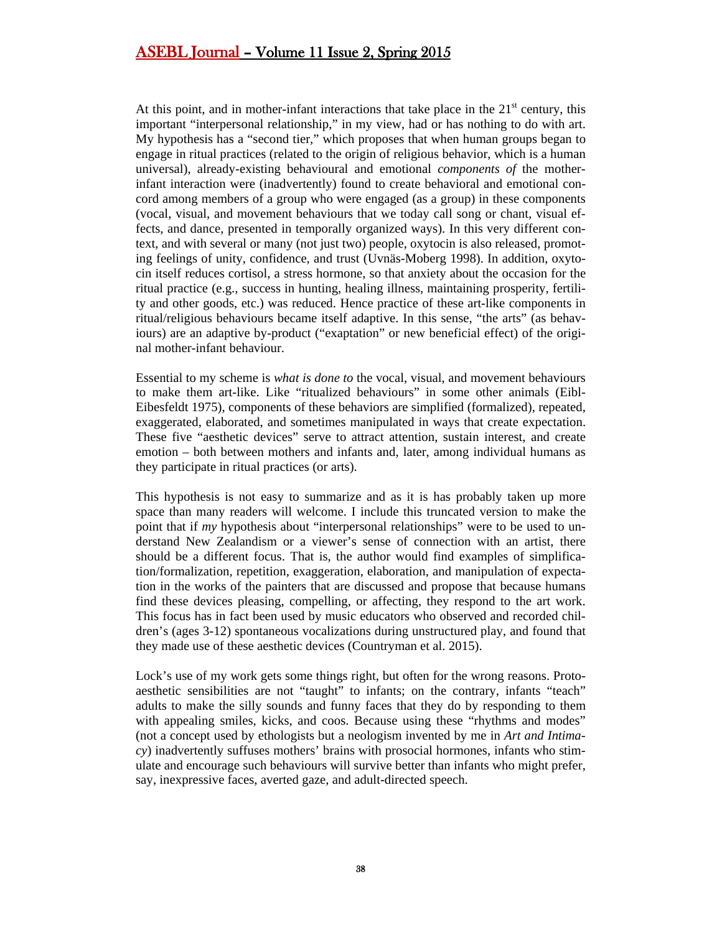At this point, and in mother-infant interactions that take place in the  $21<sup>st</sup>$  century, this important "interpersonal relationship," in my view, had or has nothing to do with art. My hypothesis has a "second tier," which proposes that when human groups began to engage in ritual practices (related to the origin of religious behavior, which is a human universal), already-existing behavioural and emotional *components of* the motherinfant interaction were (inadvertently) found to create behavioral and emotional concord among members of a group who were engaged (as a group) in these components (vocal, visual, and movement behaviours that we today call song or chant, visual effects, and dance, presented in temporally organized ways). In this very different context, and with several or many (not just two) people, oxytocin is also released, promoting feelings of unity, confidence, and trust (Uvnäs-Moberg 1998). In addition, oxytocin itself reduces cortisol, a stress hormone, so that anxiety about the occasion for the ritual practice (e.g., success in hunting, healing illness, maintaining prosperity, fertility and other goods, etc.) was reduced. Hence practice of these art-like components in ritual/religious behaviours became itself adaptive. In this sense, "the arts" (as behaviours) are an adaptive by-product ("exaptation" or new beneficial effect) of the original mother-infant behaviour.

Essential to my scheme is *what is done to* the vocal, visual, and movement behaviours to make them art-like. Like "ritualized behaviours" in some other animals (Eibl-Eibesfeldt 1975), components of these behaviors are simplified (formalized), repeated, exaggerated, elaborated, and sometimes manipulated in ways that create expectation. These five "aesthetic devices" serve to attract attention, sustain interest, and create emotion – both between mothers and infants and, later, among individual humans as they participate in ritual practices (or arts).

This hypothesis is not easy to summarize and as it is has probably taken up more space than many readers will welcome. I include this truncated version to make the point that if *my* hypothesis about "interpersonal relationships" were to be used to understand New Zealandism or a viewer's sense of connection with an artist, there should be a different focus. That is, the author would find examples of simplification/formalization, repetition, exaggeration, elaboration, and manipulation of expectation in the works of the painters that are discussed and propose that because humans find these devices pleasing, compelling, or affecting, they respond to the art work. This focus has in fact been used by music educators who observed and recorded children's (ages 3-12) spontaneous vocalizations during unstructured play, and found that they made use of these aesthetic devices (Countryman et al. 2015).

Lock's use of my work gets some things right, but often for the wrong reasons. Protoaesthetic sensibilities are not "taught" to infants; on the contrary, infants "teach" adults to make the silly sounds and funny faces that they do by responding to them with appealing smiles, kicks, and coos. Because using these "rhythms and modes" (not a concept used by ethologists but a neologism invented by me in *Art and Intimacy*) inadvertently suffuses mothers' brains with prosocial hormones, infants who stimulate and encourage such behaviours will survive better than infants who might prefer, say, inexpressive faces, averted gaze, and adult-directed speech.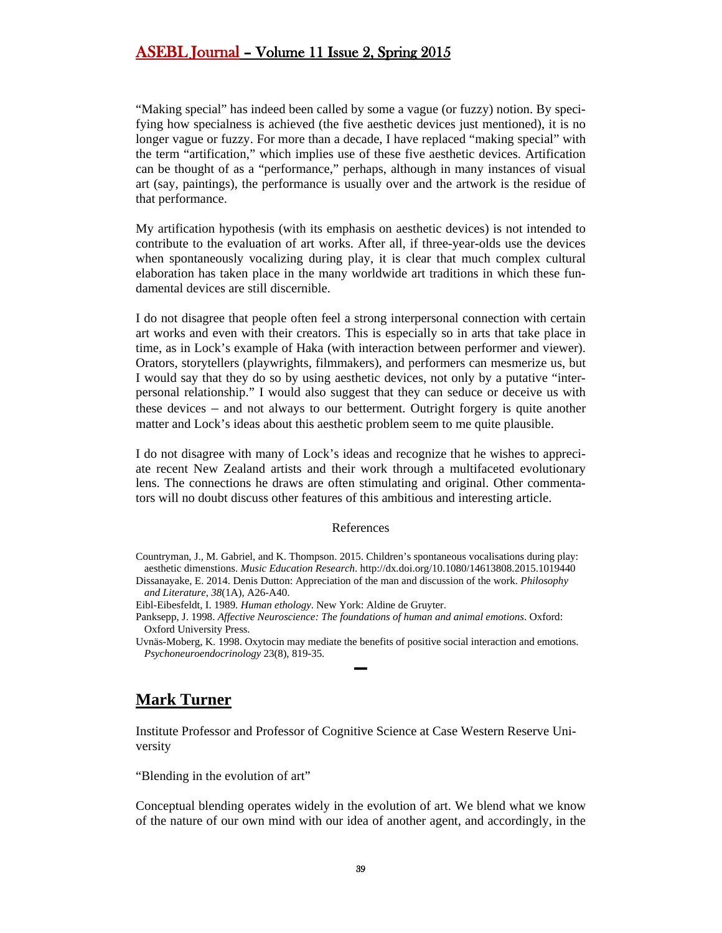"Making special" has indeed been called by some a vague (or fuzzy) notion. By specifying how specialness is achieved (the five aesthetic devices just mentioned), it is no longer vague or fuzzy. For more than a decade, I have replaced "making special" with the term "artification," which implies use of these five aesthetic devices. Artification can be thought of as a "performance," perhaps, although in many instances of visual art (say, paintings), the performance is usually over and the artwork is the residue of that performance.

My artification hypothesis (with its emphasis on aesthetic devices) is not intended to contribute to the evaluation of art works. After all, if three-year-olds use the devices when spontaneously vocalizing during play, it is clear that much complex cultural elaboration has taken place in the many worldwide art traditions in which these fundamental devices are still discernible.

I do not disagree that people often feel a strong interpersonal connection with certain art works and even with their creators. This is especially so in arts that take place in time, as in Lock's example of Haka (with interaction between performer and viewer). Orators, storytellers (playwrights, filmmakers), and performers can mesmerize us, but I would say that they do so by using aesthetic devices, not only by a putative "interpersonal relationship." I would also suggest that they can seduce or deceive us with these devices – and not always to our betterment. Outright forgery is quite another matter and Lock's ideas about this aesthetic problem seem to me quite plausible.

I do not disagree with many of Lock's ideas and recognize that he wishes to appreciate recent New Zealand artists and their work through a multifaceted evolutionary lens. The connections he draws are often stimulating and original. Other commentators will no doubt discuss other features of this ambitious and interesting article.

#### References

Countryman, J., M. Gabriel, and K. Thompson. 2015. Children's spontaneous vocalisations during play: aesthetic dimenstions. *Music Education Research*. http://dx.doi.org/10.1080/14613808.2015.1019440 Dissanayake, E. 2014. Denis Dutton: Appreciation of the man and discussion of the work. *Philosophy* 

- *and Literature*, *38*(1A), A26-A40.
- Eibl-Eibesfeldt, I. 1989. *Human ethology*. New York: Aldine de Gruyter.

## <span id="page-38-0"></span>**Mark Turner**

Institute Professor and Professor of [Cognitive Science](http://case.edu/artsci/cogs/) at Case Western Reserve University

"Blending in the evolution of art"

Conceptual blending operates widely in the evolution of art. We blend what we know of the nature of our own mind with our idea of another agent, and accordingly, in the

Panksepp, J. 1998. *Affective Neuroscience: The foundations of human and animal emotions*. Oxford: Oxford University Press.

Uvnäs-Moberg, K. 1998. Oxytocin may mediate the benefits of positive social interaction and emotions. *Psychoneuroendocrinology* 23(8), 819-35. ▬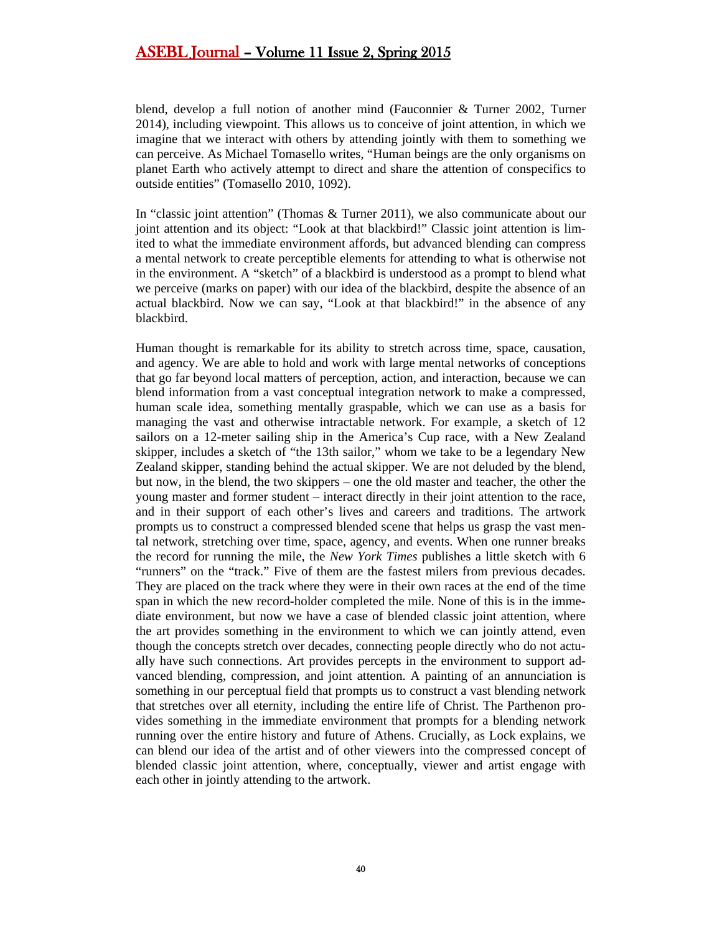blend, develop a full notion of another mind (Fauconnier & Turner 2002, Turner 2014), including viewpoint. This allows us to conceive of joint attention, in which we imagine that we interact with others by attending jointly with them to something we can perceive. As Michael Tomasello writes, "Human beings are the only organisms on planet Earth who actively attempt to direct and share the attention of conspecifics to outside entities" (Tomasello 2010, 1092).

In "classic joint attention" (Thomas & Turner 2011), we also communicate about our joint attention and its object: "Look at that blackbird!" Classic joint attention is limited to what the immediate environment affords, but advanced blending can compress a mental network to create perceptible elements for attending to what is otherwise not in the environment. A "sketch" of a blackbird is understood as a prompt to blend what we perceive (marks on paper) with our idea of the blackbird, despite the absence of an actual blackbird. Now we can say, "Look at that blackbird!" in the absence of any blackbird.

Human thought is remarkable for its ability to stretch across time, space, causation, and agency. We are able to hold and work with large mental networks of conceptions that go far beyond local matters of perception, action, and interaction, because we can blend information from a vast conceptual integration network to make a compressed, human scale idea, something mentally graspable, which we can use as a basis for managing the vast and otherwise intractable network. For example, a sketch of 12 sailors on a 12-meter sailing ship in the America's Cup race, with a New Zealand skipper, includes a sketch of "the 13th sailor," whom we take to be a legendary New Zealand skipper, standing behind the actual skipper. We are not deluded by the blend, but now, in the blend, the two skippers – one the old master and teacher, the other the young master and former student – interact directly in their joint attention to the race, and in their support of each other's lives and careers and traditions. The artwork prompts us to construct a compressed blended scene that helps us grasp the vast mental network, stretching over time, space, agency, and events. When one runner breaks the record for running the mile, the *New York Times* publishes a little sketch with 6 "runners" on the "track." Five of them are the fastest milers from previous decades. They are placed on the track where they were in their own races at the end of the time span in which the new record-holder completed the mile. None of this is in the immediate environment, but now we have a case of blended classic joint attention, where the art provides something in the environment to which we can jointly attend, even though the concepts stretch over decades, connecting people directly who do not actually have such connections. Art provides percepts in the environment to support advanced blending, compression, and joint attention. A painting of an annunciation is something in our perceptual field that prompts us to construct a vast blending network that stretches over all eternity, including the entire life of Christ. The Parthenon provides something in the immediate environment that prompts for a blending network running over the entire history and future of Athens. Crucially, as Lock explains, we can blend our idea of the artist and of other viewers into the compressed concept of blended classic joint attention, where, conceptually, viewer and artist engage with each other in jointly attending to the artwork.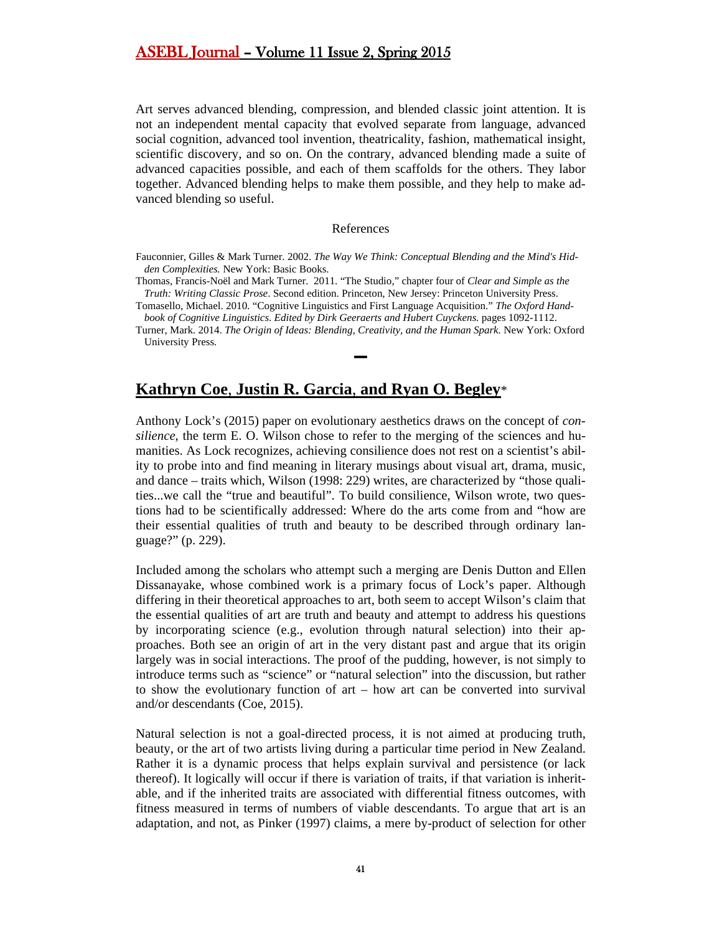Art serves advanced blending, compression, and blended classic joint attention. It is not an independent mental capacity that evolved separate from language, advanced social cognition, advanced tool invention, theatricality, fashion, mathematical insight, scientific discovery, and so on. On the contrary, advanced blending made a suite of advanced capacities possible, and each of them scaffolds for the others. They labor together. Advanced blending helps to make them possible, and they help to make advanced blending so useful.

#### References

Fauconnier, Gilles & Mark Turner. 2002. *The Way We Think: Conceptual Blending and the Mind's Hidden Complexities.* New York: Basic Books.

Thomas, Francis-Noël and Mark Turner. 2011. "The Studio," chapter four of *Clear and Simple as the Truth: Writing Classic Prose*. Second edition. Princeton, New Jersey: Princeton University Press.

Tomasello, Michael. 2010. "Cognitive Linguistics and First Language Acquisition." *The Oxford Handbook of Cognitive Linguistics*. *Edited by Dirk Geeraerts and Hubert Cuyckens.* pages 1092-1112.

Turner, Mark. 2014. *The Origin of Ideas: Blending, Creativity, and the Human Spark*. New York: Oxford University Press.

**▬**

## <span id="page-40-0"></span>**Kathryn Coe**, **Justin R. Garcia**, **and Ryan O. Begley**\*

Anthony Lock's (2015) paper on evolutionary aesthetics draws on the concept of *consilience*, the term E. O. Wilson chose to refer to the merging of the sciences and humanities. As Lock recognizes, achieving consilience does not rest on a scientist's ability to probe into and find meaning in literary musings about visual art, drama, music, and dance – traits which, Wilson (1998: 229) writes, are characterized by "those qualities...we call the "true and beautiful". To build consilience, Wilson wrote, two questions had to be scientifically addressed: Where do the arts come from and "how are their essential qualities of truth and beauty to be described through ordinary language?" (p. 229).

Included among the scholars who attempt such a merging are Denis Dutton and Ellen Dissanayake, whose combined work is a primary focus of Lock's paper. Although differing in their theoretical approaches to art, both seem to accept Wilson's claim that the essential qualities of art are truth and beauty and attempt to address his questions by incorporating science (e.g., evolution through natural selection) into their approaches. Both see an origin of art in the very distant past and argue that its origin largely was in social interactions. The proof of the pudding, however, is not simply to introduce terms such as "science" or "natural selection" into the discussion, but rather to show the evolutionary function of art – how art can be converted into survival and/or descendants (Coe, 2015).

Natural selection is not a goal-directed process, it is not aimed at producing truth, beauty, or the art of two artists living during a particular time period in New Zealand. Rather it is a dynamic process that helps explain survival and persistence (or lack thereof). It logically will occur if there is variation of traits, if that variation is inheritable, and if the inherited traits are associated with differential fitness outcomes, with fitness measured in terms of numbers of viable descendants. To argue that art is an adaptation, and not, as Pinker (1997) claims, a mere by-product of selection for other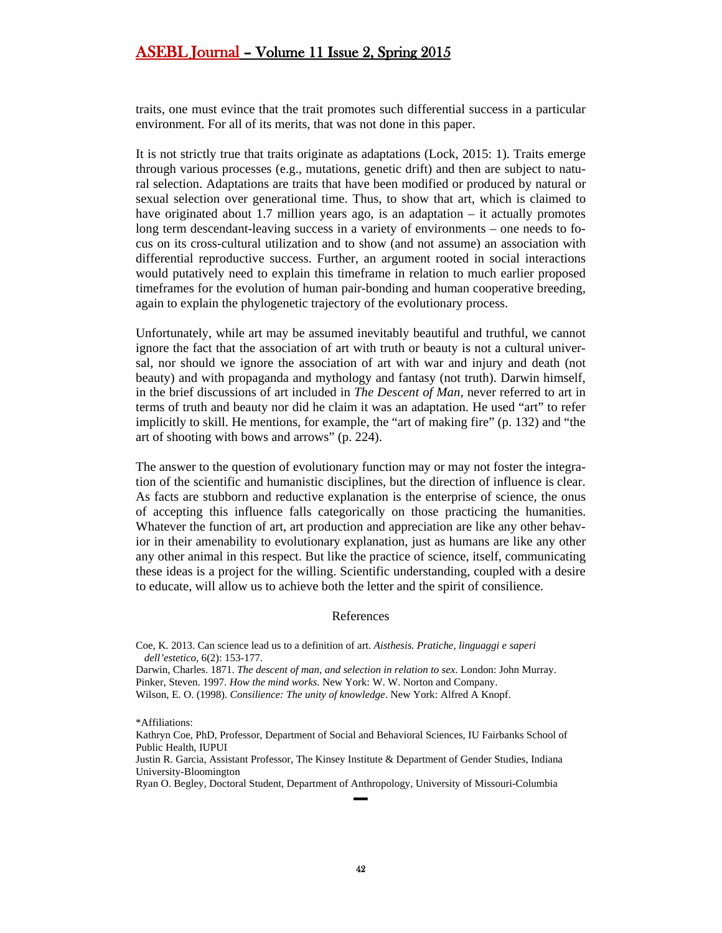traits, one must evince that the trait promotes such differential success in a particular environment. For all of its merits, that was not done in this paper.

It is not strictly true that traits originate as adaptations (Lock, 2015: 1). Traits emerge through various processes (e.g., mutations, genetic drift) and then are subject to natural selection. Adaptations are traits that have been modified or produced by natural or sexual selection over generational time. Thus, to show that art, which is claimed to have originated about 1.7 million years ago, is an adaptation – it actually promotes long term descendant-leaving success in a variety of environments – one needs to focus on its cross-cultural utilization and to show (and not assume) an association with differential reproductive success. Further, an argument rooted in social interactions would putatively need to explain this timeframe in relation to much earlier proposed timeframes for the evolution of human pair-bonding and human cooperative breeding, again to explain the phylogenetic trajectory of the evolutionary process.

Unfortunately, while art may be assumed inevitably beautiful and truthful, we cannot ignore the fact that the association of art with truth or beauty is not a cultural universal, nor should we ignore the association of art with war and injury and death (not beauty) and with propaganda and mythology and fantasy (not truth). Darwin himself, in the brief discussions of art included in *The Descent of Man,* never referred to art in terms of truth and beauty nor did he claim it was an adaptation. He used "art" to refer implicitly to skill. He mentions, for example, the "art of making fire" (p. 132) and "the art of shooting with bows and arrows" (p. 224).

The answer to the question of evolutionary function may or may not foster the integration of the scientific and humanistic disciplines, but the direction of influence is clear. As facts are stubborn and reductive explanation is the enterprise of science, the onus of accepting this influence falls categorically on those practicing the humanities. Whatever the function of art, art production and appreciation are like any other behavior in their amenability to evolutionary explanation, just as humans are like any other any other animal in this respect. But like the practice of science, itself, communicating these ideas is a project for the willing. Scientific understanding, coupled with a desire to educate, will allow us to achieve both the letter and the spirit of consilience.

#### References

Coe, K. 2013. Can science lead us to a definition of art. *Aisthesis. Pratiche, linguaggi e saperi dell'estetico,* 6(2): 153-177.

Darwin, Charles. 1871. *The descent of man, and selection in relation to sex*. London: John Murray. Pinker, Steven. 1997. *How the mind works*. New York: W. W. Norton and Company. Wilson, E. O. (1998). *Consilience: The unity of knowledge*. New York: Alfred A Knopf.

Justin R. Garcia, Assistant Professor, The Kinsey Institute & Department of Gender Studies, Indiana University-Bloomington

Ryan O. Begley, Doctoral Student, Department of Anthropology, University of Missouri-Columbia

▬

<sup>\*</sup>Affiliations:

Kathryn Coe, PhD, Professor, Department of Social and Behavioral Sciences, IU Fairbanks School of Public Health, IUPUI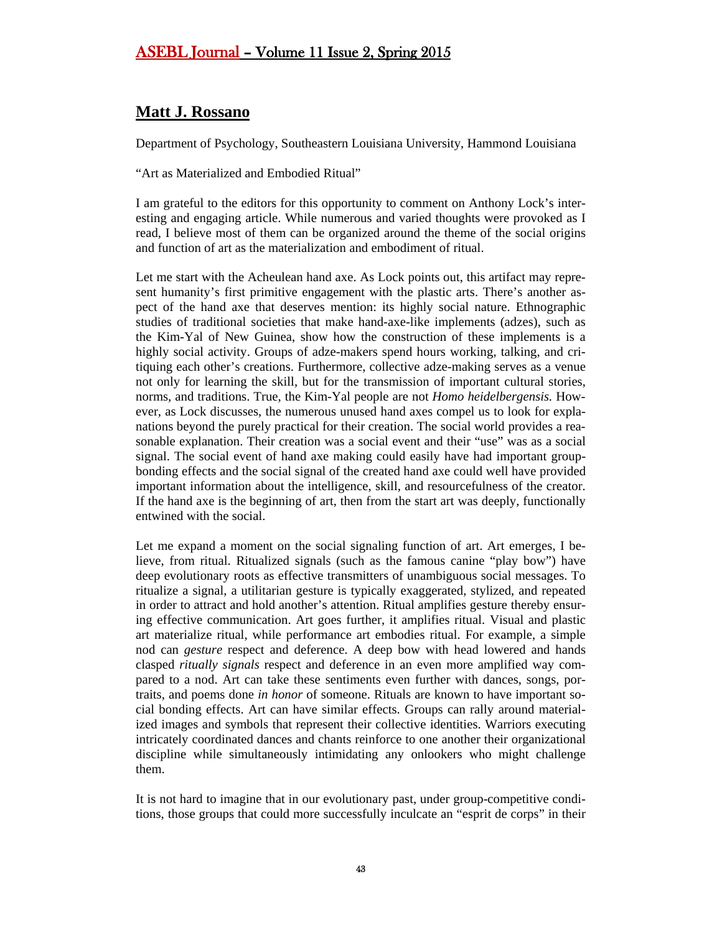# <span id="page-42-0"></span>**Matt J. Rossano**

Department of Psychology, Southeastern Louisiana University, Hammond Louisiana

"Art as Materialized and Embodied Ritual"

I am grateful to the editors for this opportunity to comment on Anthony Lock's interesting and engaging article. While numerous and varied thoughts were provoked as I read, I believe most of them can be organized around the theme of the social origins and function of art as the materialization and embodiment of ritual.

Let me start with the Acheulean hand axe. As Lock points out, this artifact may represent humanity's first primitive engagement with the plastic arts. There's another aspect of the hand axe that deserves mention: its highly social nature. Ethnographic studies of traditional societies that make hand-axe-like implements (adzes), such as the Kim-Yal of New Guinea, show how the construction of these implements is a highly social activity. Groups of adze-makers spend hours working, talking, and critiquing each other's creations. Furthermore, collective adze-making serves as a venue not only for learning the skill, but for the transmission of important cultural stories, norms, and traditions. True, the Kim-Yal people are not *Homo heidelbergensis.* However, as Lock discusses, the numerous unused hand axes compel us to look for explanations beyond the purely practical for their creation. The social world provides a reasonable explanation. Their creation was a social event and their "use" was as a social signal. The social event of hand axe making could easily have had important groupbonding effects and the social signal of the created hand axe could well have provided important information about the intelligence, skill, and resourcefulness of the creator. If the hand axe is the beginning of art, then from the start art was deeply, functionally entwined with the social.

Let me expand a moment on the social signaling function of art. Art emerges, I believe, from ritual. Ritualized signals (such as the famous canine "play bow") have deep evolutionary roots as effective transmitters of unambiguous social messages. To ritualize a signal, a utilitarian gesture is typically exaggerated, stylized, and repeated in order to attract and hold another's attention. Ritual amplifies gesture thereby ensuring effective communication. Art goes further, it amplifies ritual. Visual and plastic art materialize ritual, while performance art embodies ritual. For example, a simple nod can *gesture* respect and deference. A deep bow with head lowered and hands clasped *ritually signals* respect and deference in an even more amplified way compared to a nod. Art can take these sentiments even further with dances, songs, portraits, and poems done *in honor* of someone. Rituals are known to have important social bonding effects. Art can have similar effects. Groups can rally around materialized images and symbols that represent their collective identities. Warriors executing intricately coordinated dances and chants reinforce to one another their organizational discipline while simultaneously intimidating any onlookers who might challenge them.

It is not hard to imagine that in our evolutionary past, under group-competitive conditions, those groups that could more successfully inculcate an "esprit de corps" in their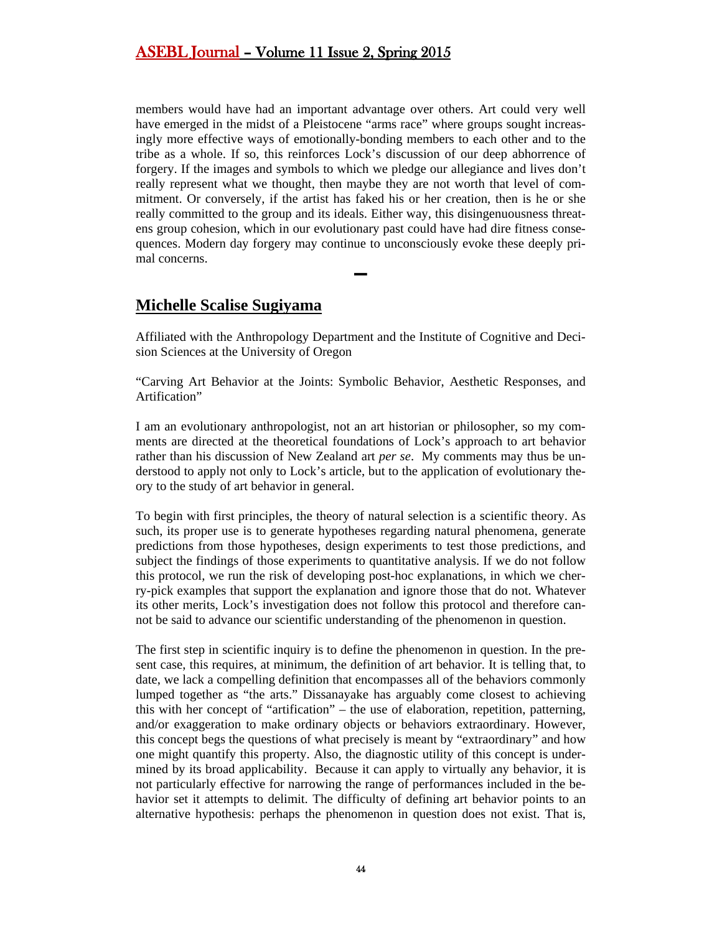members would have had an important advantage over others. Art could very well have emerged in the midst of a Pleistocene "arms race" where groups sought increasingly more effective ways of emotionally-bonding members to each other and to the tribe as a whole. If so, this reinforces Lock's discussion of our deep abhorrence of forgery. If the images and symbols to which we pledge our allegiance and lives don't really represent what we thought, then maybe they are not worth that level of commitment. Or conversely, if the artist has faked his or her creation, then is he or she really committed to the group and its ideals. Either way, this disingenuousness threatens group cohesion, which in our evolutionary past could have had dire fitness consequences. Modern day forgery may continue to unconsciously evoke these deeply primal concerns.

# <span id="page-43-0"></span>**Michelle Scalise Sugiyama**

Affiliated with the Anthropology Department and the Institute of Cognitive and Decision Sciences at the University of Oregon

**▬**

"Carving Art Behavior at the Joints: Symbolic Behavior, Aesthetic Responses, and Artification"

I am an evolutionary anthropologist, not an art historian or philosopher, so my comments are directed at the theoretical foundations of Lock's approach to art behavior rather than his discussion of New Zealand art *per se*. My comments may thus be understood to apply not only to Lock's article, but to the application of evolutionary theory to the study of art behavior in general.

To begin with first principles, the theory of natural selection is a scientific theory. As such, its proper use is to generate hypotheses regarding natural phenomena, generate predictions from those hypotheses, design experiments to test those predictions, and subject the findings of those experiments to quantitative analysis. If we do not follow this protocol, we run the risk of developing post-hoc explanations, in which we cherry-pick examples that support the explanation and ignore those that do not. Whatever its other merits, Lock's investigation does not follow this protocol and therefore cannot be said to advance our scientific understanding of the phenomenon in question.

The first step in scientific inquiry is to define the phenomenon in question. In the present case, this requires, at minimum, the definition of art behavior. It is telling that, to date, we lack a compelling definition that encompasses all of the behaviors commonly lumped together as "the arts." Dissanayake has arguably come closest to achieving this with her concept of "artification" – the use of elaboration, repetition, patterning, and/or exaggeration to make ordinary objects or behaviors extraordinary. However, this concept begs the questions of what precisely is meant by "extraordinary" and how one might quantify this property. Also, the diagnostic utility of this concept is undermined by its broad applicability. Because it can apply to virtually any behavior, it is not particularly effective for narrowing the range of performances included in the behavior set it attempts to delimit. The difficulty of defining art behavior points to an alternative hypothesis: perhaps the phenomenon in question does not exist. That is,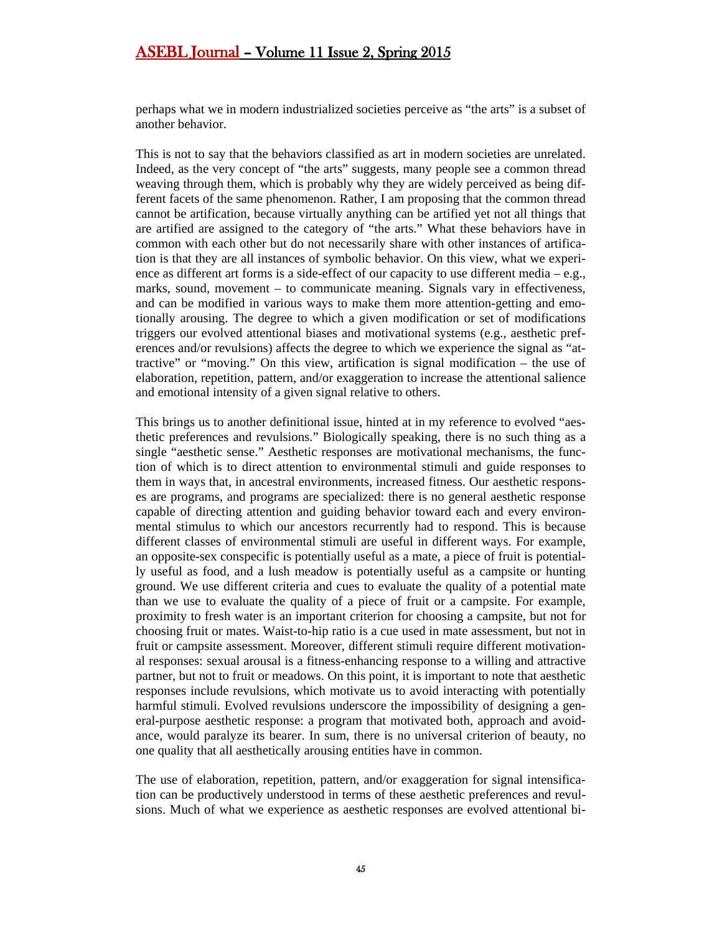perhaps what we in modern industrialized societies perceive as "the arts" is a subset of another behavior.

This is not to say that the behaviors classified as art in modern societies are unrelated. Indeed, as the very concept of "the arts" suggests, many people see a common thread weaving through them, which is probably why they are widely perceived as being different facets of the same phenomenon. Rather, I am proposing that the common thread cannot be artification, because virtually anything can be artified yet not all things that are artified are assigned to the category of "the arts." What these behaviors have in common with each other but do not necessarily share with other instances of artification is that they are all instances of symbolic behavior. On this view, what we experience as different art forms is a side-effect of our capacity to use different media – e.g., marks, sound, movement – to communicate meaning. Signals vary in effectiveness, and can be modified in various ways to make them more attention-getting and emotionally arousing. The degree to which a given modification or set of modifications triggers our evolved attentional biases and motivational systems (e.g., aesthetic preferences and/or revulsions) affects the degree to which we experience the signal as "attractive" or "moving." On this view, artification is signal modification – the use of elaboration, repetition, pattern, and/or exaggeration to increase the attentional salience and emotional intensity of a given signal relative to others.

This brings us to another definitional issue, hinted at in my reference to evolved "aesthetic preferences and revulsions." Biologically speaking, there is no such thing as a single "aesthetic sense." Aesthetic responses are motivational mechanisms, the function of which is to direct attention to environmental stimuli and guide responses to them in ways that, in ancestral environments, increased fitness. Our aesthetic responses are programs, and programs are specialized: there is no general aesthetic response capable of directing attention and guiding behavior toward each and every environmental stimulus to which our ancestors recurrently had to respond. This is because different classes of environmental stimuli are useful in different ways. For example, an opposite-sex conspecific is potentially useful as a mate, a piece of fruit is potentially useful as food, and a lush meadow is potentially useful as a campsite or hunting ground. We use different criteria and cues to evaluate the quality of a potential mate than we use to evaluate the quality of a piece of fruit or a campsite. For example, proximity to fresh water is an important criterion for choosing a campsite, but not for choosing fruit or mates. Waist-to-hip ratio is a cue used in mate assessment, but not in fruit or campsite assessment. Moreover, different stimuli require different motivational responses: sexual arousal is a fitness-enhancing response to a willing and attractive partner, but not to fruit or meadows. On this point, it is important to note that aesthetic responses include revulsions, which motivate us to avoid interacting with potentially harmful stimuli. Evolved revulsions underscore the impossibility of designing a general-purpose aesthetic response: a program that motivated both, approach and avoidance, would paralyze its bearer. In sum, there is no universal criterion of beauty, no one quality that all aesthetically arousing entities have in common.

The use of elaboration, repetition, pattern, and/or exaggeration for signal intensification can be productively understood in terms of these aesthetic preferences and revulsions. Much of what we experience as aesthetic responses are evolved attentional bi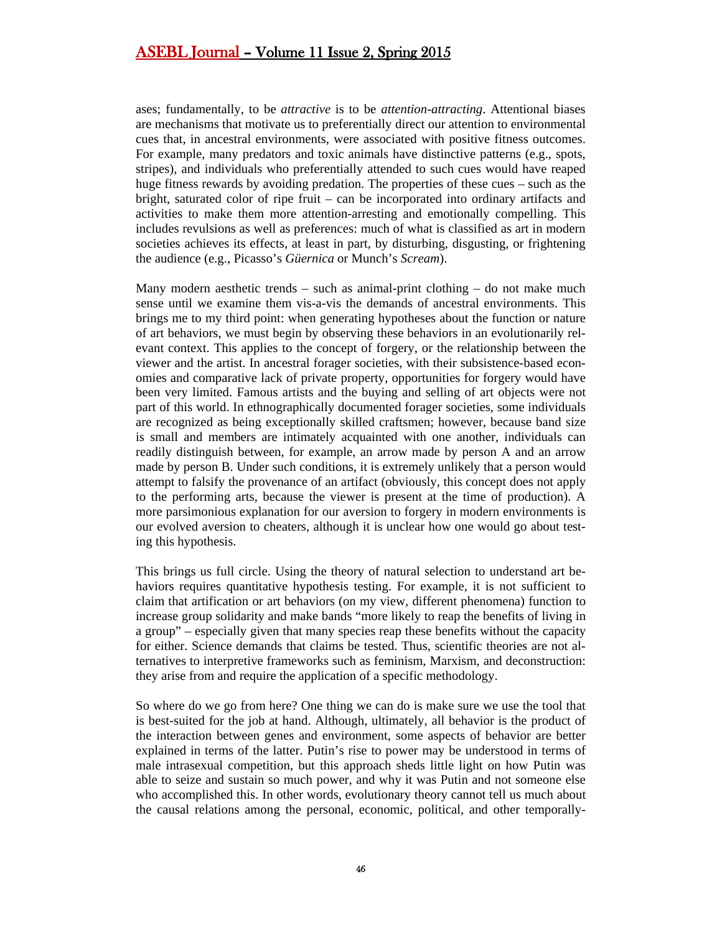ases; fundamentally, to be *attractive* is to be *attention-attracting*. Attentional biases are mechanisms that motivate us to preferentially direct our attention to environmental cues that, in ancestral environments, were associated with positive fitness outcomes. For example, many predators and toxic animals have distinctive patterns (e.g., spots, stripes), and individuals who preferentially attended to such cues would have reaped huge fitness rewards by avoiding predation. The properties of these cues – such as the bright, saturated color of ripe fruit – can be incorporated into ordinary artifacts and activities to make them more attention-arresting and emotionally compelling. This includes revulsions as well as preferences: much of what is classified as art in modern societies achieves its effects, at least in part, by disturbing, disgusting, or frightening the audience (e.g., Picasso's *Güernica* or Munch's *Scream*).

Many modern aesthetic trends – such as animal-print clothing – do not make much sense until we examine them vis-a-vis the demands of ancestral environments. This brings me to my third point: when generating hypotheses about the function or nature of art behaviors, we must begin by observing these behaviors in an evolutionarily relevant context. This applies to the concept of forgery, or the relationship between the viewer and the artist. In ancestral forager societies, with their subsistence-based economies and comparative lack of private property, opportunities for forgery would have been very limited. Famous artists and the buying and selling of art objects were not part of this world. In ethnographically documented forager societies, some individuals are recognized as being exceptionally skilled craftsmen; however, because band size is small and members are intimately acquainted with one another, individuals can readily distinguish between, for example, an arrow made by person A and an arrow made by person B. Under such conditions, it is extremely unlikely that a person would attempt to falsify the provenance of an artifact (obviously, this concept does not apply to the performing arts, because the viewer is present at the time of production). A more parsimonious explanation for our aversion to forgery in modern environments is our evolved aversion to cheaters, although it is unclear how one would go about testing this hypothesis.

This brings us full circle. Using the theory of natural selection to understand art behaviors requires quantitative hypothesis testing. For example, it is not sufficient to claim that artification or art behaviors (on my view, different phenomena) function to increase group solidarity and make bands "more likely to reap the benefits of living in a group" – especially given that many species reap these benefits without the capacity for either. Science demands that claims be tested. Thus, scientific theories are not alternatives to interpretive frameworks such as feminism, Marxism, and deconstruction: they arise from and require the application of a specific methodology.

So where do we go from here? One thing we can do is make sure we use the tool that is best-suited for the job at hand. Although, ultimately, all behavior is the product of the interaction between genes and environment, some aspects of behavior are better explained in terms of the latter. Putin's rise to power may be understood in terms of male intrasexual competition, but this approach sheds little light on how Putin was able to seize and sustain so much power, and why it was Putin and not someone else who accomplished this. In other words, evolutionary theory cannot tell us much about the causal relations among the personal, economic, political, and other temporally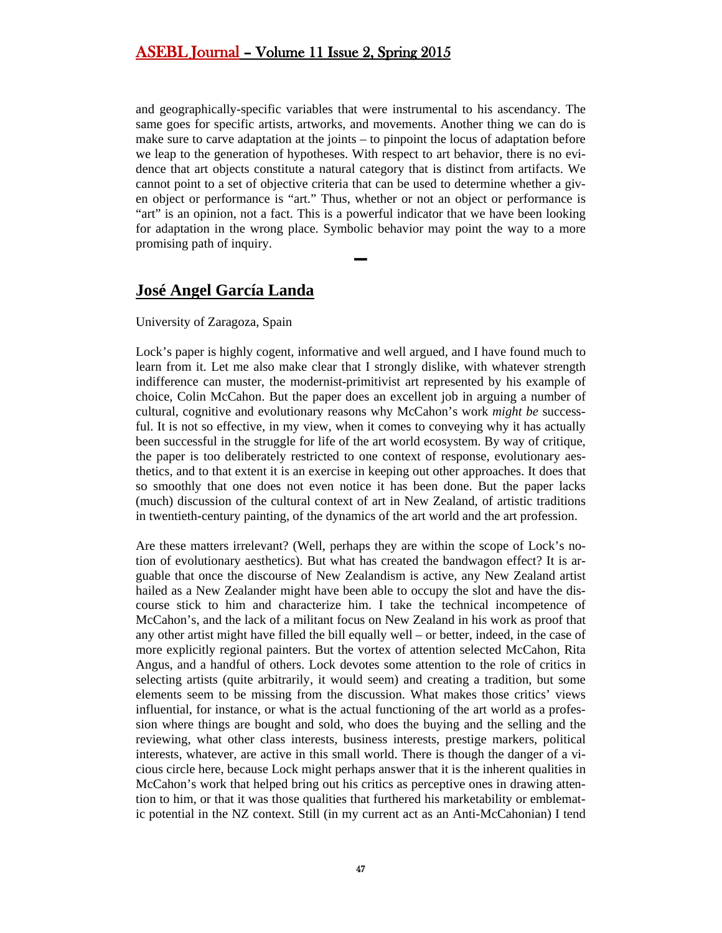and geographically-specific variables that were instrumental to his ascendancy. The same goes for specific artists, artworks, and movements. Another thing we can do is make sure to carve adaptation at the joints – to pinpoint the locus of adaptation before we leap to the generation of hypotheses. With respect to art behavior, there is no evidence that art objects constitute a natural category that is distinct from artifacts. We cannot point to a set of objective criteria that can be used to determine whether a given object or performance is "art." Thus, whether or not an object or performance is "art" is an opinion, not a fact. This is a powerful indicator that we have been looking for adaptation in the wrong place. Symbolic behavior may point the way to a more promising path of inquiry.

**▬**

# <span id="page-46-0"></span>**José Angel García Landa**

#### University of Zaragoza, Spain

Lock's paper is highly cogent, informative and well argued, and I have found much to learn from it. Let me also make clear that I strongly dislike, with whatever strength indifference can muster, the modernist-primitivist art represented by his example of choice, Colin McCahon. But the paper does an excellent job in arguing a number of cultural, cognitive and evolutionary reasons why McCahon's work *might be* successful. It is not so effective, in my view, when it comes to conveying why it has actually been successful in the struggle for life of the art world ecosystem. By way of critique, the paper is too deliberately restricted to one context of response, evolutionary aesthetics, and to that extent it is an exercise in keeping out other approaches. It does that so smoothly that one does not even notice it has been done. But the paper lacks (much) discussion of the cultural context of art in New Zealand, of artistic traditions in twentieth-century painting, of the dynamics of the art world and the art profession.

Are these matters irrelevant? (Well, perhaps they are within the scope of Lock's notion of evolutionary aesthetics). But what has created the bandwagon effect? It is arguable that once the discourse of New Zealandism is active, any New Zealand artist hailed as a New Zealander might have been able to occupy the slot and have the discourse stick to him and characterize him. I take the technical incompetence of McCahon's, and the lack of a militant focus on New Zealand in his work as proof that any other artist might have filled the bill equally well – or better, indeed, in the case of more explicitly regional painters. But the vortex of attention selected McCahon, Rita Angus, and a handful of others. Lock devotes some attention to the role of critics in selecting artists (quite arbitrarily, it would seem) and creating a tradition, but some elements seem to be missing from the discussion. What makes those critics' views influential, for instance, or what is the actual functioning of the art world as a profession where things are bought and sold, who does the buying and the selling and the reviewing, what other class interests, business interests, prestige markers, political interests, whatever, are active in this small world. There is though the danger of a vicious circle here, because Lock might perhaps answer that it is the inherent qualities in McCahon's work that helped bring out his critics as perceptive ones in drawing attention to him, or that it was those qualities that furthered his marketability or emblematic potential in the NZ context. Still (in my current act as an Anti-McCahonian) I tend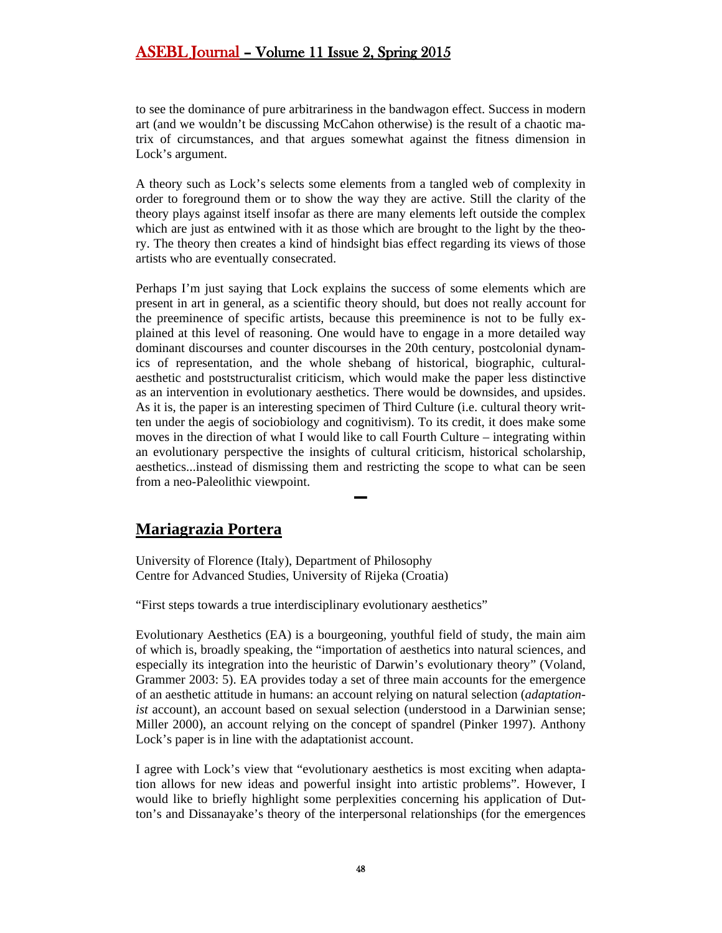to see the dominance of pure arbitrariness in the bandwagon effect. Success in modern art (and we wouldn't be discussing McCahon otherwise) is the result of a chaotic matrix of circumstances, and that argues somewhat against the fitness dimension in Lock's argument.

A theory such as Lock's selects some elements from a tangled web of complexity in order to foreground them or to show the way they are active. Still the clarity of the theory plays against itself insofar as there are many elements left outside the complex which are just as entwined with it as those which are brought to the light by the theory. The theory then creates a kind of hindsight bias effect regarding its views of those artists who are eventually consecrated.

Perhaps I'm just saying that Lock explains the success of some elements which are present in art in general, as a scientific theory should, but does not really account for the preeminence of specific artists, because this preeminence is not to be fully explained at this level of reasoning. One would have to engage in a more detailed way dominant discourses and counter discourses in the 20th century, postcolonial dynamics of representation, and the whole shebang of historical, biographic, culturalaesthetic and poststructuralist criticism, which would make the paper less distinctive as an intervention in evolutionary aesthetics. There would be downsides, and upsides. As it is, the paper is an interesting specimen of Third Culture (i.e. cultural theory written under the aegis of sociobiology and cognitivism). To its credit, it does make some moves in the direction of what I would like to call Fourth Culture – integrating within an evolutionary perspective the insights of cultural criticism, historical scholarship, aesthetics...instead of dismissing them and restricting the scope to what can be seen from a neo-Paleolithic viewpoint.

**▬**

# <span id="page-47-0"></span>**Mariagrazia Portera**

University of Florence (Italy), Department of Philosophy Centre for Advanced Studies, University of Rijeka (Croatia)

"First steps towards a true interdisciplinary evolutionary aesthetics"

Evolutionary Aesthetics (EA) is a bourgeoning, youthful field of study, the main aim of which is, broadly speaking, the "importation of aesthetics into natural sciences, and especially its integration into the heuristic of Darwin's evolutionary theory" (Voland, Grammer 2003: 5). EA provides today a set of three main accounts for the emergence of an aesthetic attitude in humans: an account relying on natural selection (*adaptationist* account), an account based on sexual selection (understood in a Darwinian sense; Miller 2000), an account relying on the concept of spandrel (Pinker 1997). Anthony Lock's paper is in line with the adaptationist account.

I agree with Lock's view that "evolutionary aesthetics is most exciting when adaptation allows for new ideas and powerful insight into artistic problems". However, I would like to briefly highlight some perplexities concerning his application of Dutton's and Dissanayake's theory of the interpersonal relationships (for the emergences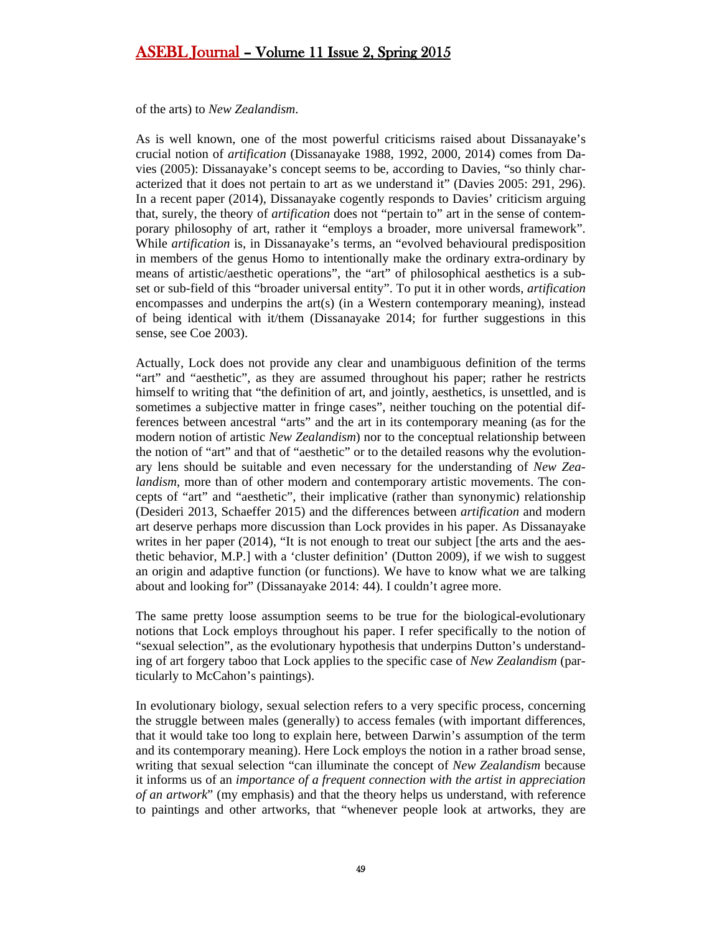of the arts) to *New Zealandism*.

As is well known, one of the most powerful criticisms raised about Dissanayake's crucial notion of *artification* (Dissanayake 1988, 1992, 2000, 2014) comes from Davies (2005): Dissanayake's concept seems to be, according to Davies, "so thinly characterized that it does not pertain to art as we understand it" (Davies 2005: 291, 296). In a recent paper (2014), Dissanayake cogently responds to Davies' criticism arguing that, surely, the theory of *artification* does not "pertain to" art in the sense of contemporary philosophy of art, rather it "employs a broader, more universal framework". While *artification* is, in Dissanayake's terms, an "evolved behavioural predisposition in members of the genus Homo to intentionally make the ordinary extra-ordinary by means of artistic/aesthetic operations", the "art" of philosophical aesthetics is a subset or sub-field of this "broader universal entity". To put it in other words, *artification* encompasses and underpins the art(s) (in a Western contemporary meaning), instead of being identical with it/them (Dissanayake 2014; for further suggestions in this sense, see Coe 2003).

Actually, Lock does not provide any clear and unambiguous definition of the terms "art" and "aesthetic", as they are assumed throughout his paper; rather he restricts himself to writing that "the definition of art, and jointly, aesthetics, is unsettled, and is sometimes a subjective matter in fringe cases", neither touching on the potential differences between ancestral "arts" and the art in its contemporary meaning (as for the modern notion of artistic *New Zealandism*) nor to the conceptual relationship between the notion of "art" and that of "aesthetic" or to the detailed reasons why the evolutionary lens should be suitable and even necessary for the understanding of *New Zealandism*, more than of other modern and contemporary artistic movements. The concepts of "art" and "aesthetic", their implicative (rather than synonymic) relationship (Desideri 2013, Schaeffer 2015) and the differences between *artification* and modern art deserve perhaps more discussion than Lock provides in his paper. As Dissanayake writes in her paper (2014), "It is not enough to treat our subject [the arts and the aesthetic behavior, M.P.] with a 'cluster definition' (Dutton 2009), if we wish to suggest an origin and adaptive function (or functions). We have to know what we are talking about and looking for" (Dissanayake 2014: 44). I couldn't agree more.

The same pretty loose assumption seems to be true for the biological-evolutionary notions that Lock employs throughout his paper. I refer specifically to the notion of "sexual selection", as the evolutionary hypothesis that underpins Dutton's understanding of art forgery taboo that Lock applies to the specific case of *New Zealandism* (particularly to McCahon's paintings).

In evolutionary biology, sexual selection refers to a very specific process, concerning the struggle between males (generally) to access females (with important differences, that it would take too long to explain here, between Darwin's assumption of the term and its contemporary meaning). Here Lock employs the notion in a rather broad sense, writing that sexual selection "can illuminate the concept of *New Zealandism* because it informs us of an *importance of a frequent connection with the artist in appreciation of an artwork*" (my emphasis) and that the theory helps us understand, with reference to paintings and other artworks, that "whenever people look at artworks, they are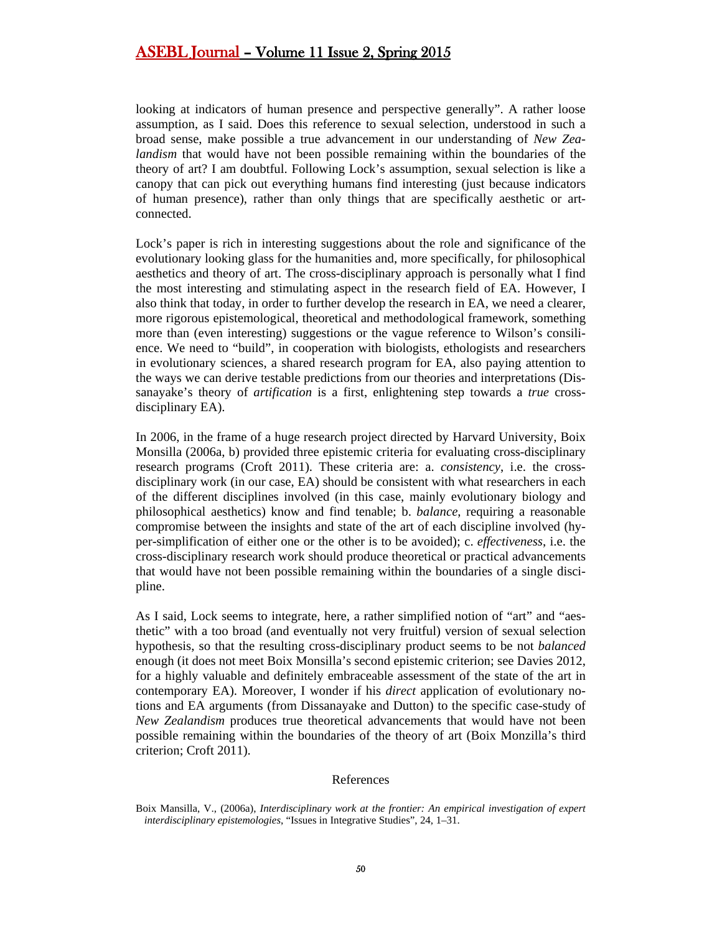looking at indicators of human presence and perspective generally". A rather loose assumption, as I said. Does this reference to sexual selection, understood in such a broad sense, make possible a true advancement in our understanding of *New Zealandism* that would have not been possible remaining within the boundaries of the theory of art? I am doubtful. Following Lock's assumption, sexual selection is like a canopy that can pick out everything humans find interesting (just because indicators of human presence), rather than only things that are specifically aesthetic or artconnected.

Lock's paper is rich in interesting suggestions about the role and significance of the evolutionary looking glass for the humanities and, more specifically, for philosophical aesthetics and theory of art. The cross-disciplinary approach is personally what I find the most interesting and stimulating aspect in the research field of EA. However, I also think that today, in order to further develop the research in EA, we need a clearer, more rigorous epistemological, theoretical and methodological framework, something more than (even interesting) suggestions or the vague reference to Wilson's consilience. We need to "build", in cooperation with biologists, ethologists and researchers in evolutionary sciences, a shared research program for EA, also paying attention to the ways we can derive testable predictions from our theories and interpretations (Dissanayake's theory of *artification* is a first, enlightening step towards a *true* crossdisciplinary EA).

In 2006, in the frame of a huge research project directed by Harvard University, Boix Monsilla (2006a, b) provided three epistemic criteria for evaluating cross-disciplinary research programs (Croft 2011). These criteria are: a. *consistency*, i.e. the crossdisciplinary work (in our case, EA) should be consistent with what researchers in each of the different disciplines involved (in this case, mainly evolutionary biology and philosophical aesthetics) know and find tenable; b. *balance*, requiring a reasonable compromise between the insights and state of the art of each discipline involved (hyper-simplification of either one or the other is to be avoided); c. *effectiveness*, i.e. the cross-disciplinary research work should produce theoretical or practical advancements that would have not been possible remaining within the boundaries of a single discipline.

As I said, Lock seems to integrate, here, a rather simplified notion of "art" and "aesthetic" with a too broad (and eventually not very fruitful) version of sexual selection hypothesis, so that the resulting cross-disciplinary product seems to be not *balanced* enough (it does not meet Boix Monsilla's second epistemic criterion; see Davies 2012, for a highly valuable and definitely embraceable assessment of the state of the art in contemporary EA). Moreover, I wonder if his *direct* application of evolutionary notions and EA arguments (from Dissanayake and Dutton) to the specific case-study of *New Zealandism* produces true theoretical advancements that would have not been possible remaining within the boundaries of the theory of art (Boix Monzilla's third criterion; Croft 2011).

#### References

Boix Mansilla, V., (2006a), *Interdisciplinary work at the frontier: An empirical investigation of expert interdisciplinary epistemologies*, "Issues in Integrative Studies", 24, 1–31.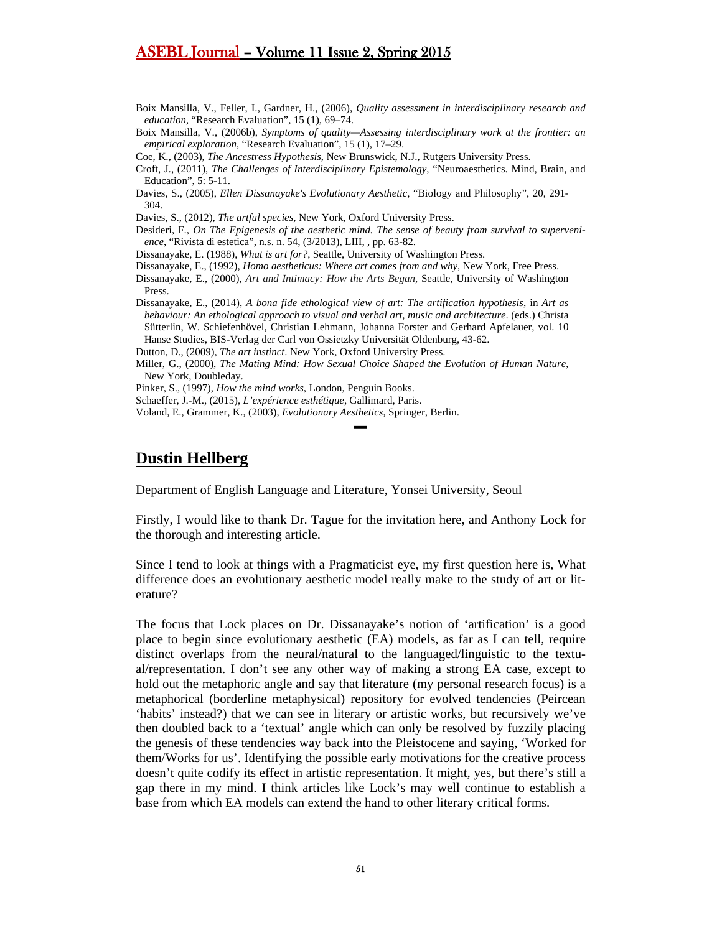- Boix Mansilla, V., Feller, I., Gardner, H., (2006), *Quality assessment in interdisciplinary research and education*, "Research Evaluation", 15 (1), 69–74.
- Boix Mansilla, V., (2006b), *Symptoms of quality—Assessing interdisciplinary work at the frontier: an empirical exploration*, "Research Evaluation", 15 (1), 17–29.

Coe, K., (2003), *The Ancestress Hypothesis*, New Brunswick, N.J., Rutgers University Press.

- Croft, J., (2011), *The Challenges of Interdisciplinary Epistemology*, "Neuroaesthetics. Mind, Brain, and Education", 5: 5-11.
- Davies, S., (2005), *Ellen Dissanayake's Evolutionary Aesthetic*, "Biology and Philosophy", 20, 291- 304.
- Davies, S., (2012), *The artful species*, New York, Oxford University Press.
- Desideri, F., *On The Epigenesis of the aesthetic mind. The sense of beauty from survival to supervenience*, "Rivista di estetica", n.s. n. 54, (3/2013), LIII, , pp. 63-82.

Dissanayake, E. (1988), *What is art for?*, Seattle, University of Washington Press.

Dissanayake, E., (1992), *Homo aestheticus: Where art comes from and why*, New York, Free Press.

- Dissanayake, E., (2000), *Art and Intimacy: How the Arts Began*, Seattle, University of Washington Press.
- Dissanayake, E., (2014), *A bona fide ethological view of art: The artification hypothesis*, in *Art as behaviour: An ethological approach to visual and verbal art, music and architecture*. (eds.) Christa Sütterlin, W. Schiefenhövel, Christian Lehmann, Johanna Forster and Gerhard Apfelauer, vol. 10 Hanse Studies, BIS-Verlag der Carl von Ossietzky Universität Oldenburg, 43-62.

Dutton, D., (2009), *The art instinct*. New York, Oxford University Press.

Miller, G., (2000), *The Mating Mind: How Sexual Choice Shaped the Evolution of Human Nature*, New York, Doubleday.

▬

- Pinker, S., (1997), *How the mind works*, London, Penguin Books.
- Schaeffer, J.-M., (2015), *L'expérience esthétique*, Gallimard, Paris.

Voland, E., Grammer, K., (2003), *Evolutionary Aesthetics*, Springer, Berlin.

#### <span id="page-50-0"></span>**Dustin Hellberg**

Department of English Language and Literature, Yonsei University, Seoul

Firstly, I would like to thank Dr. Tague for the invitation here, and Anthony Lock for the thorough and interesting article.

Since I tend to look at things with a Pragmaticist eye, my first question here is, What difference does an evolutionary aesthetic model really make to the study of art or literature?

The focus that Lock places on Dr. Dissanayake's notion of 'artification' is a good place to begin since evolutionary aesthetic (EA) models, as far as I can tell, require distinct overlaps from the neural/natural to the languaged/linguistic to the textual/representation. I don't see any other way of making a strong EA case, except to hold out the metaphoric angle and say that literature (my personal research focus) is a metaphorical (borderline metaphysical) repository for evolved tendencies (Peircean 'habits' instead?) that we can see in literary or artistic works, but recursively we've then doubled back to a 'textual' angle which can only be resolved by fuzzily placing the genesis of these tendencies way back into the Pleistocene and saying, 'Worked for them/Works for us'. Identifying the possible early motivations for the creative process doesn't quite codify its effect in artistic representation. It might, yes, but there's still a gap there in my mind. I think articles like Lock's may well continue to establish a base from which EA models can extend the hand to other literary critical forms.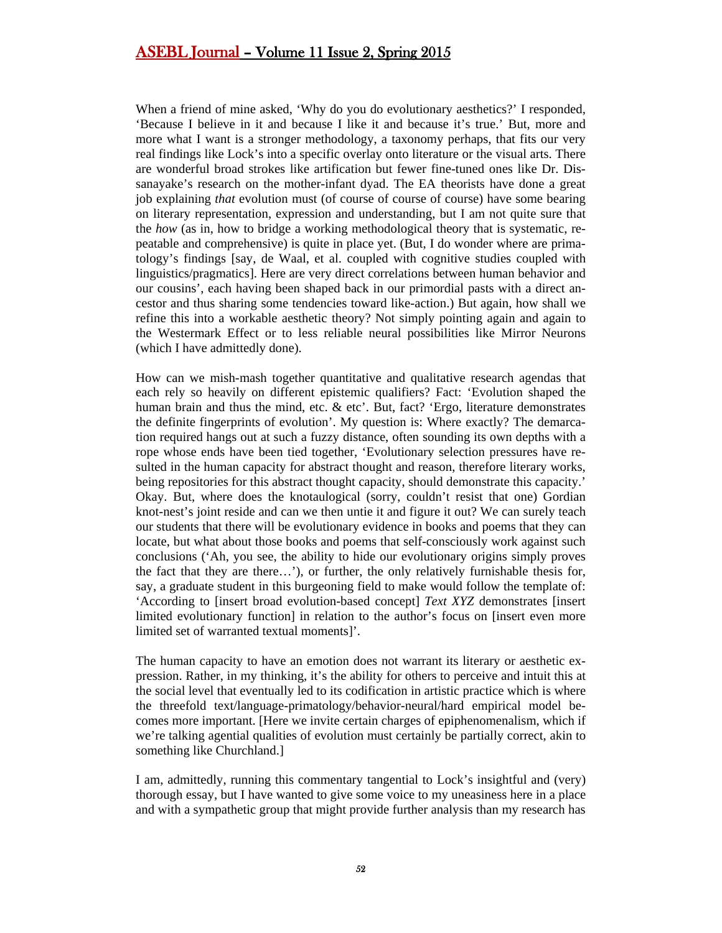When a friend of mine asked, 'Why do you do evolutionary aesthetics?' I responded, 'Because I believe in it and because I like it and because it's true.' But, more and more what I want is a stronger methodology, a taxonomy perhaps, that fits our very real findings like Lock's into a specific overlay onto literature or the visual arts. There are wonderful broad strokes like artification but fewer fine-tuned ones like Dr. Dissanayake's research on the mother-infant dyad. The EA theorists have done a great job explaining *that* evolution must (of course of course of course) have some bearing on literary representation, expression and understanding, but I am not quite sure that the *how* (as in, how to bridge a working methodological theory that is systematic, repeatable and comprehensive) is quite in place yet. (But, I do wonder where are primatology's findings [say, de Waal, et al. coupled with cognitive studies coupled with linguistics/pragmatics]. Here are very direct correlations between human behavior and our cousins', each having been shaped back in our primordial pasts with a direct ancestor and thus sharing some tendencies toward like-action.) But again, how shall we refine this into a workable aesthetic theory? Not simply pointing again and again to the Westermark Effect or to less reliable neural possibilities like Mirror Neurons (which I have admittedly done).

How can we mish-mash together quantitative and qualitative research agendas that each rely so heavily on different epistemic qualifiers? Fact: 'Evolution shaped the human brain and thus the mind, etc. & etc'. But, fact? 'Ergo, literature demonstrates the definite fingerprints of evolution'. My question is: Where exactly? The demarcation required hangs out at such a fuzzy distance, often sounding its own depths with a rope whose ends have been tied together, 'Evolutionary selection pressures have resulted in the human capacity for abstract thought and reason, therefore literary works, being repositories for this abstract thought capacity, should demonstrate this capacity.' Okay. But, where does the knotaulogical (sorry, couldn't resist that one) Gordian knot-nest's joint reside and can we then untie it and figure it out? We can surely teach our students that there will be evolutionary evidence in books and poems that they can locate, but what about those books and poems that self-consciously work against such conclusions ('Ah, you see, the ability to hide our evolutionary origins simply proves the fact that they are there…'), or further, the only relatively furnishable thesis for, say, a graduate student in this burgeoning field to make would follow the template of: 'According to [insert broad evolution-based concept] *Text XYZ* demonstrates [insert limited evolutionary function] in relation to the author's focus on [insert even more limited set of warranted textual moments]'.

The human capacity to have an emotion does not warrant its literary or aesthetic expression. Rather, in my thinking, it's the ability for others to perceive and intuit this at the social level that eventually led to its codification in artistic practice which is where the threefold text/language-primatology/behavior-neural/hard empirical model becomes more important. [Here we invite certain charges of epiphenomenalism, which if we're talking agential qualities of evolution must certainly be partially correct, akin to something like Churchland.]

I am, admittedly, running this commentary tangential to Lock's insightful and (very) thorough essay, but I have wanted to give some voice to my uneasiness here in a place and with a sympathetic group that might provide further analysis than my research has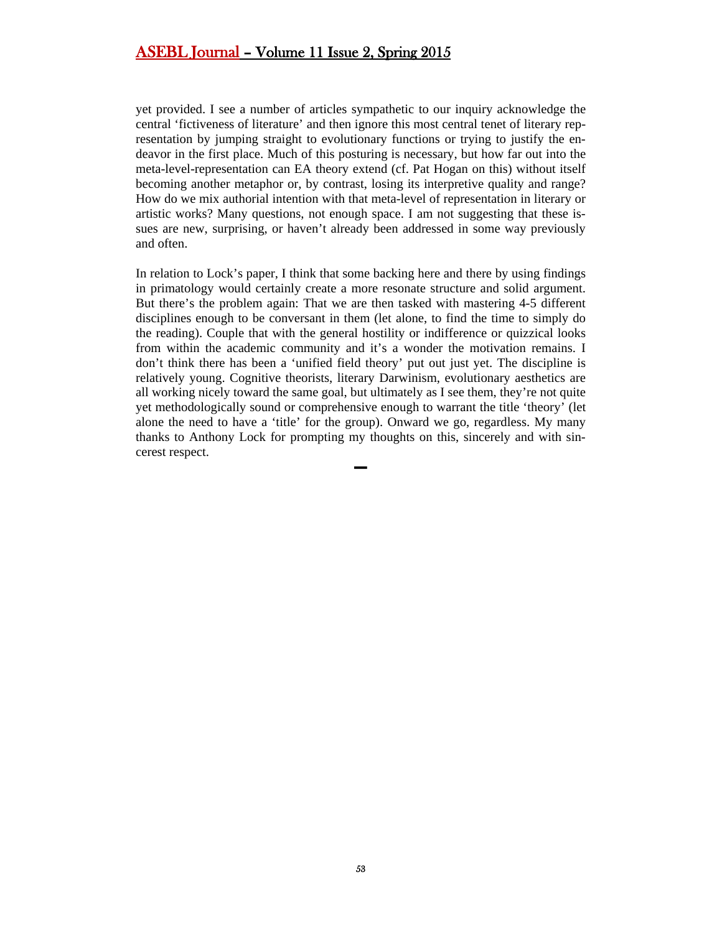yet provided. I see a number of articles sympathetic to our inquiry acknowledge the central 'fictiveness of literature' and then ignore this most central tenet of literary representation by jumping straight to evolutionary functions or trying to justify the endeavor in the first place. Much of this posturing is necessary, but how far out into the meta-level-representation can EA theory extend (cf. Pat Hogan on this) without itself becoming another metaphor or, by contrast, losing its interpretive quality and range? How do we mix authorial intention with that meta-level of representation in literary or artistic works? Many questions, not enough space. I am not suggesting that these issues are new, surprising, or haven't already been addressed in some way previously and often.

In relation to Lock's paper, I think that some backing here and there by using findings in primatology would certainly create a more resonate structure and solid argument. But there's the problem again: That we are then tasked with mastering 4-5 different disciplines enough to be conversant in them (let alone, to find the time to simply do the reading). Couple that with the general hostility or indifference or quizzical looks from within the academic community and it's a wonder the motivation remains. I don't think there has been a 'unified field theory' put out just yet. The discipline is relatively young. Cognitive theorists, literary Darwinism, evolutionary aesthetics are all working nicely toward the same goal, but ultimately as I see them, they're not quite yet methodologically sound or comprehensive enough to warrant the title 'theory' (let alone the need to have a 'title' for the group). Onward we go, regardless. My many thanks to Anthony Lock for prompting my thoughts on this, sincerely and with sincerest respect.

▬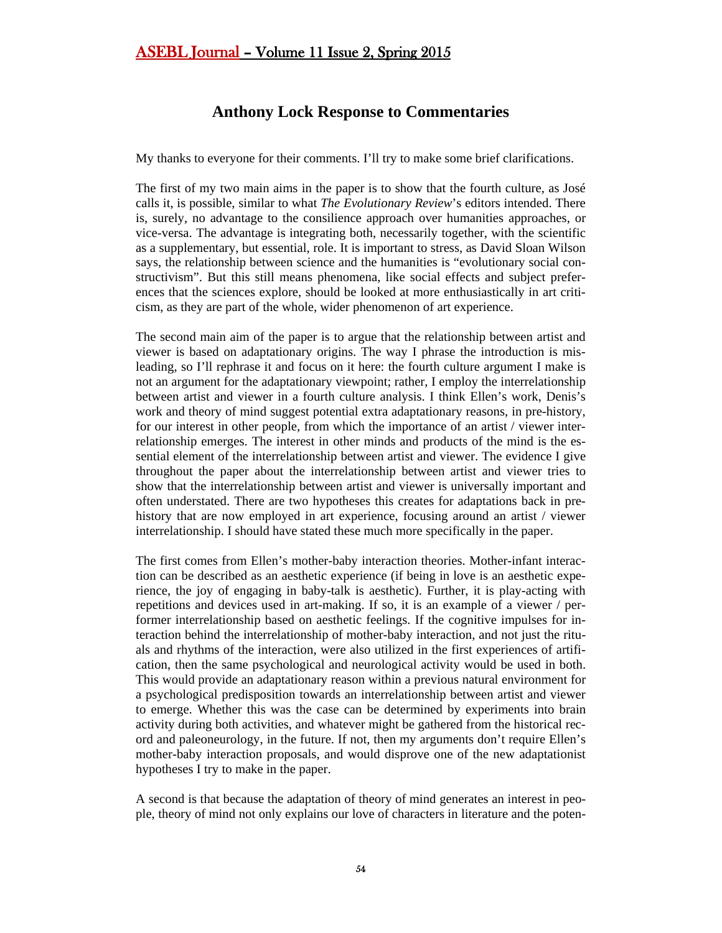# <span id="page-53-0"></span>**Anthony Lock Response to Commentaries**

My thanks to everyone for their comments. I'll try to make some brief clarifications.

The first of my two main aims in the paper is to show that the fourth culture, as José calls it, is possible, similar to what *The Evolutionary Review*'s editors intended. There is, surely, no advantage to the consilience approach over humanities approaches, or vice-versa. The advantage is integrating both, necessarily together, with the scientific as a supplementary, but essential, role. It is important to stress, as David Sloan Wilson says, the relationship between science and the humanities is "evolutionary social constructivism". But this still means phenomena, like social effects and subject preferences that the sciences explore, should be looked at more enthusiastically in art criticism, as they are part of the whole, wider phenomenon of art experience.

The second main aim of the paper is to argue that the relationship between artist and viewer is based on adaptationary origins. The way I phrase the introduction is misleading, so I'll rephrase it and focus on it here: the fourth culture argument I make is not an argument for the adaptationary viewpoint; rather, I employ the interrelationship between artist and viewer in a fourth culture analysis. I think Ellen's work, Denis's work and theory of mind suggest potential extra adaptationary reasons, in pre-history, for our interest in other people, from which the importance of an artist / viewer interrelationship emerges. The interest in other minds and products of the mind is the essential element of the interrelationship between artist and viewer. The evidence I give throughout the paper about the interrelationship between artist and viewer tries to show that the interrelationship between artist and viewer is universally important and often understated. There are two hypotheses this creates for adaptations back in prehistory that are now employed in art experience, focusing around an artist / viewer interrelationship. I should have stated these much more specifically in the paper.

The first comes from Ellen's mother-baby interaction theories. Mother-infant interaction can be described as an aesthetic experience (if being in love is an aesthetic experience, the joy of engaging in baby-talk is aesthetic). Further, it is play-acting with repetitions and devices used in art-making. If so, it is an example of a viewer / performer interrelationship based on aesthetic feelings. If the cognitive impulses for interaction behind the interrelationship of mother-baby interaction, and not just the rituals and rhythms of the interaction, were also utilized in the first experiences of artification, then the same psychological and neurological activity would be used in both. This would provide an adaptationary reason within a previous natural environment for a psychological predisposition towards an interrelationship between artist and viewer to emerge. Whether this was the case can be determined by experiments into brain activity during both activities, and whatever might be gathered from the historical record and paleoneurology, in the future. If not, then my arguments don't require Ellen's mother-baby interaction proposals, and would disprove one of the new adaptationist hypotheses I try to make in the paper.

A second is that because the adaptation of theory of mind generates an interest in people, theory of mind not only explains our love of characters in literature and the poten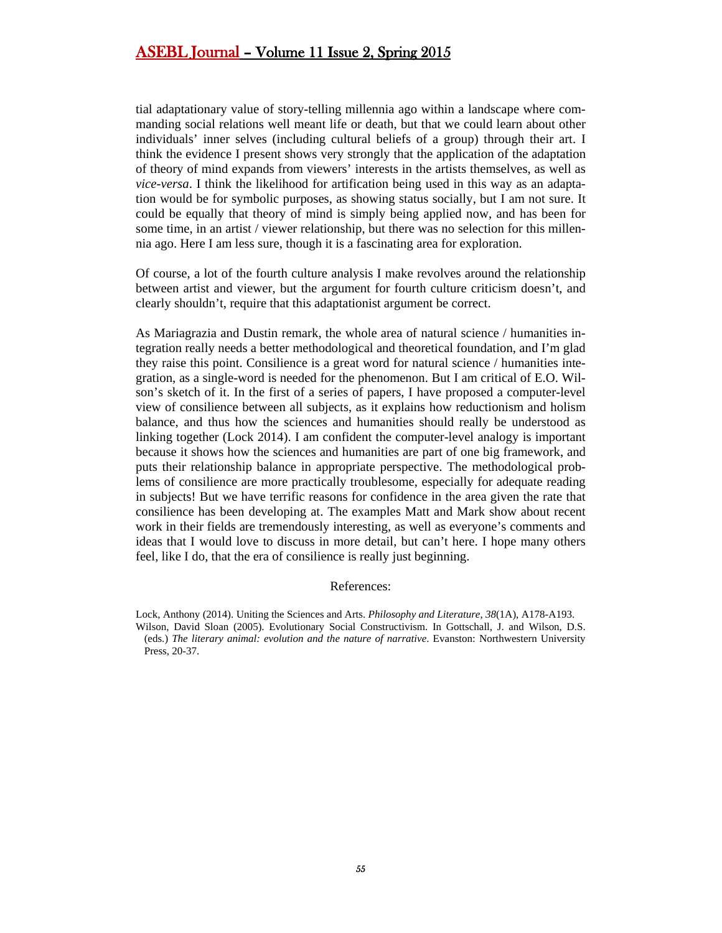tial adaptationary value of story-telling millennia ago within a landscape where commanding social relations well meant life or death, but that we could learn about other individuals' inner selves (including cultural beliefs of a group) through their art. I think the evidence I present shows very strongly that the application of the adaptation of theory of mind expands from viewers' interests in the artists themselves, as well as *vice-versa*. I think the likelihood for artification being used in this way as an adaptation would be for symbolic purposes, as showing status socially, but I am not sure. It could be equally that theory of mind is simply being applied now, and has been for some time, in an artist / viewer relationship, but there was no selection for this millennia ago. Here I am less sure, though it is a fascinating area for exploration.

Of course, a lot of the fourth culture analysis I make revolves around the relationship between artist and viewer, but the argument for fourth culture criticism doesn't, and clearly shouldn't, require that this adaptationist argument be correct.

As Mariagrazia and Dustin remark, the whole area of natural science / humanities integration really needs a better methodological and theoretical foundation, and I'm glad they raise this point. Consilience is a great word for natural science / humanities integration, as a single-word is needed for the phenomenon. But I am critical of E.O. Wilson's sketch of it. In the first of a series of papers, I have proposed a computer-level view of consilience between all subjects, as it explains how reductionism and holism balance, and thus how the sciences and humanities should really be understood as linking together (Lock 2014). I am confident the computer-level analogy is important because it shows how the sciences and humanities are part of one big framework, and puts their relationship balance in appropriate perspective. The methodological problems of consilience are more practically troublesome, especially for adequate reading in subjects! But we have terrific reasons for confidence in the area given the rate that consilience has been developing at. The examples Matt and Mark show about recent work in their fields are tremendously interesting, as well as everyone's comments and ideas that I would love to discuss in more detail, but can't here. I hope many others feel, like I do, that the era of consilience is really just beginning.

#### References:

Lock, Anthony (2014). Uniting the Sciences and Arts. *Philosophy and Literature*, *38*(1A), A178-A193. Wilson, David Sloan (2005). Evolutionary Social Constructivism. In Gottschall, J. and Wilson, D.S. (eds.) *The literary animal: evolution and the nature of narrative*. Evanston: Northwestern University Press, 20-37.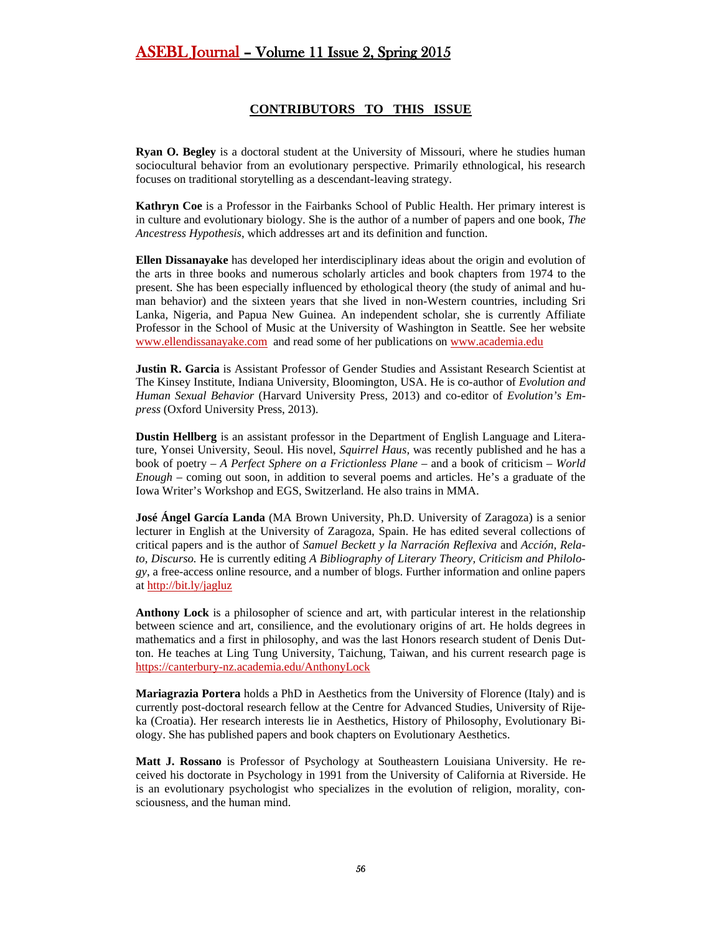#### **CONTRIBUTORS TO THIS ISSUE**

<span id="page-55-0"></span>**Ryan O. Begley** is a doctoral student at the University of Missouri, where he studies human sociocultural behavior from an evolutionary perspective. Primarily ethnological, his research focuses on traditional storytelling as a descendant-leaving strategy.

**Kathryn Coe** is a Professor in the Fairbanks School of Public Health. Her primary interest is in culture and evolutionary biology. She is the author of a number of papers and one book, *The Ancestress Hypothesis*, which addresses art and its definition and function.

**Ellen Dissanayake** has developed her interdisciplinary ideas about the origin and evolution of the arts in three books and numerous scholarly articles and book chapters from 1974 to the present. She has been especially influenced by ethological theory (the study of animal and human behavior) and the sixteen years that she lived in non-Western countries, including Sri Lanka, Nigeria, and Papua New Guinea. An independent scholar, she is currently Affiliate Professor in the School of Music at the University of Washington in Seattle. See her website [www.ellendissanayake.com](http://www.ellendissanayake.com/) and read some of her publications on [www.academia.edu](http://www.academia.edu/)

**Justin R. Garcia** is Assistant Professor of Gender Studies and Assistant Research Scientist at The Kinsey Institute, Indiana University, Bloomington, USA. He is co-author of *Evolution and Human Sexual Behavior* (Harvard University Press, 2013) and co-editor of *Evolution's Empress* (Oxford University Press, 2013).

**Dustin Hellberg** is an assistant professor in the Department of English Language and Literature, Yonsei University, Seoul. His novel, *Squirrel Haus*, was recently published and he has a book of poetry – *A Perfect Sphere on a Frictionless Plane* – and a book of criticism – *World Enough* – coming out soon, in addition to several poems and articles. He's a graduate of the Iowa Writer's Workshop and EGS, Switzerland. He also trains in MMA.

**José Ángel García Landa** (MA Brown University, Ph.D. University of Zaragoza) is a senior lecturer in English at the University of Zaragoza, Spain. He has edited several collections of critical papers and is the author of *Samuel Beckett y la Narración Reflexiva* and *Acción, Relato, Discurso.* He is currently editing *A Bibliography of Literary Theory, Criticism and Philology*, a free-access online resource, and a number of blogs. Further information and online papers at<http://bit.ly/jagluz>

**Anthony Lock** is a philosopher of science and art, with particular interest in the relationship between science and art, consilience, and the evolutionary origins of art. He holds degrees in mathematics and a first in philosophy, and was the last Honors research student of Denis Dutton. He teaches at Ling Tung University, Taichung, Taiwan, and his current research page is <https://canterbury-nz.academia.edu/AnthonyLock>

**Mariagrazia Portera** holds a PhD in Aesthetics from the University of Florence (Italy) and is currently post-doctoral research fellow at the Centre for Advanced Studies, University of Rijeka (Croatia). Her research interests lie in Aesthetics, History of Philosophy, Evolutionary Biology. She has published papers and book chapters on Evolutionary Aesthetics.

**Matt J. Rossano** is Professor of Psychology at Southeastern Louisiana University. He received his doctorate in Psychology in 1991 from the University of California at Riverside. He is an evolutionary psychologist who specializes in the evolution of religion, morality, consciousness, and the human mind.